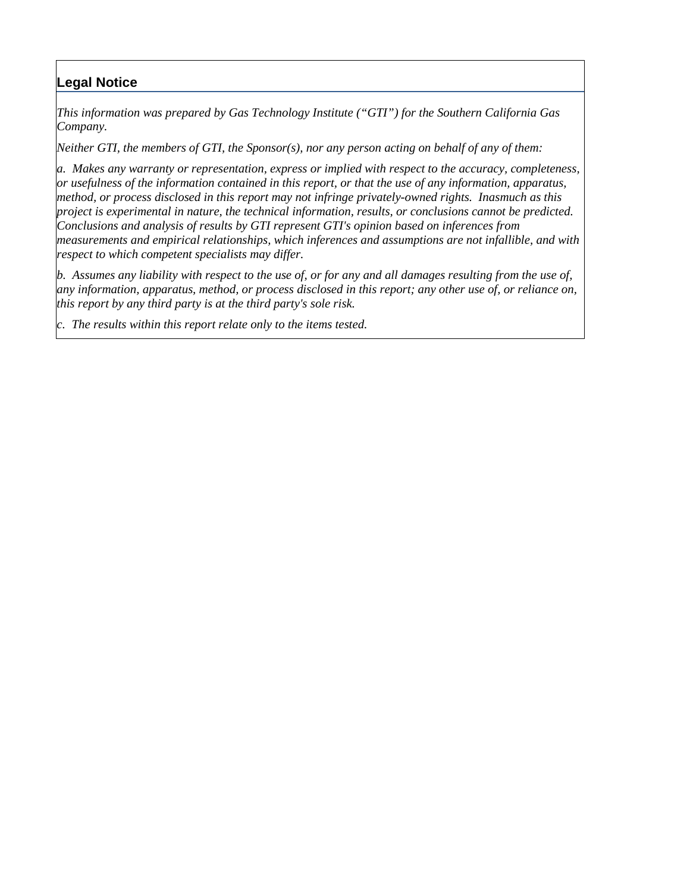### **Legal Notice**

*This information was prepared by Gas Technology Institute ("GTI") for the Southern California Gas Company.* 

*Neither GTI, the members of GTI, the Sponsor(s), nor any person acting on behalf of any of them:* 

*a. Makes any warranty or representation, express or implied with respect to the accuracy, completeness, or usefulness of the information contained in this report, or that the use of any information, apparatus, method, or process disclosed in this report may not infringe privately-owned rights. Inasmuch as this project is experimental in nature, the technical information, results, or conclusions cannot be predicted. Conclusions and analysis of results by GTI represent GTI's opinion based on inferences from measurements and empirical relationships, which inferences and assumptions are not infallible, and with respect to which competent specialists may differ.* 

*b. Assumes any liability with respect to the use of, or for any and all damages resulting from the use of, any information, apparatus, method, or process disclosed in this report; any other use of, or reliance on, this report by any third party is at the third party's sole risk.*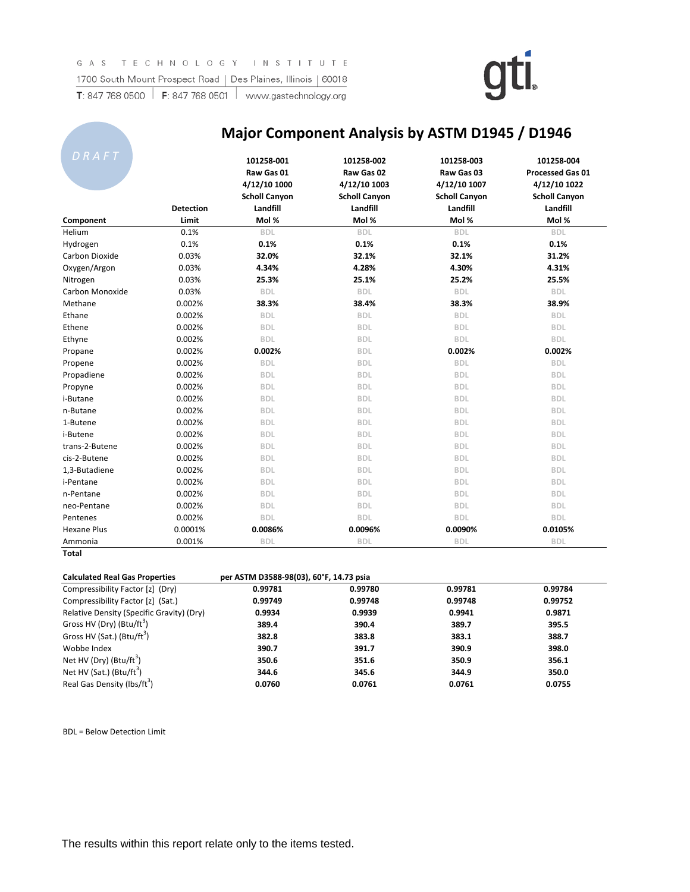

| DRAFT              |                  | 101258-001<br>Raw Gas 01<br>4/12/10 1000<br><b>Scholl Canyon</b> | 101258-002<br>Raw Gas 02<br>4/12/10 1003<br><b>Scholl Canyon</b> | 101258-003<br>Raw Gas 03<br>4/12/10 1007<br><b>Scholl Canyon</b> | 101258-004<br><b>Processed Gas 01</b><br>4/12/10 1022<br><b>Scholl Canyon</b> |
|--------------------|------------------|------------------------------------------------------------------|------------------------------------------------------------------|------------------------------------------------------------------|-------------------------------------------------------------------------------|
|                    | <b>Detection</b> | Landfill                                                         | Landfill                                                         | Landfill                                                         | Landfill                                                                      |
| Component          | Limit            | Mol %                                                            | Mol %                                                            | Mol %                                                            | Mol %                                                                         |
| Helium             | 0.1%             | <b>BDL</b>                                                       | <b>BDL</b>                                                       | <b>BDL</b>                                                       | <b>BDL</b>                                                                    |
| Hydrogen           | 0.1%             | 0.1%                                                             | 0.1%                                                             | 0.1%                                                             | 0.1%                                                                          |
| Carbon Dioxide     | 0.03%            | 32.0%                                                            | 32.1%                                                            | 32.1%                                                            | 31.2%                                                                         |
| Oxygen/Argon       | 0.03%            | 4.34%                                                            | 4.28%                                                            | 4.30%                                                            | 4.31%                                                                         |
| Nitrogen           | 0.03%            | 25.3%                                                            | 25.1%                                                            | 25.2%                                                            | 25.5%                                                                         |
| Carbon Monoxide    | 0.03%            | <b>BDL</b>                                                       | <b>BDL</b>                                                       | <b>BDL</b>                                                       | <b>BDL</b>                                                                    |
| Methane            | 0.002%           | 38.3%                                                            | 38.4%                                                            | 38.3%                                                            | 38.9%                                                                         |
| Ethane             | 0.002%           | <b>BDL</b>                                                       | <b>BDL</b>                                                       | <b>BDL</b>                                                       | <b>BDL</b>                                                                    |
| Ethene             | 0.002%           | <b>BDL</b>                                                       | <b>BDL</b>                                                       | <b>BDL</b>                                                       | <b>BDL</b>                                                                    |
| Ethyne             | 0.002%           | <b>BDL</b>                                                       | <b>BDL</b>                                                       | <b>BDL</b>                                                       | <b>BDL</b>                                                                    |
| Propane            | 0.002%           | 0.002%                                                           | <b>BDL</b>                                                       | 0.002%                                                           | 0.002%                                                                        |
| Propene            | 0.002%           | <b>BDL</b>                                                       | <b>BDL</b>                                                       | <b>BDL</b>                                                       | <b>BDL</b>                                                                    |
| Propadiene         | 0.002%           | <b>BDL</b>                                                       | <b>BDL</b>                                                       | <b>BDL</b>                                                       | <b>BDL</b>                                                                    |
| Propyne            | 0.002%           | <b>BDL</b>                                                       | <b>BDL</b>                                                       | <b>BDL</b>                                                       | <b>BDL</b>                                                                    |
| i-Butane           | 0.002%           | <b>BDL</b>                                                       | <b>BDL</b>                                                       | <b>BDL</b>                                                       | <b>BDL</b>                                                                    |
| n-Butane           | 0.002%           | <b>BDL</b>                                                       | <b>BDL</b>                                                       | <b>BDL</b>                                                       | <b>BDL</b>                                                                    |
| 1-Butene           | 0.002%           | <b>BDL</b>                                                       | <b>BDL</b>                                                       | <b>BDL</b>                                                       | <b>BDL</b>                                                                    |
| i-Butene           | 0.002%           | <b>BDL</b>                                                       | <b>BDL</b>                                                       | <b>BDL</b>                                                       | <b>BDL</b>                                                                    |
| trans-2-Butene     | 0.002%           | <b>BDL</b>                                                       | <b>BDL</b>                                                       | <b>BDL</b>                                                       | <b>BDL</b>                                                                    |
| cis-2-Butene       | 0.002%           | <b>BDL</b>                                                       | <b>BDL</b>                                                       | <b>BDL</b>                                                       | <b>BDL</b>                                                                    |
| 1,3-Butadiene      | 0.002%           | <b>BDL</b>                                                       | <b>BDL</b>                                                       | <b>BDL</b>                                                       | <b>BDL</b>                                                                    |
| i-Pentane          | 0.002%           | <b>BDL</b>                                                       | <b>BDL</b>                                                       | <b>BDL</b>                                                       | <b>BDL</b>                                                                    |
| n-Pentane          | 0.002%           | <b>BDL</b>                                                       | <b>BDL</b>                                                       | <b>BDL</b>                                                       | <b>BDL</b>                                                                    |
| neo-Pentane        | 0.002%           | <b>BDL</b>                                                       | <b>BDL</b>                                                       | <b>BDL</b>                                                       | <b>BDL</b>                                                                    |
| Pentenes           | 0.002%           | <b>BDL</b>                                                       | <b>BDL</b>                                                       | <b>BDL</b>                                                       | <b>BDL</b>                                                                    |
| <b>Hexane Plus</b> | 0.0001%          | 0.0086%                                                          | 0.0096%                                                          | 0.0090%                                                          | 0.0105%                                                                       |
| Ammonia            | 0.001%           | <b>BDL</b>                                                       | <b>BDL</b>                                                       | <b>BDL</b>                                                       | <b>BDL</b>                                                                    |

### **Major Component Analysis by ASTM D1945 / D1946**

| <b>Calculated Real Gas Properties</b>     | per ASTM D3588-98(03), 60°F, 14.73 psia |         |         |         |
|-------------------------------------------|-----------------------------------------|---------|---------|---------|
| Compressibility Factor [z] (Dry)          | 0.99781                                 | 0.99780 | 0.99781 | 0.99784 |
| Compressibility Factor [z] (Sat.)         | 0.99749                                 | 0.99748 | 0.99748 | 0.99752 |
| Relative Density (Specific Gravity) (Dry) | 0.9934                                  | 0.9939  | 0.9941  | 0.9871  |
| Gross HV (Dry) (Btu/ft <sup>3</sup> )     | 389.4                                   | 390.4   | 389.7   | 395.5   |
| Gross HV (Sat.) (Btu/ft <sup>3</sup> )    | 382.8                                   | 383.8   | 383.1   | 388.7   |
| Wobbe Index                               | 390.7                                   | 391.7   | 390.9   | 398.0   |
| Net HV (Dry) (Btu/ft <sup>3</sup> )       | 350.6                                   | 351.6   | 350.9   | 356.1   |
| Net HV (Sat.) (Btu/ft <sup>3</sup> )      | 344.6                                   | 345.6   | 344.9   | 350.0   |
| Real Gas Density (lbs/ft <sup>3</sup> )   | 0.0760                                  | 0.0761  | 0.0761  | 0.0755  |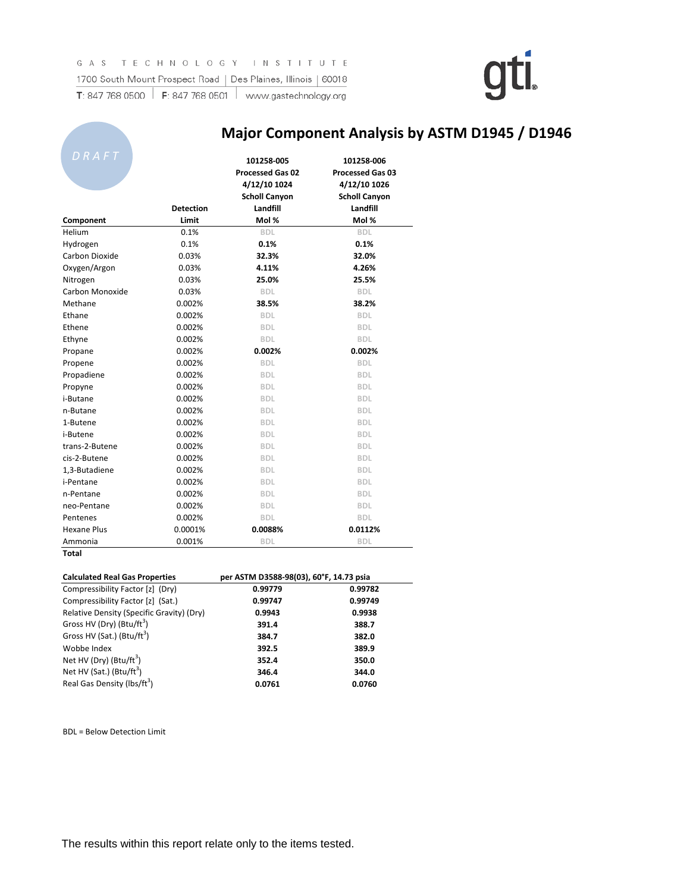| DRAFT              |                  | 101258-005<br><b>Processed Gas 02</b><br>4/12/10 1024<br><b>Scholl Canyon</b> | 101258-006<br><b>Processed Gas 03</b><br>4/12/10 1026<br><b>Scholl Canyon</b> |
|--------------------|------------------|-------------------------------------------------------------------------------|-------------------------------------------------------------------------------|
|                    | <b>Detection</b> | Landfill                                                                      | Landfill                                                                      |
| Component          | Limit            | Mol %                                                                         | Mol %                                                                         |
| Helium             | 0.1%             | <b>BDL</b>                                                                    | <b>BDL</b>                                                                    |
| Hydrogen           | 0.1%             | 0.1%                                                                          | 0.1%                                                                          |
| Carbon Dioxide     | 0.03%            | 32.3%                                                                         | 32.0%                                                                         |
| Oxygen/Argon       | 0.03%            | 4.11%                                                                         | 4.26%                                                                         |
| Nitrogen           | 0.03%            | 25.0%                                                                         | 25.5%                                                                         |
| Carbon Monoxide    | 0.03%            | <b>BDL</b>                                                                    | <b>BDL</b>                                                                    |
| Methane            | 0.002%           | 38.5%                                                                         | 38.2%                                                                         |
| Ethane             | 0.002%           | <b>BDL</b>                                                                    | <b>BDL</b>                                                                    |
| Ethene             | 0.002%           | <b>BDL</b>                                                                    | <b>BDL</b>                                                                    |
| Ethyne             | 0.002%           | <b>BDL</b>                                                                    | <b>BDL</b>                                                                    |
| Propane            | 0.002%           | 0.002%                                                                        | 0.002%                                                                        |
| Propene            | 0.002%           | <b>BDL</b>                                                                    | <b>BDL</b>                                                                    |
| Propadiene         | 0.002%           | <b>BDL</b>                                                                    | <b>BDL</b>                                                                    |
| Propyne            | 0.002%           | <b>BDL</b>                                                                    | <b>BDL</b>                                                                    |
| i-Butane           | 0.002%           | <b>BDL</b>                                                                    | <b>BDL</b>                                                                    |
| n-Butane           | 0.002%           | <b>BDL</b>                                                                    | <b>BDL</b>                                                                    |
| 1-Butene           | 0.002%           | <b>BDL</b>                                                                    | <b>BDL</b>                                                                    |
| i-Butene           | 0.002%           | <b>BDL</b>                                                                    | <b>BDL</b>                                                                    |
| trans-2-Butene     | 0.002%           | <b>BDL</b>                                                                    | <b>BDL</b>                                                                    |
| cis-2-Butene       | 0.002%           | <b>BDL</b>                                                                    | <b>BDL</b>                                                                    |
| 1,3-Butadiene      | 0.002%           | <b>BDL</b>                                                                    | <b>BDL</b>                                                                    |
| i-Pentane          | 0.002%           | <b>BDL</b>                                                                    | <b>BDL</b>                                                                    |
| n-Pentane          | 0.002%           | <b>BDL</b>                                                                    | <b>BDL</b>                                                                    |
| neo-Pentane        | 0.002%           | <b>BDL</b>                                                                    | <b>BDL</b>                                                                    |
| Pentenes           | 0.002%           | <b>BDL</b>                                                                    | <b>BDL</b>                                                                    |
| <b>Hexane Plus</b> | 0.0001%          | 0.0088%                                                                       | 0.0112%                                                                       |
| Ammonia            | 0.001%           | <b>BDL</b>                                                                    | <b>BDL</b>                                                                    |

### **Major Component Analysis by ASTM D1945 / D1946**

| <b>Calculated Real Gas Properties</b>     | per ASTM D3588-98(03), 60°F, 14.73 psia |         |  |
|-------------------------------------------|-----------------------------------------|---------|--|
| Compressibility Factor [z] (Dry)          | 0.99779                                 | 0.99782 |  |
| Compressibility Factor [z] (Sat.)         | 0.99747                                 | 0.99749 |  |
| Relative Density (Specific Gravity) (Dry) | 0.9943                                  | 0.9938  |  |
| Gross HV (Dry) (Btu/ft <sup>3</sup> )     | 391.4                                   | 388.7   |  |
| Gross HV (Sat.) (Btu/ft <sup>3</sup> )    | 384.7                                   | 382.0   |  |
| Wobbe Index                               | 392.5                                   | 389.9   |  |
| Net HV (Dry) $(Btu/ft^3)$                 | 352.4                                   | 350.0   |  |
| Net HV (Sat.) (Btu/ft <sup>3</sup> )      | 346.4                                   | 344.0   |  |
| Real Gas Density (lbs/ft <sup>3</sup> )   | 0.0761                                  | 0.0760  |  |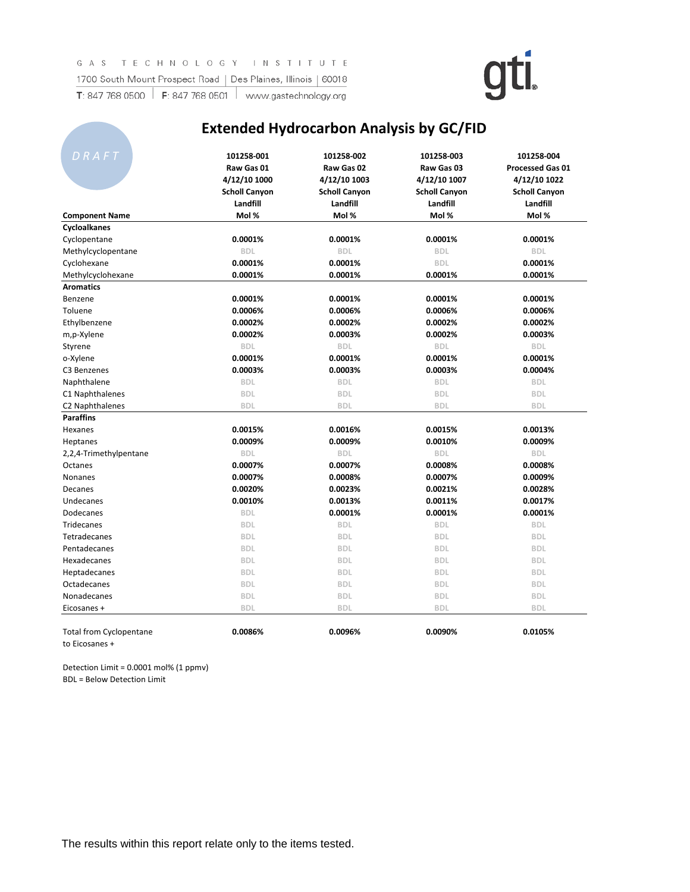

### **Extended Hydrocarbon Analysis by GC/FID**

| DRAFT                          | 101258-001<br>Raw Gas 01<br>4/12/10 1000<br><b>Scholl Canyon</b> | 101258-002<br>Raw Gas 02<br>4/12/10 1003<br><b>Scholl Canyon</b> | 101258-003<br>Raw Gas 03<br>4/12/10 1007<br><b>Scholl Canyon</b> | 101258-004<br><b>Processed Gas 01</b><br>4/12/10 1022<br><b>Scholl Canyon</b> |
|--------------------------------|------------------------------------------------------------------|------------------------------------------------------------------|------------------------------------------------------------------|-------------------------------------------------------------------------------|
|                                | Landfill                                                         | Landfill                                                         | Landfill                                                         | Landfill                                                                      |
| <b>Component Name</b>          | Mol %                                                            | Mol %                                                            | Mol %                                                            | Mol %                                                                         |
| Cycloalkanes                   | 0.0001%                                                          | 0.0001%                                                          | 0.0001%                                                          | 0.0001%                                                                       |
| Cyclopentane                   |                                                                  |                                                                  |                                                                  |                                                                               |
| Methylcyclopentane             | <b>BDL</b>                                                       | <b>BDL</b>                                                       | <b>BDL</b>                                                       | <b>BDL</b>                                                                    |
| Cyclohexane                    | 0.0001%                                                          | 0.0001%                                                          | <b>BDL</b>                                                       | 0.0001%                                                                       |
| Methylcyclohexane              | 0.0001%                                                          | 0.0001%                                                          | 0.0001%                                                          | 0.0001%                                                                       |
| <b>Aromatics</b>               |                                                                  |                                                                  |                                                                  |                                                                               |
| Benzene                        | 0.0001%                                                          | 0.0001%                                                          | 0.0001%                                                          | 0.0001%                                                                       |
| Toluene                        | 0.0006%                                                          | 0.0006%                                                          | 0.0006%                                                          | 0.0006%                                                                       |
| Ethylbenzene                   | 0.0002%                                                          | 0.0002%                                                          | 0.0002%                                                          | 0.0002%                                                                       |
| m,p-Xylene                     | 0.0002%                                                          | 0.0003%                                                          | 0.0002%                                                          | 0.0003%                                                                       |
| Styrene                        | <b>BDL</b>                                                       | <b>BDL</b>                                                       | <b>BDL</b>                                                       | <b>BDL</b>                                                                    |
| o-Xylene                       | 0.0001%                                                          | 0.0001%                                                          | 0.0001%                                                          | 0.0001%                                                                       |
| C3 Benzenes                    | 0.0003%                                                          | 0.0003%                                                          | 0.0003%                                                          | 0.0004%                                                                       |
| Naphthalene                    | <b>BDL</b>                                                       | <b>BDL</b>                                                       | <b>BDL</b>                                                       | <b>BDL</b>                                                                    |
| C1 Naphthalenes                | <b>BDL</b>                                                       | <b>BDL</b>                                                       | <b>BDL</b>                                                       | <b>BDL</b>                                                                    |
| C <sub>2</sub> Naphthalenes    | <b>BDL</b>                                                       | <b>BDL</b>                                                       | <b>BDL</b>                                                       | <b>BDL</b>                                                                    |
| <b>Paraffins</b>               |                                                                  |                                                                  |                                                                  |                                                                               |
| Hexanes                        | 0.0015%                                                          | 0.0016%                                                          | 0.0015%                                                          | 0.0013%                                                                       |
| Heptanes                       | 0.0009%                                                          | 0.0009%                                                          | 0.0010%                                                          | 0.0009%                                                                       |
| 2,2,4-Trimethylpentane         | <b>BDL</b>                                                       | <b>BDL</b>                                                       | <b>BDL</b>                                                       | <b>BDL</b>                                                                    |
| Octanes                        | 0.0007%                                                          | 0.0007%                                                          | 0.0008%                                                          | 0.0008%                                                                       |
| <b>Nonanes</b>                 | 0.0007%                                                          | 0.0008%                                                          | 0.0007%                                                          | 0.0009%                                                                       |
| Decanes                        | 0.0020%                                                          | 0.0023%                                                          | 0.0021%                                                          | 0.0028%                                                                       |
| Undecanes                      | 0.0010%                                                          | 0.0013%                                                          | 0.0011%                                                          | 0.0017%                                                                       |
| Dodecanes                      | <b>BDL</b>                                                       | 0.0001%                                                          | 0.0001%                                                          | 0.0001%                                                                       |
| <b>Tridecanes</b>              | <b>BDL</b>                                                       | <b>BDL</b>                                                       | <b>BDL</b>                                                       | <b>BDL</b>                                                                    |
| Tetradecanes                   | <b>BDL</b>                                                       | <b>BDL</b>                                                       | <b>BDL</b>                                                       | <b>BDL</b>                                                                    |
| Pentadecanes                   | <b>BDL</b>                                                       | <b>BDL</b>                                                       | <b>BDL</b>                                                       | <b>BDL</b>                                                                    |
| Hexadecanes                    | <b>BDL</b>                                                       | <b>BDL</b>                                                       | <b>BDL</b>                                                       | <b>BDL</b>                                                                    |
| Heptadecanes                   | <b>BDL</b>                                                       | <b>BDL</b>                                                       | <b>BDL</b>                                                       | <b>BDL</b>                                                                    |
| Octadecanes                    | <b>BDL</b>                                                       | <b>BDL</b>                                                       | <b>BDL</b>                                                       | <b>BDL</b>                                                                    |
| Nonadecanes                    | <b>BDL</b>                                                       | <b>BDL</b>                                                       | <b>BDL</b>                                                       | <b>BDL</b>                                                                    |
| Eicosanes +                    | <b>BDL</b>                                                       | <b>BDL</b>                                                       | <b>BDL</b>                                                       | <b>BDL</b>                                                                    |
| <b>Total from Cyclopentane</b> | 0.0086%                                                          | 0.0096%                                                          | 0.0090%                                                          | 0.0105%                                                                       |

to Eicosanes +

Detection Limit = 0.0001 mol% (1 ppmv) BDL = Below Detection Limit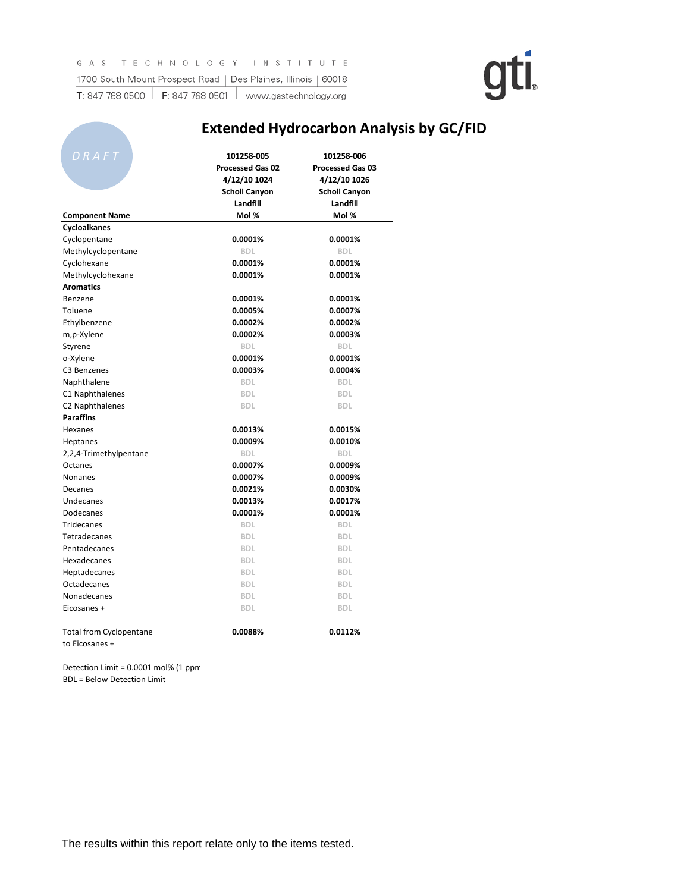### **Extended Hydrocarbon Analysis by GC/FID**

| DRAFT                          | 101258-005              | 101258-006              |
|--------------------------------|-------------------------|-------------------------|
|                                | <b>Processed Gas 02</b> | <b>Processed Gas 03</b> |
|                                | 4/12/10 1024            | 4/12/10 1026            |
|                                | <b>Scholl Canyon</b>    | <b>Scholl Canyon</b>    |
|                                | Landfill                | Landfill                |
| <b>Component Name</b>          | Mol %                   | Mol %                   |
| Cycloalkanes                   |                         |                         |
| Cyclopentane                   | 0.0001%                 | 0.0001%                 |
| Methylcyclopentane             | <b>BDL</b>              | <b>BDL</b>              |
| Cyclohexane                    | 0.0001%                 | 0.0001%                 |
| Methylcyclohexane              | 0.0001%                 | 0.0001%                 |
| <b>Aromatics</b>               |                         |                         |
| Benzene                        | 0.0001%                 | 0.0001%                 |
| Toluene                        | 0.0005%                 | 0.0007%                 |
| Ethylbenzene                   | 0.0002%                 | 0.0002%                 |
| m,p-Xylene                     | 0.0002%                 | 0.0003%                 |
| Styrene                        | <b>BDL</b>              | <b>BDL</b>              |
| o-Xylene                       | 0.0001%                 | 0.0001%                 |
| C <sub>3</sub> Benzenes        | 0.0003%                 | 0.0004%                 |
| Naphthalene                    | <b>BDL</b>              | <b>BDL</b>              |
| C1 Naphthalenes                | <b>BDL</b>              | <b>BDL</b>              |
| C2 Naphthalenes                | <b>BDL</b>              | <b>BDL</b>              |
| <b>Paraffins</b>               |                         |                         |
| Hexanes                        | 0.0013%                 | 0.0015%                 |
| <b>Heptanes</b>                | 0.0009%                 | 0.0010%                 |
| 2,2,4-Trimethylpentane         | <b>BDL</b>              | <b>BDL</b>              |
| Octanes                        | 0.0007%                 | 0.0009%                 |
| Nonanes                        | 0.0007%                 | 0.0009%                 |
| Decanes                        | 0.0021%                 | 0.0030%                 |
| Undecanes                      | 0.0013%                 | 0.0017%                 |
| Dodecanes                      | 0.0001%                 | 0.0001%                 |
| Tridecanes                     | <b>BDL</b>              | <b>BDL</b>              |
| Tetradecanes                   | <b>BDL</b>              | <b>BDL</b>              |
| Pentadecanes                   | <b>BDL</b>              | <b>BDL</b>              |
| Hexadecanes                    | <b>BDL</b>              | <b>BDL</b>              |
| <b>Heptadecanes</b>            | <b>BDL</b>              | <b>BDL</b>              |
| Octadecanes                    | <b>BDL</b>              | <b>BDL</b>              |
| Nonadecanes                    | <b>BDL</b>              | <b>BDL</b>              |
| Eicosanes +                    | <b>BDL</b>              | <b>BDL</b>              |
|                                |                         |                         |
| <b>Total from Cyclopentane</b> | 0.0088%                 | 0.0112%                 |

to Eicosanes +

**CONTRACTOR** 

Detection Limit = 0.0001 mol% (1 ppm BDL = Below Detection Limit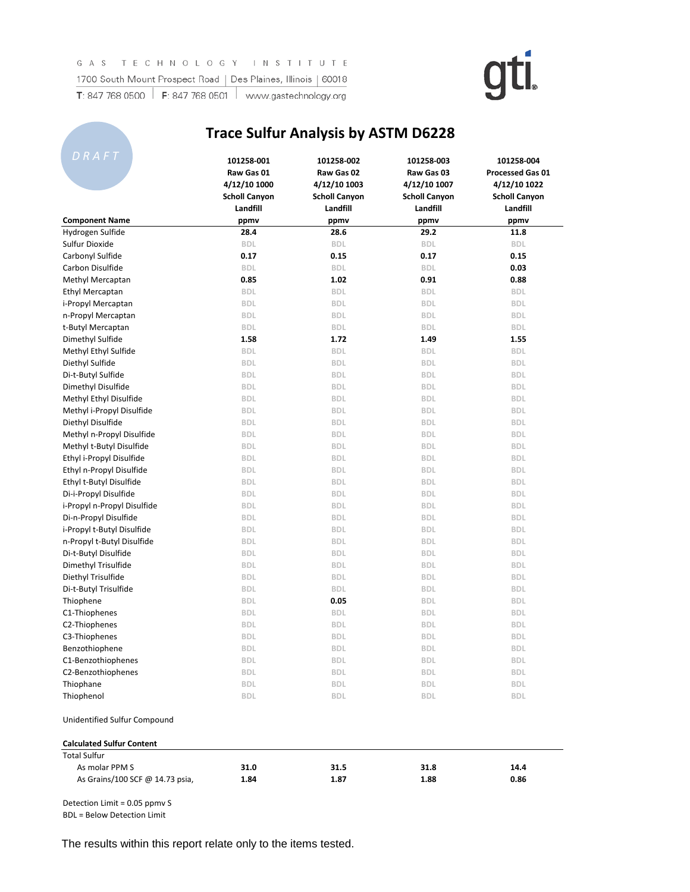

### **Trace Sulfur Analysis by ASTM D6228**

| DRAFT                            | 101258-001<br>Raw Gas 01<br>4/12/10 1000 | 101258-002<br>Raw Gas 02<br>4/12/10 1003 | 101258-003<br>Raw Gas 03<br>4/12/10 1007 | 101258-004<br><b>Processed Gas 01</b><br>4/12/10 1022 |
|----------------------------------|------------------------------------------|------------------------------------------|------------------------------------------|-------------------------------------------------------|
|                                  | <b>Scholl Canyon</b><br>Landfill         | <b>Scholl Canyon</b><br>Landfill         | <b>Scholl Canyon</b><br>Landfill         | <b>Scholl Canyon</b><br>Landfill                      |
| <b>Component Name</b>            | ppmv                                     | ppmv                                     | ppmv                                     | ppmv                                                  |
| Hydrogen Sulfide                 | 28.4                                     | 28.6                                     | 29.2                                     | 11.8                                                  |
| Sulfur Dioxide                   | <b>BDL</b>                               | <b>BDL</b>                               | <b>BDL</b>                               | <b>BDL</b>                                            |
| Carbonyl Sulfide                 | 0.17                                     | 0.15                                     | 0.17                                     | 0.15                                                  |
| Carbon Disulfide                 | <b>BDL</b>                               | <b>BDL</b>                               | <b>BDL</b>                               | 0.03                                                  |
| Methyl Mercaptan                 | 0.85                                     | 1.02                                     | 0.91                                     | 0.88                                                  |
| <b>Ethyl Mercaptan</b>           | <b>BDL</b>                               | <b>BDL</b>                               | <b>BDL</b>                               | <b>BDL</b>                                            |
| i-Propyl Mercaptan               | <b>BDL</b>                               | <b>BDL</b>                               | <b>BDL</b>                               | <b>BDL</b>                                            |
| n-Propyl Mercaptan               | <b>BDL</b>                               | <b>BDL</b>                               | <b>BDL</b>                               | <b>BDL</b>                                            |
| t-Butyl Mercaptan                | <b>BDL</b>                               | <b>BDL</b>                               | <b>BDL</b>                               | <b>BDL</b>                                            |
| Dimethyl Sulfide                 | 1.58                                     | 1.72                                     | 1.49                                     | 1.55                                                  |
| Methyl Ethyl Sulfide             | <b>BDL</b>                               | <b>BDL</b>                               | <b>BDL</b>                               | <b>BDL</b>                                            |
| Diethyl Sulfide                  | <b>BDL</b>                               | <b>BDL</b>                               | <b>BDL</b>                               | <b>BDL</b>                                            |
| Di-t-Butyl Sulfide               | <b>BDL</b>                               | <b>BDL</b>                               | <b>BDL</b>                               | <b>BDL</b>                                            |
| Dimethyl Disulfide               | <b>BDL</b>                               | <b>BDL</b>                               | <b>BDL</b>                               | <b>BDL</b>                                            |
| Methyl Ethyl Disulfide           | <b>BDL</b>                               | <b>BDL</b>                               | <b>BDL</b>                               | <b>BDL</b>                                            |
| Methyl i-Propyl Disulfide        | <b>BDL</b>                               | <b>BDL</b>                               | <b>BDL</b>                               | <b>BDL</b>                                            |
| Diethyl Disulfide                | <b>BDL</b>                               | <b>BDL</b>                               | <b>BDL</b>                               | <b>BDL</b>                                            |
| Methyl n-Propyl Disulfide        | <b>BDL</b>                               | <b>BDL</b>                               | <b>BDL</b>                               | <b>BDL</b>                                            |
| Methyl t-Butyl Disulfide         | <b>BDL</b>                               | <b>BDL</b>                               | <b>BDL</b>                               | <b>BDL</b>                                            |
| Ethyl i-Propyl Disulfide         | <b>BDL</b>                               | <b>BDL</b>                               | <b>BDL</b>                               | <b>BDL</b>                                            |
| Ethyl n-Propyl Disulfide         | <b>BDL</b>                               | <b>BDL</b>                               | <b>BDL</b>                               | <b>BDL</b>                                            |
| Ethyl t-Butyl Disulfide          | <b>BDL</b>                               | <b>BDL</b>                               | <b>BDL</b>                               | <b>BDL</b>                                            |
| Di-i-Propyl Disulfide            | <b>BDL</b>                               | <b>BDL</b>                               | <b>BDL</b>                               | <b>BDL</b>                                            |
| i-Propyl n-Propyl Disulfide      | <b>BDL</b>                               | <b>BDL</b>                               | <b>BDL</b>                               | <b>BDL</b>                                            |
| Di-n-Propyl Disulfide            | <b>BDL</b>                               | <b>BDL</b>                               | <b>BDL</b>                               | <b>BDL</b>                                            |
| i-Propyl t-Butyl Disulfide       | <b>BDL</b>                               | <b>BDL</b>                               | <b>BDL</b>                               | <b>BDL</b>                                            |
| n-Propyl t-Butyl Disulfide       | <b>BDL</b>                               | <b>BDL</b>                               | <b>BDL</b>                               | <b>BDL</b>                                            |
| Di-t-Butyl Disulfide             | <b>BDL</b>                               | <b>BDL</b>                               | <b>BDL</b>                               | <b>BDL</b>                                            |
| Dimethyl Trisulfide              | <b>BDL</b>                               | <b>BDL</b>                               | <b>BDL</b>                               | <b>BDL</b>                                            |
| Diethyl Trisulfide               | <b>BDL</b>                               | <b>BDL</b>                               | <b>BDL</b>                               | <b>BDL</b>                                            |
| Di-t-Butyl Trisulfide            | <b>BDL</b>                               | <b>BDL</b>                               | <b>BDL</b>                               | <b>BDL</b>                                            |
| Thiophene                        | <b>BDL</b>                               | 0.05                                     | <b>BDL</b>                               | <b>BDL</b>                                            |
| C1-Thiophenes                    | <b>BDL</b>                               | <b>BDL</b>                               | <b>BDL</b>                               | <b>BDL</b>                                            |
| C2-Thiophenes                    | <b>BDL</b>                               | <b>BDL</b>                               | <b>BDL</b>                               | <b>BDL</b>                                            |
| C3-Thiophenes                    | <b>BDL</b>                               | <b>BDL</b>                               | <b>BDL</b>                               | <b>BDL</b>                                            |
| Benzothiophene                   | <b>BDL</b>                               | <b>BDL</b>                               | <b>BDL</b>                               | <b>BDL</b>                                            |
| C1-Benzothiophenes               | <b>BDL</b>                               | <b>BDL</b>                               | <b>BDL</b>                               | <b>BDL</b>                                            |
| C2-Benzothiophenes               | BDL                                      | BDL                                      | <b>BDL</b>                               | <b>BDL</b>                                            |
| Thiophane                        | <b>BDL</b>                               | <b>BDL</b>                               | <b>BDL</b>                               | <b>BDL</b>                                            |
| Thiophenol                       | <b>BDL</b>                               | <b>BDL</b>                               | <b>BDL</b>                               | <b>BDL</b>                                            |
| Unidentified Sulfur Compound     |                                          |                                          |                                          |                                                       |
| <b>Calculated Sulfur Content</b> |                                          |                                          |                                          |                                                       |
| <b>Total Sulfur</b>              |                                          |                                          |                                          |                                                       |
| As molar PPM S                   | 31.0                                     | 31.5                                     | 31.8                                     | 14.4                                                  |
| As Grains/100 SCF @ 14.73 psia,  | 1.84                                     | 1.87                                     | 1.88                                     | 0.86                                                  |

Detection Limit = 0.05 ppmv S

BDL = Below Detection Limit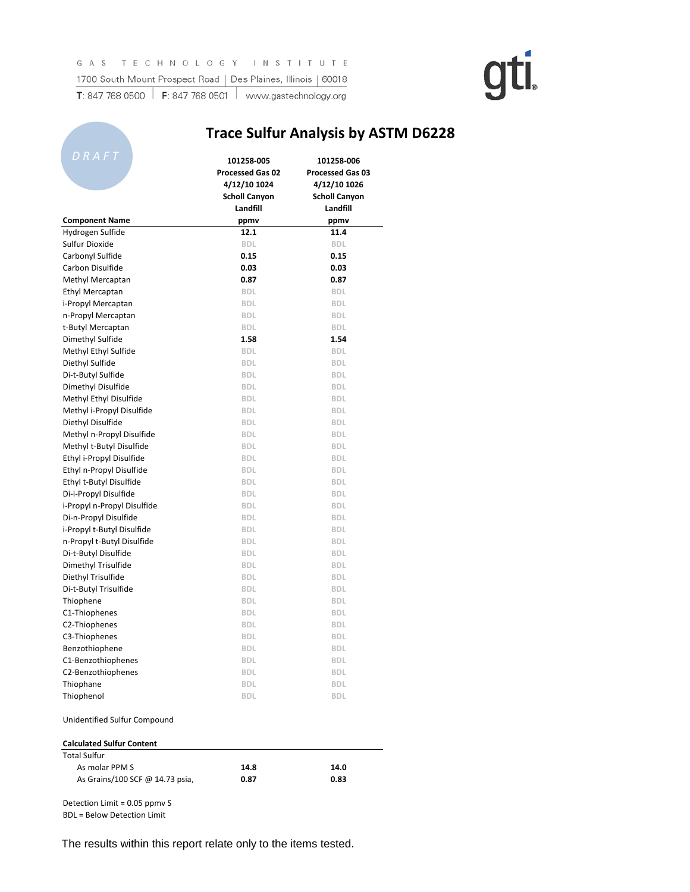**All Dealers** 

**Trace Sulfur Analysis by ASTM D6228**

# gti.

| DRAFT                            | 101258-005<br><b>Processed Gas 02</b> | 101258 006<br><b>Processed Gas 03</b> |  |
|----------------------------------|---------------------------------------|---------------------------------------|--|
|                                  | 4/12/10 1024                          | 4/12/10 1026                          |  |
|                                  | <b>Scholl Canyon</b>                  | <b>Scholl Canyon</b>                  |  |
|                                  | Landfill                              | Landfill                              |  |
| <b>Component Name</b>            | ppmv                                  | ppmv                                  |  |
| Hydrogen Sulfide                 | 12.1                                  | 11.4                                  |  |
| Sulfur Dioxide                   | <b>BDL</b>                            | <b>BDL</b>                            |  |
| Carbonyl Sulfide                 | 0.15                                  | 0.15                                  |  |
| Carbon Disulfide                 | 0.03                                  | 0.03                                  |  |
| Methyl Mercaptan                 | 0.87<br><b>BDL</b>                    | 0.87<br><b>BDL</b>                    |  |
| <b>Ethyl Mercaptan</b>           |                                       | <b>BDL</b>                            |  |
| i-Propyl Mercaptan               | <b>BDL</b>                            |                                       |  |
| n-Propyl Mercaptan               | <b>BDL</b>                            | <b>BDL</b>                            |  |
| t-Butyl Mercaptan                | <b>BDL</b>                            | <b>BDL</b>                            |  |
| Dimethyl Sulfide                 | 1.58                                  | 1.54                                  |  |
| Methyl Ethyl Sulfide             | <b>BDL</b>                            | <b>BDL</b>                            |  |
| Diethyl Sulfide                  | <b>BDL</b>                            | <b>BDL</b>                            |  |
| Di-t-Butyl Sulfide               | <b>BDL</b>                            | <b>BDL</b>                            |  |
| Dimethyl Disulfide               | <b>BDL</b>                            | <b>BDL</b>                            |  |
| Methyl Ethyl Disulfide           | <b>BDL</b>                            | <b>BDL</b>                            |  |
| Methyl i-Propyl Disulfide        | <b>BDL</b>                            | <b>BDL</b>                            |  |
| Diethyl Disulfide                | <b>BDL</b>                            | <b>BDL</b>                            |  |
| Methyl n-Propyl Disulfide        | <b>BDL</b>                            | <b>BDL</b>                            |  |
| Methyl t-Butyl Disulfide         | <b>BDL</b>                            | <b>BDL</b>                            |  |
| Ethyl i-Propyl Disulfide         | <b>BDL</b>                            | <b>BDL</b>                            |  |
| Ethyl n-Propyl Disulfide         | <b>BDL</b>                            | <b>BDL</b>                            |  |
| Ethyl t-Butyl Disulfide          | <b>BDL</b>                            | <b>BDL</b>                            |  |
| Di-i-Propyl Disulfide            | <b>BDL</b>                            | <b>BDL</b>                            |  |
| i-Propyl n-Propyl Disulfide      | <b>BDL</b>                            | <b>BDL</b>                            |  |
| Di-n-Propyl Disulfide            | <b>BDL</b>                            | <b>BDL</b>                            |  |
| i-Propyl t-Butyl Disulfide       | <b>BDL</b>                            | <b>BDL</b>                            |  |
| n-Propyl t-Butyl Disulfide       | <b>BDL</b>                            | <b>BDL</b>                            |  |
| Di-t-Butyl Disulfide             | <b>BDL</b>                            | <b>BDL</b>                            |  |
| Dimethyl Trisulfide              | <b>BDL</b>                            | <b>BDL</b>                            |  |
| Diethyl Trisulfide               | <b>BDL</b>                            | <b>BDL</b>                            |  |
| Di-t-Butyl Trisulfide            | <b>BDL</b>                            | <b>BDL</b>                            |  |
| Thiophene                        | <b>BDL</b>                            | <b>BDL</b>                            |  |
| C1-Thiophenes                    | <b>BDL</b>                            | <b>BDL</b>                            |  |
| C2-Thiophenes                    | <b>BDL</b>                            | <b>BDL</b>                            |  |
| C3-Thiophenes                    | <b>BDL</b>                            | <b>BDL</b>                            |  |
| Benzothiophene                   | <b>BDL</b>                            | <b>BDL</b>                            |  |
| C1-Benzothiophenes               | <b>BDL</b>                            | BDL                                   |  |
| C2-Benzothiophenes               | <b>BDL</b>                            | <b>BDL</b>                            |  |
| Thiophane                        | <b>BDL</b>                            | <b>BDL</b>                            |  |
| Thiophenol                       | <b>BDL</b>                            | <b>BDL</b>                            |  |
| Unidentified Sulfur Compound     |                                       |                                       |  |
| <b>Calculated Sulfur Content</b> |                                       |                                       |  |
| <b>Total Sulfur</b>              |                                       |                                       |  |
| As molar PPM S                   | 14.8                                  | 14.0                                  |  |
| As Grains/100 SCF @ 14.73 psia,  | 0.87                                  | 0.83                                  |  |

Detection Limit = 0.05 ppmv S

BDL = Below Detection Limit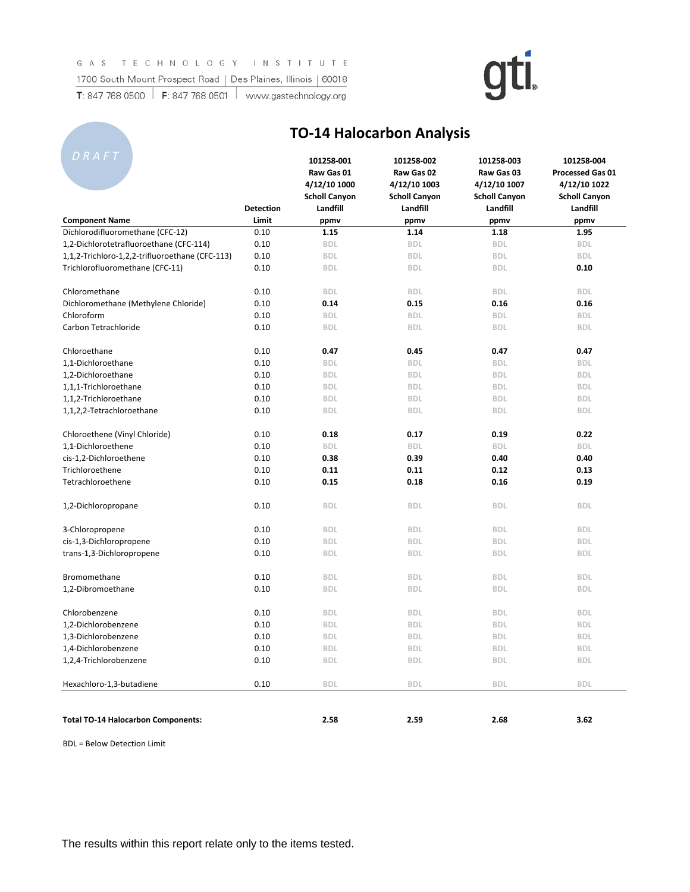#### GAS TECHNOLOGY INSTITUTE

1700 South Mount Prospect Road | Des Plaines, Illinois | 60018 T: 847 768 0500  $\parallel$  F: 847 768 0501  $\parallel$  www.gastechnology.org

# gti.

**101258-001 101258-002 101258-003 101258-004**

|                                                 | <b>Detection</b> | Raw Gas 01<br>4/12/10 1000<br><b>Scholl Canyon</b><br>Landfill | Raw Gas 02<br>4/12/10 1003<br><b>Scholl Canyon</b><br>Landfill | Raw Gas 03<br>4/12/10 1007<br><b>Scholl Canyon</b><br>Landfill | Processed Gas 01<br>4/12/10 1022<br><b>Scholl Canyon</b><br>Landfill |
|-------------------------------------------------|------------------|----------------------------------------------------------------|----------------------------------------------------------------|----------------------------------------------------------------|----------------------------------------------------------------------|
| <b>Component Name</b>                           | Limit            | ppmv                                                           | ppmv                                                           | ppmv                                                           | ppmv                                                                 |
| Dichlorodifluoromethane (CFC-12)                | 0.10             | 1.15                                                           | 1.14                                                           | 1.18                                                           | 1.95                                                                 |
| 1,2-Dichlorotetrafluoroethane (CFC-114)         | 0.10             | <b>BDL</b>                                                     | <b>BDL</b>                                                     | <b>BDL</b>                                                     | <b>BDL</b>                                                           |
| 1,1,2-Trichloro-1,2,2-trifluoroethane (CFC-113) | 0.10             | <b>BDL</b>                                                     | <b>BDL</b>                                                     | <b>BDL</b>                                                     | <b>BDL</b>                                                           |
| Trichlorofluoromethane (CFC-11)                 | 0.10             | <b>BDL</b>                                                     | <b>BDL</b>                                                     | <b>BDL</b>                                                     | 0.10                                                                 |
| Chloromethane                                   | 0.10             | <b>BDL</b>                                                     | <b>BDL</b>                                                     | <b>BDL</b>                                                     | <b>BDL</b>                                                           |
| Dichloromethane (Methylene Chloride)            | 0.10             | 0.14                                                           | 0.15                                                           | 0.16                                                           | 0.16                                                                 |
| Chloroform                                      | 0.10             | <b>BDL</b>                                                     | <b>BDL</b>                                                     | <b>BDL</b>                                                     | <b>BDL</b>                                                           |
| Carbon Tetrachloride                            | 0.10             | <b>BDL</b>                                                     | <b>BDL</b>                                                     | <b>BDL</b>                                                     | <b>BDL</b>                                                           |
| Chloroethane                                    | 0.10             | 0.47                                                           | 0.45                                                           | 0.47                                                           | 0.47                                                                 |
| 1,1-Dichloroethane                              | 0.10             | <b>BDL</b>                                                     | <b>BDL</b>                                                     | <b>BDL</b>                                                     | <b>BDL</b>                                                           |
| 1,2-Dichloroethane                              | 0.10             | <b>BDL</b>                                                     | <b>BDL</b>                                                     | <b>BDL</b>                                                     | <b>BDL</b>                                                           |
| 1,1,1-Trichloroethane                           | 0.10             | <b>BDL</b>                                                     | <b>BDL</b>                                                     | <b>BDL</b>                                                     | <b>BDL</b>                                                           |
| 1,1,2-Trichloroethane                           | 0.10             | <b>BDL</b>                                                     | <b>BDL</b>                                                     | <b>BDL</b>                                                     | <b>BDL</b>                                                           |
| 1,1,2,2-Tetrachloroethane                       | 0.10             | <b>BDL</b>                                                     | <b>BDL</b>                                                     | <b>BDL</b>                                                     | <b>BDL</b>                                                           |
| Chloroethene (Vinyl Chloride)                   | 0.10             | 0.18                                                           | 0.17                                                           | 0.19                                                           | 0.22                                                                 |
| 1,1-Dichloroethene                              | 0.10             | <b>BDL</b>                                                     | <b>BDL</b>                                                     | <b>BDL</b>                                                     | <b>BDL</b>                                                           |
| cis-1,2-Dichloroethene                          | 0.10             | 0.38                                                           | 0.39                                                           | 0.40                                                           | 0.40                                                                 |
| Trichloroethene                                 | 0.10             | 0.11                                                           | 0.11                                                           | 0.12                                                           | 0.13                                                                 |
| Tetrachloroethene                               | 0.10             | 0.15                                                           | 0.18                                                           | 0.16                                                           | 0.19                                                                 |
| 1,2-Dichloropropane                             | 0.10             | <b>BDL</b>                                                     | <b>BDL</b>                                                     | <b>BDL</b>                                                     | <b>BDL</b>                                                           |
| 3-Chloropropene                                 | 0.10             | <b>BDL</b>                                                     | <b>BDL</b>                                                     | <b>BDL</b>                                                     | <b>BDL</b>                                                           |
| cis-1,3-Dichloropropene                         | 0.10             | <b>BDL</b>                                                     | <b>BDL</b>                                                     | <b>BDL</b>                                                     | <b>BDL</b>                                                           |
| trans-1,3-Dichloropropene                       | 0.10             | <b>BDL</b>                                                     | <b>BDL</b>                                                     | <b>BDL</b>                                                     | <b>BDL</b>                                                           |
| Bromomethane                                    | 0.10             | <b>BDL</b>                                                     | <b>BDL</b>                                                     | <b>BDL</b>                                                     | <b>BDL</b>                                                           |
| 1,2-Dibromoethane                               | 0.10             | <b>BDL</b>                                                     | <b>BDL</b>                                                     | <b>BDL</b>                                                     | <b>BDL</b>                                                           |
| Chlorobenzene                                   | 0.10             | <b>BDL</b>                                                     | <b>BDL</b>                                                     | <b>BDL</b>                                                     | <b>BDL</b>                                                           |
| 1,2-Dichlorobenzene                             | 0.10             | <b>BDL</b>                                                     | <b>BDL</b>                                                     | <b>BDL</b>                                                     | <b>BDL</b>                                                           |
| 1,3-Dichlorobenzene                             | 0.10             | <b>BDL</b>                                                     | <b>BDL</b>                                                     | <b>BDL</b>                                                     | <b>BDL</b>                                                           |
| 1,4-Dichlorobenzene                             | 0.10             | <b>BDL</b>                                                     | <b>BDL</b>                                                     | <b>BDL</b>                                                     | <b>BDL</b>                                                           |
| 1,2,4-Trichlorobenzene                          | 0.10             | <b>BDL</b>                                                     | <b>BDL</b>                                                     | <b>BDL</b>                                                     | <b>BDL</b>                                                           |
| Hexachloro-1,3-butadiene                        | 0.10             | <b>BDL</b>                                                     | <b>BDL</b>                                                     | <b>BDL</b>                                                     | <b>BDL</b>                                                           |
|                                                 |                  |                                                                |                                                                |                                                                |                                                                      |
| <b>Total TO-14 Halocarbon Components:</b>       |                  | 2.58                                                           | 2.59                                                           | 2.68                                                           | 3.62                                                                 |

**TO-14 Halocarbon Analysis**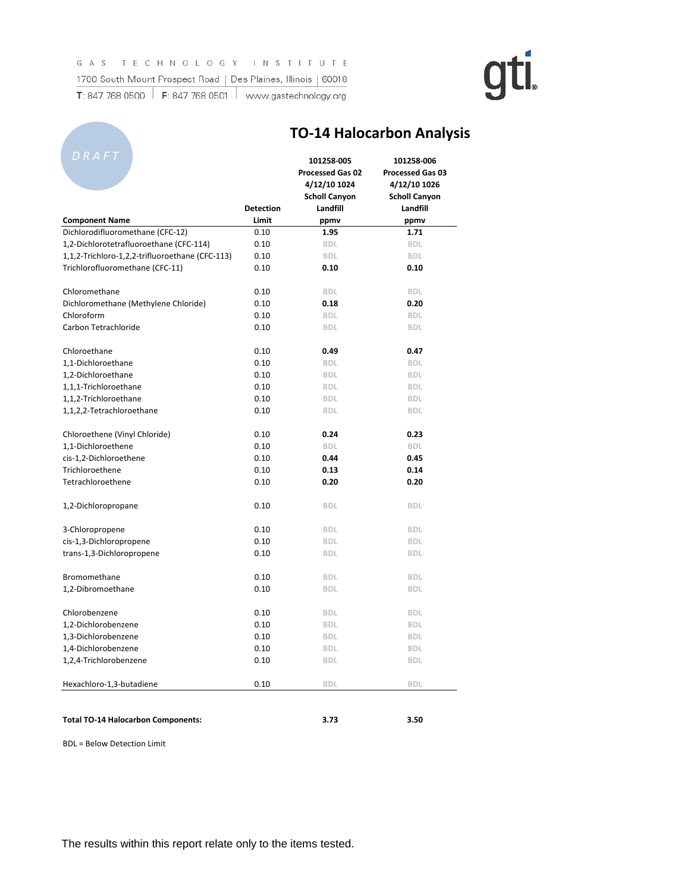### GAS TECHNOLOGY INSTITUTE 1700 South Mount Prospect Road | Des Plaines, Illinois | 60018

**T**: 847 768 0500 **F**: 847 768 0501 www.gastechnology.org

# gti.

**TO-14 Halocarbon Analysis**

| D R A F T                                       |                           | 101258-005<br><b>Processed Gas 02</b><br>4/12/10 1024<br><b>Scholl Canyon</b> | 101258-006<br><b>Processed Gas 03</b><br>4/12/10 1026<br><b>Scholl Canyon</b> |
|-------------------------------------------------|---------------------------|-------------------------------------------------------------------------------|-------------------------------------------------------------------------------|
| <b>Component Name</b>                           | <b>Detection</b><br>Limit | Landfill<br>ppmv                                                              | Landfill<br>ppmv                                                              |
| Dichlorodifluoromethane (CFC-12)                | 0.10                      | 1.95                                                                          | 1.71                                                                          |
| 1,2-Dichlorotetrafluoroethane (CFC-114)         | 0.10                      | <b>BDL</b>                                                                    | <b>BDL</b>                                                                    |
| 1,1,2-Trichloro-1,2,2-trifluoroethane (CFC-113) | 0.10                      | <b>BDL</b>                                                                    | <b>BDL</b>                                                                    |
| Trichlorofluoromethane (CFC-11)                 | 0.10                      | 0.10                                                                          | 0.10                                                                          |
| Chloromethane                                   | 0.10                      | <b>BDL</b>                                                                    | <b>BDL</b>                                                                    |
| Dichloromethane (Methylene Chloride)            | 0.10                      | 0.18                                                                          | 0.20                                                                          |
| Chloroform                                      | 0.10                      | <b>BDL</b>                                                                    | <b>BDL</b>                                                                    |
| Carbon Tetrachloride                            | 0.10                      | <b>BDL</b>                                                                    | <b>BDL</b>                                                                    |
| Chloroethane                                    | 0.10                      | 0.49                                                                          | 0.47                                                                          |
| 1,1-Dichloroethane                              | 0.10                      | <b>BDL</b>                                                                    | <b>BDL</b>                                                                    |
| 1,2-Dichloroethane                              | 0.10                      | <b>BDL</b>                                                                    | <b>BDL</b>                                                                    |
| 1,1,1-Trichloroethane                           | 0.10                      | <b>BDL</b>                                                                    | <b>BDL</b>                                                                    |
| 1,1,2-Trichloroethane                           | 0.10                      | <b>BDL</b>                                                                    | <b>BDL</b>                                                                    |
| 1,1,2,2-Tetrachloroethane                       | 0.10                      | <b>BDL</b>                                                                    | <b>BDL</b>                                                                    |
| Chloroethene (Vinyl Chloride)                   | 0.10                      | 0.24                                                                          | 0.23                                                                          |
| 1,1-Dichloroethene                              | 0.10                      | <b>BDL</b>                                                                    | <b>BDL</b>                                                                    |
| cis-1,2-Dichloroethene                          | 0.10                      | 0.44                                                                          | 0.45                                                                          |
| Trichloroethene                                 | 0.10                      | 0.13                                                                          | 0.14                                                                          |
| Tetrachloroethene                               | 0.10                      | 0.20                                                                          | 0.20                                                                          |
| 1,2-Dichloropropane                             | 0.10                      | <b>BDL</b>                                                                    | <b>BDL</b>                                                                    |
| 3-Chloropropene                                 | 0.10                      | <b>BDL</b>                                                                    | <b>BDL</b>                                                                    |
| cis-1,3-Dichloropropene                         | 0.10                      | <b>BDL</b>                                                                    | <b>BDL</b>                                                                    |
| trans-1,3-Dichloropropene                       | 0.10                      | <b>BDL</b>                                                                    | <b>BDL</b>                                                                    |
| Bromomethane                                    | 0.10                      | <b>BDL</b>                                                                    | <b>BDL</b>                                                                    |
| 1,2-Dibromoethane                               | 0.10                      | <b>BDL</b>                                                                    | <b>BDL</b>                                                                    |
| Chlorobenzene                                   | 0.10                      | <b>BDL</b>                                                                    | <b>BDL</b>                                                                    |
| 1,2-Dichlorobenzene                             | 0.10                      | <b>BDL</b>                                                                    | <b>BDL</b>                                                                    |
| 1.3-Dichlorobenzene                             | 0.10                      | <b>BDL</b>                                                                    | <b>BDL</b>                                                                    |
| 1,4-Dichlorobenzene                             | 0.10                      | <b>BDL</b>                                                                    | <b>BDL</b>                                                                    |
| 1,2,4-Trichlorobenzene                          | 0.10                      | <b>BDL</b>                                                                    | <b>BDL</b>                                                                    |
| Hexachloro-1,3-butadiene                        | 0.10                      | <b>BDL</b>                                                                    | <b>BDL</b>                                                                    |
| <b>Total TO-14 Halocarbon Components:</b>       |                           | 3.73                                                                          | 3.50                                                                          |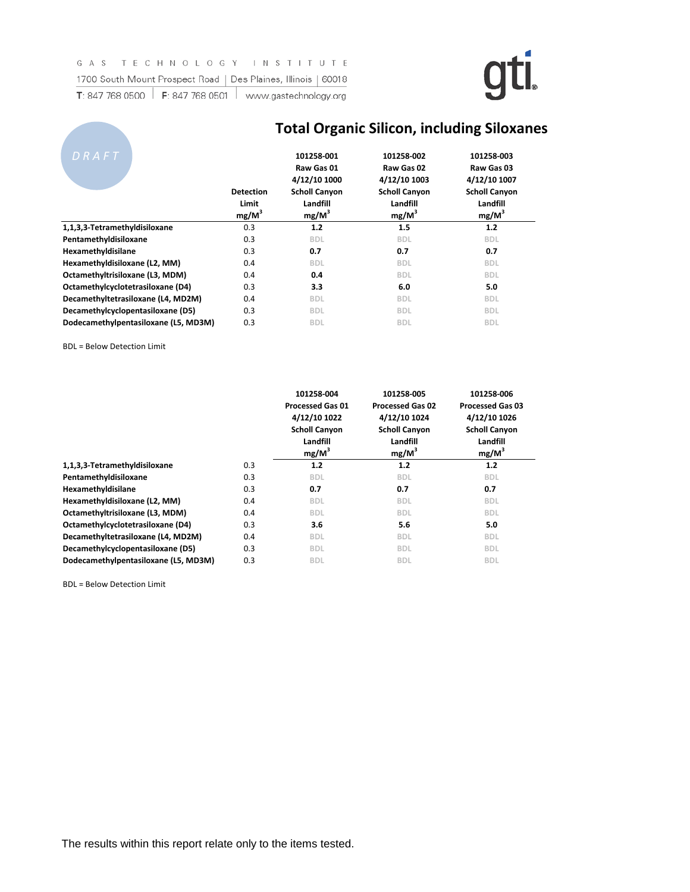

| T: 847 768 0500 | F: 847 768 0501 | www.gastechnology.org |
|-----------------|-----------------|-----------------------|
|-----------------|-----------------|-----------------------|

|                                      | <b>Total Organic Silicon, including Siloxanes</b> |                                                                                          |                                                                                          |                                                                                          |  |  |  |
|--------------------------------------|---------------------------------------------------|------------------------------------------------------------------------------------------|------------------------------------------------------------------------------------------|------------------------------------------------------------------------------------------|--|--|--|
| DRAFT                                | <b>Detection</b><br>Limit<br>$mg/M^3$             | 101258-001<br>Raw Gas 01<br>4/12/10 1000<br><b>Scholl Canyon</b><br>Landfill<br>$mg/M^3$ | 101258-002<br>Raw Gas 02<br>4/12/10 1003<br><b>Scholl Canyon</b><br>Landfill<br>$mg/M^3$ | 101258-003<br>Raw Gas 03<br>4/12/10 1007<br><b>Scholl Canyon</b><br>Landfill<br>$mg/M^3$ |  |  |  |
| 1,1,3,3-Tetramethyldisiloxane        | 0.3                                               | 1.2                                                                                      | 1.5                                                                                      | 1.2                                                                                      |  |  |  |
| Pentamethyldisiloxane                | 0.3                                               | <b>BDL</b>                                                                               | <b>BDL</b>                                                                               | <b>BDL</b>                                                                               |  |  |  |
| Hexamethyldisilane                   | 0.3                                               | 0.7                                                                                      | 0.7                                                                                      | 0.7                                                                                      |  |  |  |
| Hexamethyldisiloxane (L2, MM)        | 0.4                                               | <b>BDL</b>                                                                               | <b>BDL</b>                                                                               | <b>BDL</b>                                                                               |  |  |  |
| Octamethyltrisiloxane (L3, MDM)      | 0.4                                               | 0.4                                                                                      | <b>BDL</b>                                                                               | <b>BDL</b>                                                                               |  |  |  |
| Octamethylcyclotetrasiloxane (D4)    | 0.3                                               | 3.3                                                                                      | 6.0                                                                                      | 5.0                                                                                      |  |  |  |
| Decamethyltetrasiloxane (L4, MD2M)   | 0.4                                               | <b>BDL</b>                                                                               | <b>BDL</b>                                                                               | <b>BDL</b>                                                                               |  |  |  |
| Decamethylcyclopentasiloxane (D5)    | 0.3                                               | <b>BDL</b>                                                                               | <b>BDL</b>                                                                               | <b>BDL</b>                                                                               |  |  |  |
| Dodecamethylpentasiloxane (L5, MD3M) | 0.3                                               | <b>BDL</b>                                                                               | <b>BDL</b>                                                                               | <b>BDL</b>                                                                               |  |  |  |

#### BDL = Below Detection Limit

|                                      |     | 101258-004<br><b>Processed Gas 01</b><br>4/12/10 1022<br><b>Scholl Canyon</b><br>Landfill<br>$mg/M^3$ | 101258-005<br><b>Processed Gas 02</b><br>4/12/10 1024<br><b>Scholl Canyon</b><br>Landfill<br>$mg/M^3$ | 101258-006<br><b>Processed Gas 03</b><br>4/12/10 1026<br><b>Scholl Canyon</b><br>Landfill<br>$mg/M^3$ |
|--------------------------------------|-----|-------------------------------------------------------------------------------------------------------|-------------------------------------------------------------------------------------------------------|-------------------------------------------------------------------------------------------------------|
| 1,1,3,3-Tetramethyldisiloxane        | 0.3 | 1.2                                                                                                   | 1.2                                                                                                   | 1.2                                                                                                   |
| Pentamethyldisiloxane                | 0.3 | <b>BDL</b>                                                                                            | <b>BDL</b>                                                                                            | <b>BDL</b>                                                                                            |
| Hexamethyldisilane                   | 0.3 | 0.7                                                                                                   | 0.7                                                                                                   | 0.7                                                                                                   |
| Hexamethyldisiloxane (L2, MM)        | 0.4 | <b>BDL</b>                                                                                            | <b>BDL</b>                                                                                            | <b>BDL</b>                                                                                            |
| Octamethyltrisiloxane (L3, MDM)      | 0.4 | <b>BDL</b>                                                                                            | <b>BDL</b>                                                                                            | <b>BDL</b>                                                                                            |
| Octamethylcyclotetrasiloxane (D4)    | 0.3 | 3.6                                                                                                   | 5.6                                                                                                   | 5.0                                                                                                   |
| Decamethyltetrasiloxane (L4, MD2M)   | 0.4 | <b>BDL</b>                                                                                            | <b>BDL</b>                                                                                            | <b>BDL</b>                                                                                            |
| Decamethylcyclopentasiloxane (D5)    | 0.3 | <b>BDL</b>                                                                                            | <b>BDL</b>                                                                                            | <b>BDL</b>                                                                                            |
| Dodecamethylpentasiloxane (L5, MD3M) | 0.3 | <b>BDL</b>                                                                                            | <b>BDL</b>                                                                                            | <b>BDL</b>                                                                                            |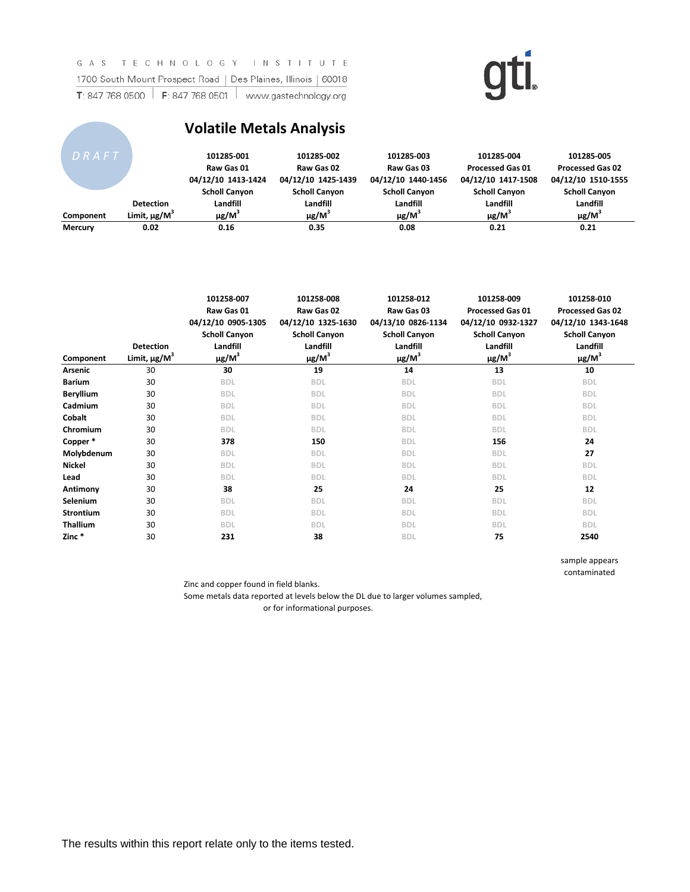GAS TECHNOLOGY INSTITUTE 1700 South Mount Prospect Road | Des Plaines, Illinois | 60018 T: 847 768 0500  $\vert$  F: 847 768 0501  $\vert$  www.gastechnology.org

**Contract Contract** 

## gti.

### **Volatile Metals Analysis**

| DRAFT          |                               | 101285-001<br>Raw Gas 01<br>04/12/10 1413-1424 | 101285-002<br>Raw Gas 02<br>04/12/10 1425-1439 | 101285-003<br>Raw Gas 03<br>04/12/10 1440-1456 | 101285-004<br><b>Processed Gas 01</b><br>04/12/10 1417-1508 | 101285-005<br><b>Processed Gas 02</b><br>04/12/10 1510-1555 |
|----------------|-------------------------------|------------------------------------------------|------------------------------------------------|------------------------------------------------|-------------------------------------------------------------|-------------------------------------------------------------|
|                |                               | <b>Scholl Canyon</b>                           | <b>Scholl Canyon</b>                           | <b>Scholl Canyon</b>                           | <b>Scholl Canyon</b>                                        | <b>Scholl Canyon</b>                                        |
|                | <b>Detection</b>              | Landfill                                       | Landfill                                       | Landfill                                       | Landfill                                                    | Landfill                                                    |
| Component      | Limit, $\mu$ g/M <sup>3</sup> | $\mu$ g/M <sup>3</sup>                         | $\mu$ g/M <sup>3</sup>                         | $\mu$ g/M <sup>3</sup>                         | $\mu$ g/M <sup>3</sup>                                      | $\mu$ g/M <sup>3</sup>                                      |
| <b>Mercury</b> | 0.02                          | 0.16                                           | 0.35                                           | 0.08                                           | 0.21                                                        | 0.21                                                        |

| Component        | <b>Detection</b><br>Limit, $\mu$ g/M <sup>3</sup> | 101258-007<br>Raw Gas 01<br>04/12/10 0905-1305<br><b>Scholl Canyon</b><br>Landfill<br>$\mu$ g/M $^3$ | 101258-008<br>Raw Gas 02<br>04/12/10 1325-1630<br><b>Scholl Canyon</b><br>Landfill<br>$\mu$ g/M $^3$ | 101258-012<br>Raw Gas 03<br>04/13/10 0826-1134<br><b>Scholl Canyon</b><br>Landfill<br>$\mu$ g/M <sup>3</sup> | 101258-009<br><b>Processed Gas 01</b><br>04/12/10 0932-1327<br><b>Scholl Canyon</b><br>Landfill<br>$\mu$ g/M <sup>3</sup> | 101258-010<br><b>Processed Gas 02</b><br>04/12/10 1343-1648<br><b>Scholl Canyon</b><br>Landfill<br>$\mu$ g/M <sup>3</sup> |
|------------------|---------------------------------------------------|------------------------------------------------------------------------------------------------------|------------------------------------------------------------------------------------------------------|--------------------------------------------------------------------------------------------------------------|---------------------------------------------------------------------------------------------------------------------------|---------------------------------------------------------------------------------------------------------------------------|
| <b>Arsenic</b>   | 30                                                | 30                                                                                                   | 19                                                                                                   | 14                                                                                                           | 13                                                                                                                        | 10                                                                                                                        |
| <b>Barium</b>    | 30                                                | <b>BDL</b>                                                                                           | <b>BDL</b>                                                                                           | <b>BDL</b>                                                                                                   | <b>BDL</b>                                                                                                                | <b>BDL</b>                                                                                                                |
| <b>Beryllium</b> | 30                                                | <b>BDL</b>                                                                                           | <b>BDL</b>                                                                                           | <b>BDL</b>                                                                                                   | <b>BDL</b>                                                                                                                | <b>BDL</b>                                                                                                                |
| Cadmium          | 30                                                | <b>BDL</b>                                                                                           | <b>BDL</b>                                                                                           | <b>BDL</b>                                                                                                   | <b>BDL</b>                                                                                                                | <b>BDL</b>                                                                                                                |
| Cobalt           | 30                                                | <b>BDL</b>                                                                                           | <b>BDL</b>                                                                                           | <b>BDL</b>                                                                                                   | <b>BDL</b>                                                                                                                | <b>BDL</b>                                                                                                                |
| Chromium         | 30                                                | <b>BDL</b>                                                                                           | <b>BDL</b>                                                                                           | <b>BDL</b>                                                                                                   | <b>BDL</b>                                                                                                                | <b>BDL</b>                                                                                                                |
| Copper*          | 30                                                | 378                                                                                                  | 150                                                                                                  | <b>BDL</b>                                                                                                   | 156                                                                                                                       | 24                                                                                                                        |
| Molybdenum       | 30                                                | <b>BDL</b>                                                                                           | <b>BDL</b>                                                                                           | <b>BDL</b>                                                                                                   | <b>BDL</b>                                                                                                                | 27                                                                                                                        |
| <b>Nickel</b>    | 30                                                | <b>BDL</b>                                                                                           | <b>BDL</b>                                                                                           | <b>BDL</b>                                                                                                   | <b>BDL</b>                                                                                                                | <b>BDL</b>                                                                                                                |
| Lead             | 30                                                | <b>BDL</b>                                                                                           | <b>BDL</b>                                                                                           | <b>BDL</b>                                                                                                   | <b>BDL</b>                                                                                                                | <b>BDL</b>                                                                                                                |
| Antimony         | 30                                                | 38                                                                                                   | 25                                                                                                   | 24                                                                                                           | 25                                                                                                                        | 12                                                                                                                        |
| Selenium         | 30                                                | <b>BDL</b>                                                                                           | <b>BDL</b>                                                                                           | <b>BDL</b>                                                                                                   | <b>BDL</b>                                                                                                                | <b>BDL</b>                                                                                                                |
| <b>Strontium</b> | 30                                                | <b>BDL</b>                                                                                           | <b>BDL</b>                                                                                           | <b>BDL</b>                                                                                                   | <b>BDL</b>                                                                                                                | <b>BDL</b>                                                                                                                |
| <b>Thallium</b>  | 30                                                | <b>BDL</b>                                                                                           | <b>BDL</b>                                                                                           | <b>BDL</b>                                                                                                   | <b>BDL</b>                                                                                                                | <b>BDL</b>                                                                                                                |
| Zinc*            | 30                                                | 231                                                                                                  | 38                                                                                                   | <b>BDL</b>                                                                                                   | 75                                                                                                                        | 2540                                                                                                                      |

sample appears contaminated

Zinc and copper found in field blanks.

Some metals data reported at levels below the DL due to larger volumes sampled, or for informational purposes.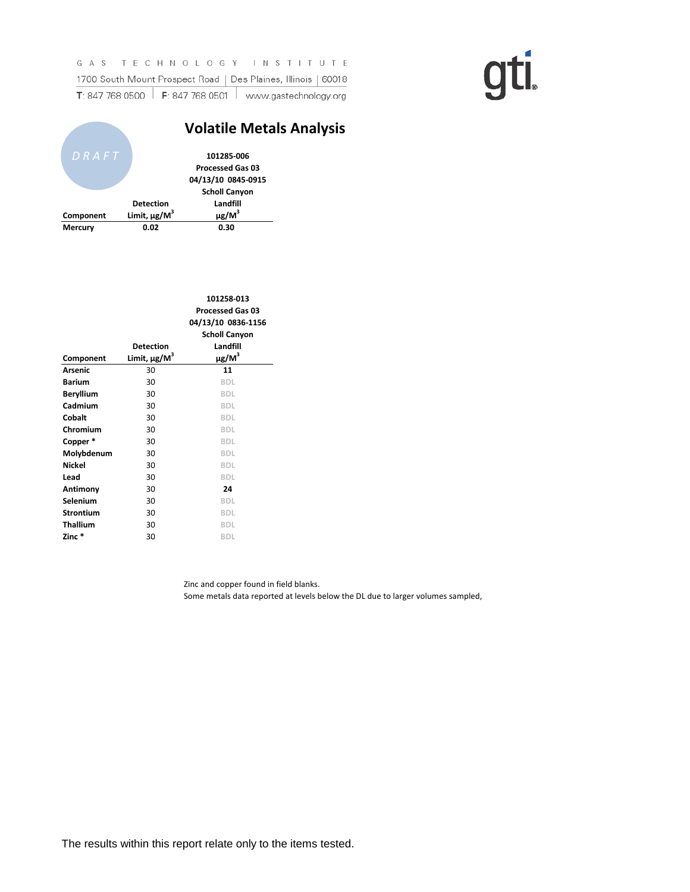|                                                                                               |                                                                | GAS TECHNOLOGY INSTITUTE |  |  |  |  |  |  |  |  |  |  |  |  |  |  |  |
|-----------------------------------------------------------------------------------------------|----------------------------------------------------------------|--------------------------|--|--|--|--|--|--|--|--|--|--|--|--|--|--|--|
|                                                                                               | 1700 South Mount Prospect Road   Des Plaines, Illinois   60018 |                          |  |  |  |  |  |  |  |  |  |  |  |  |  |  |  |
| <b>T</b> : 847 768 0500 $\parallel$ <b>F</b> : 847 768 0501 $\parallel$ www.gastechnology.org |                                                                |                          |  |  |  |  |  |  |  |  |  |  |  |  |  |  |  |

|                |                               | <b>Volatile Metals Analysis</b> |  |
|----------------|-------------------------------|---------------------------------|--|
| DRAFT          |                               | 101285-006                      |  |
|                |                               | <b>Processed Gas 03</b>         |  |
|                |                               | 04/13/10 0845-0915              |  |
|                |                               | <b>Scholl Canyon</b>            |  |
|                | <b>Detection</b>              | Landfill                        |  |
| Component      | Limit, $\mu$ g/M <sup>3</sup> | $\mu$ g/M <sup>3</sup>          |  |
| <b>Mercury</b> | 0.02                          | 0.30                            |  |

|                  |                               | 101258-013<br><b>Processed Gas 03</b><br>04/13/10 0836-1156<br><b>Scholl Canyon</b> |
|------------------|-------------------------------|-------------------------------------------------------------------------------------|
|                  | <b>Detection</b>              | Landfill                                                                            |
| Component        | Limit, $\mu$ g/M <sup>3</sup> | $\mu$ g/M <sup>3</sup>                                                              |
| <b>Arsenic</b>   | 30                            | 11                                                                                  |
| <b>Barium</b>    | 30                            | <b>BDL</b>                                                                          |
| <b>Beryllium</b> | 30                            | <b>BDL</b>                                                                          |
| Cadmium          | 30                            | <b>BDL</b>                                                                          |
| Cobalt           | 30                            | <b>BDL</b>                                                                          |
| Chromium         | 30                            | <b>BDL</b>                                                                          |
| Copper*          | 30                            | <b>BDL</b>                                                                          |
| Molybdenum       | 30                            | <b>BDL</b>                                                                          |
| <b>Nickel</b>    | 30                            | <b>BDL</b>                                                                          |
| Lead             | 30                            | <b>BDL</b>                                                                          |
| Antimony         | 30                            | 24                                                                                  |
| Selenium         | 30                            | <b>BDL</b>                                                                          |
| <b>Strontium</b> | 30                            | <b>BDL</b>                                                                          |
| <b>Thallium</b>  | 30                            | <b>BDL</b>                                                                          |
| Zinc *           | 30                            | BDL                                                                                 |
|                  |                               |                                                                                     |

Zinc and copper found in field blanks.

Some metals data reported at levels below the DL due to larger volumes sampled,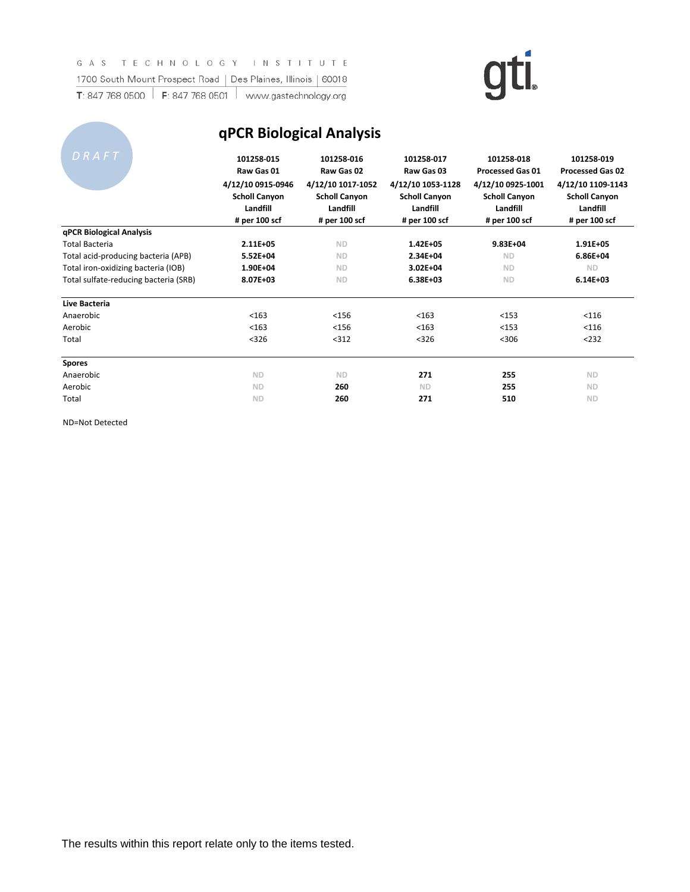| 1700 South Mount Prospect Road        | Des Plaines, Illinois                                                                              | 60018                                                                                              |                                                                                                    |                                                                                                                 |                                                                                                                 |
|---------------------------------------|----------------------------------------------------------------------------------------------------|----------------------------------------------------------------------------------------------------|----------------------------------------------------------------------------------------------------|-----------------------------------------------------------------------------------------------------------------|-----------------------------------------------------------------------------------------------------------------|
| F: 847 768 0501<br>T: 847 768 0500    | www.gastechnology.org                                                                              |                                                                                                    |                                                                                                    |                                                                                                                 |                                                                                                                 |
|                                       |                                                                                                    | <b>qPCR Biological Analysis</b>                                                                    |                                                                                                    |                                                                                                                 |                                                                                                                 |
| DRAFT                                 | 101258-015<br>Raw Gas 01<br>4/12/10 0915-0946<br><b>Scholl Canyon</b><br>Landfill<br># per 100 scf | 101258-016<br>Raw Gas 02<br>4/12/10 1017-1052<br><b>Scholl Canyon</b><br>Landfill<br># per 100 scf | 101258-017<br>Raw Gas 03<br>4/12/10 1053-1128<br><b>Scholl Canyon</b><br>Landfill<br># per 100 scf | 101258-018<br><b>Processed Gas 01</b><br>4/12/10 0925-1001<br><b>Scholl Canyon</b><br>Landfill<br># per 100 scf | 101258-019<br><b>Processed Gas 02</b><br>4/12/10 1109-1143<br><b>Scholl Canyon</b><br>Landfill<br># per 100 scf |
| qPCR Biological Analysis              |                                                                                                    |                                                                                                    |                                                                                                    |                                                                                                                 |                                                                                                                 |
| <b>Total Bacteria</b>                 | $2.11E + 05$                                                                                       | <b>ND</b>                                                                                          | $1.42E + 05$                                                                                       | $9.83E + 04$                                                                                                    | $1.91E + 05$                                                                                                    |
| Total acid-producing bacteria (APB)   | $5.52E + 04$                                                                                       | <b>ND</b>                                                                                          | $2.34E + 04$                                                                                       | <b>ND</b>                                                                                                       | $6.86E + 04$                                                                                                    |
| Total iron-oxidizing bacteria (IOB)   | $1.90E + 04$                                                                                       | <b>ND</b>                                                                                          | $3.02E + 04$                                                                                       | <b>ND</b>                                                                                                       | <b>ND</b>                                                                                                       |
| Total sulfate-reducing bacteria (SRB) | 8.07E+03                                                                                           | <b>ND</b>                                                                                          | $6.38E + 03$                                                                                       | <b>ND</b>                                                                                                       | $6.14E + 03$                                                                                                    |
| Live Bacteria                         |                                                                                                    |                                                                                                    |                                                                                                    |                                                                                                                 |                                                                                                                 |

 $\sim$ +.

| Total sulfate-reducing bacteria (SRB) | 8.07E+03  | <b>ND</b> | $6.38E + 03$ | <b>ND</b> | $6.14E+$  |
|---------------------------------------|-----------|-----------|--------------|-----------|-----------|
| Live Bacteria                         |           |           |              |           |           |
| Anaerobic                             | < 163     | < 156     | < 163        | $153$     | < 116     |
| Aerobic                               | < 163     | < 156     | < 163        | $153$     | < 116     |
| Total                                 | $<$ 326   | $312$     | < 326        | < 306     | $232$     |
| <b>Spores</b>                         |           |           |              |           |           |
| Anaerobic                             | <b>ND</b> | <b>ND</b> | 271          | 255       | <b>ND</b> |
| Aerobic                               | <b>ND</b> | 260       | <b>ND</b>    | 255       | <b>ND</b> |

Total **ND 260 271 510 ND**

ND=Not Detected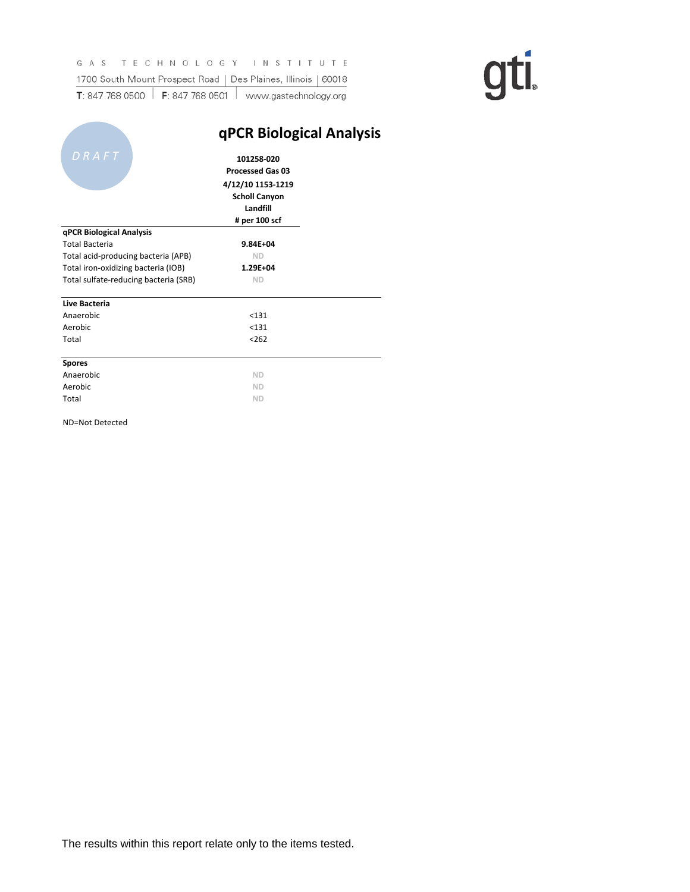|                                                                                               |  | GAS TECHNOLOGY INSTITUTE                                       |  |  |  |  |  |  |  |  |  |  |  |  |  |
|-----------------------------------------------------------------------------------------------|--|----------------------------------------------------------------|--|--|--|--|--|--|--|--|--|--|--|--|--|
|                                                                                               |  | 1700 South Mount Prospect Road   Des Plaines, Illinois   60018 |  |  |  |  |  |  |  |  |  |  |  |  |  |
| <b>T</b> : 847 768 0500 $\parallel$ <b>F</b> : 847 768 0501 $\parallel$ www.gastechnology.org |  |                                                                |  |  |  |  |  |  |  |  |  |  |  |  |  |

|                                       | qPCR Biological Analysis                                                           |  |
|---------------------------------------|------------------------------------------------------------------------------------|--|
| DRAFT                                 | 101258-020<br><b>Processed Gas 03</b><br>4/12/10 1153-1219<br><b>Scholl Canyon</b> |  |
|                                       | Landfill                                                                           |  |
|                                       | # per 100 scf                                                                      |  |
| qPCR Biological Analysis              |                                                                                    |  |
| <b>Total Bacteria</b>                 | $9.84E + 04$                                                                       |  |
| Total acid-producing bacteria (APB)   | <b>ND</b>                                                                          |  |
| Total iron-oxidizing bacteria (IOB)   | $1.29E + 04$                                                                       |  |
| Total sulfate-reducing bacteria (SRB) | <b>ND</b>                                                                          |  |
| Live Bacteria                         |                                                                                    |  |
| Anaerobic                             | $131$                                                                              |  |
| Aerobic                               | < 131                                                                              |  |
| Total                                 | $262$                                                                              |  |
| <b>Spores</b>                         |                                                                                    |  |
| Anaerobic                             | <b>ND</b>                                                                          |  |
| Aerobic                               | <b>ND</b>                                                                          |  |
| Total                                 | <b>ND</b>                                                                          |  |
| ND=Not Detected                       |                                                                                    |  |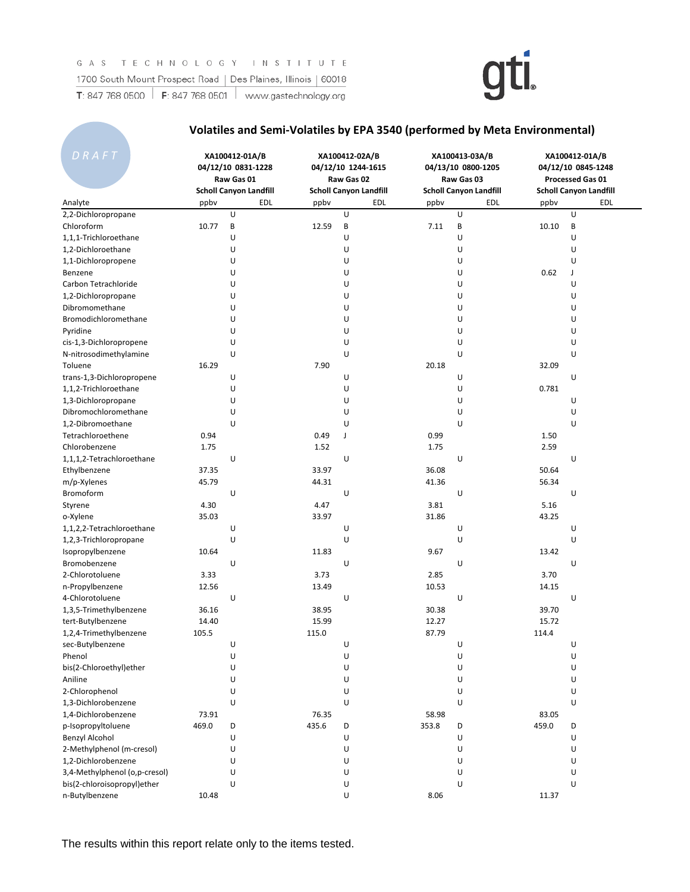

### **Volatiles and Semi-Volatiles by EPA 3540 (performed by Meta Environmental)**

| DRAFT                         |       | XA100412-01A/B<br>04/12/10 0831-1228<br>Raw Gas 01<br><b>Scholl Canyon Landfill</b> |       | XA100412-02A/B<br>04/12/10 1244-1615<br>Raw Gas 02<br><b>Scholl Canyon Landfill</b> |       | XA100413-03A/B<br>04/13/10 0800-1205<br>Raw Gas 03<br><b>Scholl Canyon Landfill</b> | XA100412-01A/B<br>04/12/10 0845-1248<br>Processed Gas 01<br><b>Scholl Canyon Landfill</b> |     |  |  |
|-------------------------------|-------|-------------------------------------------------------------------------------------|-------|-------------------------------------------------------------------------------------|-------|-------------------------------------------------------------------------------------|-------------------------------------------------------------------------------------------|-----|--|--|
| Analyte                       | ppby  | EDL                                                                                 | ppby  | <b>EDL</b>                                                                          | ppby  | EDL                                                                                 | ppby                                                                                      | EDL |  |  |
| 2,2-Dichloropropane           |       | U                                                                                   |       | U                                                                                   |       | U                                                                                   |                                                                                           | U   |  |  |
| Chloroform                    | 10.77 | B                                                                                   | 12.59 | B                                                                                   | 7.11  | B                                                                                   | 10.10                                                                                     | B   |  |  |
| 1,1,1-Trichloroethane         |       | U                                                                                   |       | U                                                                                   |       | U                                                                                   |                                                                                           | U   |  |  |
| 1,2-Dichloroethane            |       | U                                                                                   |       | U                                                                                   |       | U                                                                                   |                                                                                           | U   |  |  |
| 1,1-Dichloropropene           |       | U                                                                                   |       | U                                                                                   |       | U                                                                                   |                                                                                           | U   |  |  |
| Benzene                       |       | U                                                                                   |       | U                                                                                   |       | U                                                                                   | 0.62                                                                                      | J   |  |  |
| Carbon Tetrachloride          |       | U                                                                                   |       | U                                                                                   |       | U                                                                                   |                                                                                           | U   |  |  |
| 1,2-Dichloropropane           |       | U                                                                                   |       | U                                                                                   |       | U                                                                                   |                                                                                           | U   |  |  |
| Dibromomethane                |       | U                                                                                   |       | U                                                                                   |       | U                                                                                   |                                                                                           | U   |  |  |
| Bromodichloromethane          |       | U                                                                                   |       | U                                                                                   |       | U                                                                                   |                                                                                           | U   |  |  |
| Pyridine                      |       | U                                                                                   |       | U                                                                                   |       | U                                                                                   |                                                                                           | U   |  |  |
| cis-1,3-Dichloropropene       |       | U                                                                                   |       | U                                                                                   |       | U                                                                                   |                                                                                           | U   |  |  |
| N-nitrosodimethylamine        |       | U                                                                                   |       | U                                                                                   |       | U                                                                                   |                                                                                           | U   |  |  |
| Toluene                       | 16.29 |                                                                                     | 7.90  |                                                                                     | 20.18 |                                                                                     | 32.09                                                                                     |     |  |  |
| trans-1,3-Dichloropropene     |       | U                                                                                   |       | U                                                                                   |       | U                                                                                   |                                                                                           | U   |  |  |
| 1,1,2-Trichloroethane         |       | U                                                                                   |       | U                                                                                   |       | U                                                                                   | 0.781                                                                                     |     |  |  |
| 1,3-Dichloropropane           |       | U                                                                                   |       | U                                                                                   |       | U                                                                                   |                                                                                           | U   |  |  |
| Dibromochloromethane          |       | U                                                                                   |       | U                                                                                   |       | U                                                                                   |                                                                                           | U   |  |  |
| 1.2-Dibromoethane             |       | U                                                                                   |       | U                                                                                   |       | U                                                                                   |                                                                                           | U   |  |  |
| Tetrachloroethene             | 0.94  |                                                                                     | 0.49  | J                                                                                   | 0.99  |                                                                                     | 1.50                                                                                      |     |  |  |
| Chlorobenzene                 | 1.75  |                                                                                     | 1.52  |                                                                                     | 1.75  |                                                                                     | 2.59                                                                                      |     |  |  |
| 1,1,1,2-Tetrachloroethane     |       | U                                                                                   |       | U                                                                                   |       | U                                                                                   |                                                                                           | U   |  |  |
| Ethylbenzene                  | 37.35 |                                                                                     | 33.97 |                                                                                     | 36.08 |                                                                                     | 50.64                                                                                     |     |  |  |
| m/p-Xylenes                   | 45.79 |                                                                                     | 44.31 |                                                                                     | 41.36 |                                                                                     | 56.34                                                                                     |     |  |  |
| Bromoform                     |       | U                                                                                   |       | U                                                                                   |       | U                                                                                   |                                                                                           | U   |  |  |
| Styrene                       | 4.30  |                                                                                     | 4.47  |                                                                                     | 3.81  |                                                                                     | 5.16                                                                                      |     |  |  |
| o-Xylene                      | 35.03 |                                                                                     | 33.97 |                                                                                     | 31.86 |                                                                                     | 43.25                                                                                     |     |  |  |
| 1,1,2,2-Tetrachloroethane     |       | U                                                                                   |       | U                                                                                   |       | U                                                                                   |                                                                                           | U   |  |  |
| 1,2,3-Trichloropropane        |       | U                                                                                   |       | U                                                                                   |       | U                                                                                   |                                                                                           | U   |  |  |
| Isopropylbenzene              | 10.64 |                                                                                     | 11.83 |                                                                                     | 9.67  |                                                                                     | 13.42                                                                                     |     |  |  |
| Bromobenzene                  |       | U                                                                                   |       | U                                                                                   |       | U                                                                                   |                                                                                           | U   |  |  |
| 2-Chlorotoluene               | 3.33  |                                                                                     | 3.73  |                                                                                     | 2.85  |                                                                                     | 3.70                                                                                      |     |  |  |
| n-Propylbenzene               | 12.56 |                                                                                     | 13.49 |                                                                                     | 10.53 |                                                                                     | 14.15                                                                                     |     |  |  |
| 4-Chlorotoluene               |       | U                                                                                   |       | U                                                                                   |       | U                                                                                   |                                                                                           | U   |  |  |
| 1,3,5-Trimethylbenzene        | 36.16 |                                                                                     | 38.95 |                                                                                     | 30.38 |                                                                                     | 39.70                                                                                     |     |  |  |
| tert-Butylbenzene             | 14.40 |                                                                                     | 15.99 |                                                                                     | 12.27 |                                                                                     | 15.72                                                                                     |     |  |  |
| 1,2,4-Trimethylbenzene        | 105.5 |                                                                                     | 115.0 |                                                                                     | 87.79 |                                                                                     | 114.4                                                                                     |     |  |  |
| sec-Butylbenzene              |       | U                                                                                   |       | U                                                                                   |       | U                                                                                   |                                                                                           | U   |  |  |
| Phenol                        |       | U                                                                                   |       | U                                                                                   |       | U                                                                                   |                                                                                           | U   |  |  |
| bis(2-Chloroethyl)ether       |       | U                                                                                   |       | U                                                                                   |       | U                                                                                   |                                                                                           | U   |  |  |
| Aniline                       |       | U                                                                                   |       | U                                                                                   |       | U                                                                                   |                                                                                           | U   |  |  |
| 2-Chlorophenol                |       | U                                                                                   |       | U                                                                                   |       | U                                                                                   |                                                                                           | U   |  |  |
| 1,3-Dichlorobenzene           |       | U                                                                                   |       | U                                                                                   |       | U                                                                                   |                                                                                           | U   |  |  |
| 1,4-Dichlorobenzene           | 73.91 |                                                                                     | 76.35 |                                                                                     | 58.98 |                                                                                     | 83.05                                                                                     |     |  |  |
| p-Isopropyltoluene            | 469.0 | D                                                                                   | 435.6 | D                                                                                   | 353.8 | D                                                                                   | 459.0                                                                                     | D   |  |  |
| <b>Benzyl Alcohol</b>         |       | U                                                                                   |       | U                                                                                   |       | U                                                                                   |                                                                                           | U   |  |  |
| 2-Methylphenol (m-cresol)     |       | U                                                                                   |       | U                                                                                   |       | U                                                                                   |                                                                                           | U   |  |  |
| 1,2-Dichlorobenzene           |       | U                                                                                   |       | U                                                                                   |       | U                                                                                   |                                                                                           | U   |  |  |
| 3,4-Methylphenol (o,p-cresol) |       | U                                                                                   |       | U                                                                                   |       | U                                                                                   |                                                                                           | U   |  |  |
| bis(2-chloroisopropyl)ether   |       | U                                                                                   |       | U                                                                                   |       | U                                                                                   |                                                                                           | U   |  |  |
| n-Butylbenzene                | 10.48 |                                                                                     |       | U                                                                                   | 8.06  |                                                                                     | 11.37                                                                                     |     |  |  |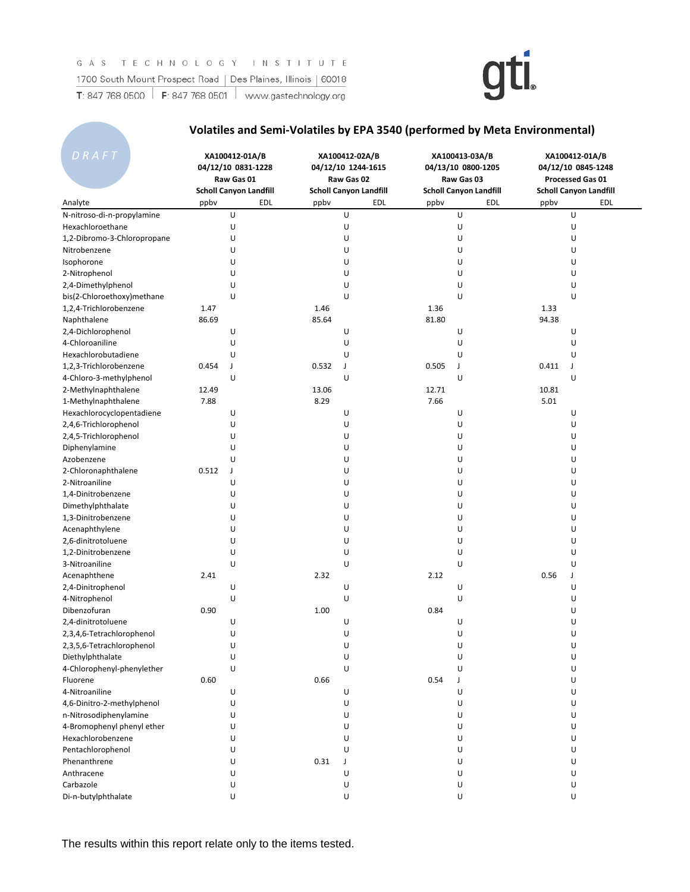

### **Volatiles and Semi-Volatiles by EPA 3540 (performed by Meta Environmental)**

| DRAFT                                 | XA100412-01A/B<br>04/12/10 0831-1228<br>Raw Gas 01<br><b>Scholl Canyon Landfill</b> |        | XA100412-02A/B<br>04/12/10 1244-1615<br>Raw Gas 02<br><b>Scholl Canyon Landfill</b><br>EDL<br>EDL<br>ppbv<br>ppby |   |       |   |             | XA100413-03A/B<br>04/13/10 0800-1205<br>Raw Gas 03<br><b>Scholl Canyon Landfill</b> |  | XA100412-01A/B<br>04/12/10 0845-1248<br>Processed Gas 01<br><b>Scholl Canyon Landfill</b> |  |  |  |
|---------------------------------------|-------------------------------------------------------------------------------------|--------|-------------------------------------------------------------------------------------------------------------------|---|-------|---|-------------|-------------------------------------------------------------------------------------|--|-------------------------------------------------------------------------------------------|--|--|--|
| Analyte                               |                                                                                     |        |                                                                                                                   |   | ppbv  |   | EDL<br>ppbv | EDL                                                                                 |  |                                                                                           |  |  |  |
| N-nitroso-di-n-propylamine            |                                                                                     | U      |                                                                                                                   | U |       | U |             | U                                                                                   |  |                                                                                           |  |  |  |
| Hexachloroethane                      |                                                                                     | U      |                                                                                                                   | U |       | U |             | U                                                                                   |  |                                                                                           |  |  |  |
| 1,2-Dibromo-3-Chloropropane           |                                                                                     | U      |                                                                                                                   | U |       | U |             | U                                                                                   |  |                                                                                           |  |  |  |
| Nitrobenzene                          |                                                                                     | U      |                                                                                                                   | U |       | U |             | U                                                                                   |  |                                                                                           |  |  |  |
| Isophorone                            |                                                                                     | U      |                                                                                                                   | U |       | U |             | U                                                                                   |  |                                                                                           |  |  |  |
| 2-Nitrophenol                         |                                                                                     | U      |                                                                                                                   | U |       | U |             | U                                                                                   |  |                                                                                           |  |  |  |
| 2,4-Dimethylphenol                    |                                                                                     | U      |                                                                                                                   | U |       | U |             | U                                                                                   |  |                                                                                           |  |  |  |
| bis(2-Chloroethoxy)methane            |                                                                                     | U      |                                                                                                                   | U |       | U |             | U                                                                                   |  |                                                                                           |  |  |  |
| 1,2,4-Trichlorobenzene                | 1.47                                                                                |        | 1.46                                                                                                              |   | 1.36  |   | 1.33        |                                                                                     |  |                                                                                           |  |  |  |
| Naphthalene                           | 86.69                                                                               |        | 85.64                                                                                                             |   | 81.80 |   | 94.38       |                                                                                     |  |                                                                                           |  |  |  |
| 2,4-Dichlorophenol                    |                                                                                     | U      |                                                                                                                   | U |       | U |             | U                                                                                   |  |                                                                                           |  |  |  |
| 4-Chloroaniline                       |                                                                                     | U      |                                                                                                                   | U |       | U |             | U                                                                                   |  |                                                                                           |  |  |  |
| Hexachlorobutadiene                   |                                                                                     | U      |                                                                                                                   | U |       | U |             | U                                                                                   |  |                                                                                           |  |  |  |
| 1,2,3-Trichlorobenzene                | 0.454                                                                               | J      | 0.532                                                                                                             | J | 0.505 | J | 0.411       | J                                                                                   |  |                                                                                           |  |  |  |
| 4-Chloro-3-methylphenol               |                                                                                     | U      |                                                                                                                   | U |       | U |             | U                                                                                   |  |                                                                                           |  |  |  |
| 2-Methylnaphthalene                   | 12.49                                                                               |        | 13.06                                                                                                             |   | 12.71 |   | 10.81       |                                                                                     |  |                                                                                           |  |  |  |
| 1-Methylnaphthalene                   | 7.88                                                                                |        | 8.29                                                                                                              |   | 7.66  |   | 5.01        |                                                                                     |  |                                                                                           |  |  |  |
| Hexachlorocyclopentadiene             |                                                                                     | U      |                                                                                                                   | U |       | U |             | U                                                                                   |  |                                                                                           |  |  |  |
| 2,4,6-Trichlorophenol                 |                                                                                     | U      |                                                                                                                   | U |       | U |             | U                                                                                   |  |                                                                                           |  |  |  |
| 2,4,5-Trichlorophenol                 |                                                                                     | U      |                                                                                                                   | U |       | U |             | U                                                                                   |  |                                                                                           |  |  |  |
|                                       |                                                                                     | U      |                                                                                                                   | U |       | U |             | U                                                                                   |  |                                                                                           |  |  |  |
| Diphenylamine                         |                                                                                     | U      |                                                                                                                   | U |       | U |             | U                                                                                   |  |                                                                                           |  |  |  |
| Azobenzene                            |                                                                                     |        |                                                                                                                   | U |       | U |             | U                                                                                   |  |                                                                                           |  |  |  |
| 2-Chloronaphthalene<br>2-Nitroaniline | 0.512                                                                               | J<br>U |                                                                                                                   | U |       | U |             | U                                                                                   |  |                                                                                           |  |  |  |
|                                       |                                                                                     |        |                                                                                                                   | U |       |   |             | U                                                                                   |  |                                                                                           |  |  |  |
| 1,4-Dinitrobenzene                    |                                                                                     | U      |                                                                                                                   |   |       | U |             |                                                                                     |  |                                                                                           |  |  |  |
| Dimethylphthalate                     |                                                                                     | U      |                                                                                                                   | U |       | U |             | U                                                                                   |  |                                                                                           |  |  |  |
| 1,3-Dinitrobenzene                    |                                                                                     | U      |                                                                                                                   | U |       | U |             | U                                                                                   |  |                                                                                           |  |  |  |
| Acenaphthylene                        |                                                                                     | U      |                                                                                                                   | U |       | U |             | U                                                                                   |  |                                                                                           |  |  |  |
| 2,6-dinitrotoluene                    |                                                                                     | U      |                                                                                                                   | U |       | U |             | U                                                                                   |  |                                                                                           |  |  |  |
| 1,2-Dinitrobenzene                    |                                                                                     | U      |                                                                                                                   | U |       | U |             | U                                                                                   |  |                                                                                           |  |  |  |
| 3-Nitroaniline                        |                                                                                     | U      |                                                                                                                   | U |       | U |             | U                                                                                   |  |                                                                                           |  |  |  |
| Acenaphthene                          | 2.41                                                                                |        | 2.32                                                                                                              |   | 2.12  |   | 0.56        | J                                                                                   |  |                                                                                           |  |  |  |
| 2,4-Dinitrophenol                     |                                                                                     | U      |                                                                                                                   | U |       | U |             | U                                                                                   |  |                                                                                           |  |  |  |
| 4-Nitrophenol                         |                                                                                     | U      |                                                                                                                   | U |       | U |             | U                                                                                   |  |                                                                                           |  |  |  |
| Dibenzofuran                          | 0.90                                                                                |        | 1.00                                                                                                              |   | 0.84  |   |             | U                                                                                   |  |                                                                                           |  |  |  |
| 2,4-dinitrotoluene                    |                                                                                     | U      |                                                                                                                   | U |       | U |             | U                                                                                   |  |                                                                                           |  |  |  |
| 2,3,4,6-Tetrachlorophenol             |                                                                                     | U      |                                                                                                                   | U |       | U |             | U                                                                                   |  |                                                                                           |  |  |  |
| 2,3,5,6-Tetrachlorophenol             |                                                                                     | U      |                                                                                                                   | U |       | U |             | U                                                                                   |  |                                                                                           |  |  |  |
| Diethylphthalate                      |                                                                                     | U      |                                                                                                                   | U |       | U |             | U                                                                                   |  |                                                                                           |  |  |  |
| 4-Chlorophenyl-phenylether            |                                                                                     | U      |                                                                                                                   | U |       | U |             | U                                                                                   |  |                                                                                           |  |  |  |
| Fluorene                              | 0.60                                                                                |        | 0.66                                                                                                              |   | 0.54  | J |             | U                                                                                   |  |                                                                                           |  |  |  |
| 4-Nitroaniline                        |                                                                                     | U      |                                                                                                                   | U |       | U |             | U                                                                                   |  |                                                                                           |  |  |  |
| 4,6-Dinitro-2-methylphenol            |                                                                                     | U      |                                                                                                                   | U |       | U |             | U                                                                                   |  |                                                                                           |  |  |  |
| n-Nitrosodiphenylamine                |                                                                                     | U      |                                                                                                                   | U |       | U |             | U                                                                                   |  |                                                                                           |  |  |  |
| 4-Bromophenyl phenyl ether            |                                                                                     | U      |                                                                                                                   | U |       | U |             | U                                                                                   |  |                                                                                           |  |  |  |
| Hexachlorobenzene                     |                                                                                     | U      |                                                                                                                   | U |       | U |             | U                                                                                   |  |                                                                                           |  |  |  |
| Pentachlorophenol                     |                                                                                     | U      |                                                                                                                   | U |       | U |             | U                                                                                   |  |                                                                                           |  |  |  |
| Phenanthrene                          |                                                                                     | U      | 0.31                                                                                                              | J |       | U |             | U                                                                                   |  |                                                                                           |  |  |  |
| Anthracene                            |                                                                                     | U      |                                                                                                                   | U |       | U |             | U                                                                                   |  |                                                                                           |  |  |  |
| Carbazole                             |                                                                                     | U      |                                                                                                                   | U |       | U |             | U                                                                                   |  |                                                                                           |  |  |  |
| Di-n-butylphthalate                   |                                                                                     | U      |                                                                                                                   | U |       | U |             | U                                                                                   |  |                                                                                           |  |  |  |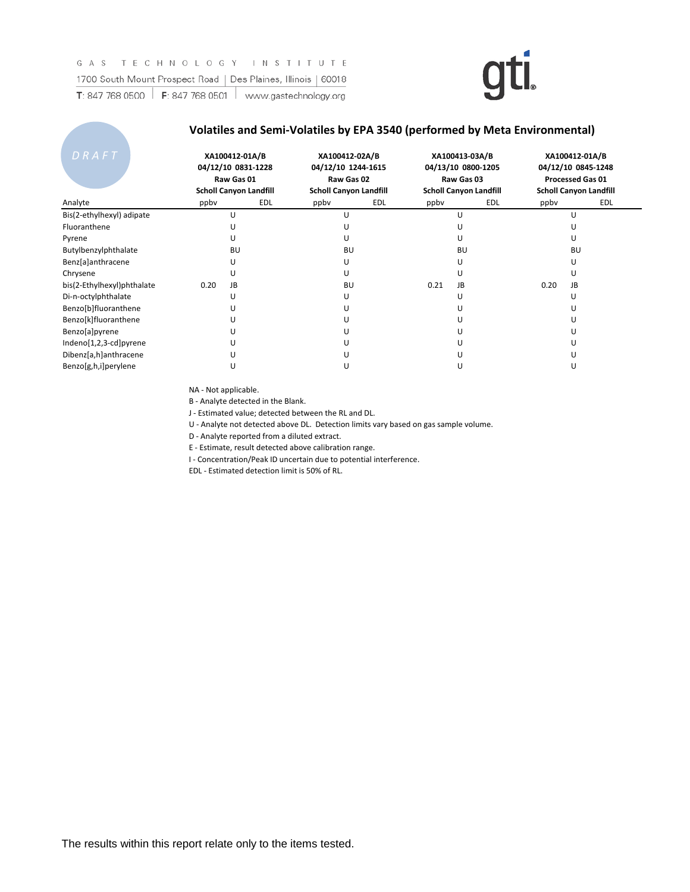#### **Volatiles and Semi-Volatiles by EPA 3540 (performed by Meta Environmental)**

| DRAFT                      |      | XA100412-01A/B<br>04/12/10 0831-1228<br>Raw Gas 01<br><b>Scholl Canyon Landfill</b> | XA100412-02A/B<br>04/12/10 1244-1615<br>Raw Gas 02<br><b>Scholl Canyon Landfill</b> |     |      | XA100413-03A/B<br>04/13/10 0800-1205<br>Raw Gas 03<br><b>Scholl Canyon Landfill</b> |      | XA100412-01A/B<br>04/12/10 0845-1248<br><b>Processed Gas 01</b><br><b>Scholl Canyon Landfill</b> |
|----------------------------|------|-------------------------------------------------------------------------------------|-------------------------------------------------------------------------------------|-----|------|-------------------------------------------------------------------------------------|------|--------------------------------------------------------------------------------------------------|
| Analyte                    | ppby | <b>EDL</b>                                                                          | ppby                                                                                | EDL | ppby | EDL                                                                                 | ppby | EDL                                                                                              |
| Bis(2-ethylhexyl) adipate  |      |                                                                                     | U                                                                                   |     |      |                                                                                     |      | U                                                                                                |
| Fluoranthene               |      |                                                                                     | U                                                                                   |     |      |                                                                                     |      |                                                                                                  |
| Pyrene                     |      | U                                                                                   | U                                                                                   |     |      | U                                                                                   |      |                                                                                                  |
| Butylbenzylphthalate       |      | <b>BU</b>                                                                           | <b>BU</b>                                                                           |     |      | BU                                                                                  |      | <b>BU</b>                                                                                        |
| Benz[a]anthracene          |      |                                                                                     | U                                                                                   |     |      |                                                                                     |      |                                                                                                  |
| Chrysene                   |      |                                                                                     | U                                                                                   |     |      |                                                                                     |      |                                                                                                  |
| bis(2-Ethylhexyl)phthalate | 0.20 | JB                                                                                  | BU                                                                                  |     | 0.21 | JB                                                                                  | 0.20 | <b>JB</b>                                                                                        |
| Di-n-octylphthalate        |      |                                                                                     | U                                                                                   |     |      |                                                                                     |      |                                                                                                  |
| Benzo[b]fluoranthene       |      |                                                                                     | U                                                                                   |     |      |                                                                                     |      |                                                                                                  |
| Benzo[k]fluoranthene       |      |                                                                                     | U                                                                                   |     |      |                                                                                     |      |                                                                                                  |
| Benzo[a]pyrene             |      |                                                                                     | U                                                                                   |     |      |                                                                                     |      |                                                                                                  |
| Indeno[1,2,3-cd]pyrene     |      |                                                                                     | U                                                                                   |     |      |                                                                                     |      |                                                                                                  |
| Dibenz[a,h]anthracene      |      |                                                                                     | U                                                                                   |     |      |                                                                                     |      |                                                                                                  |
| Benzo[g,h,i]perylene       |      |                                                                                     | U                                                                                   |     |      |                                                                                     |      |                                                                                                  |

NA - Not applicable.

B - Analyte detected in the Blank.

J - Estimated value; detected between the RL and DL.

U - Analyte not detected above DL. Detection limits vary based on gas sample volume.

D - Analyte reported from a diluted extract.

E - Estimate, result detected above calibration range.

I - Concentration/Peak ID uncertain due to potential interference.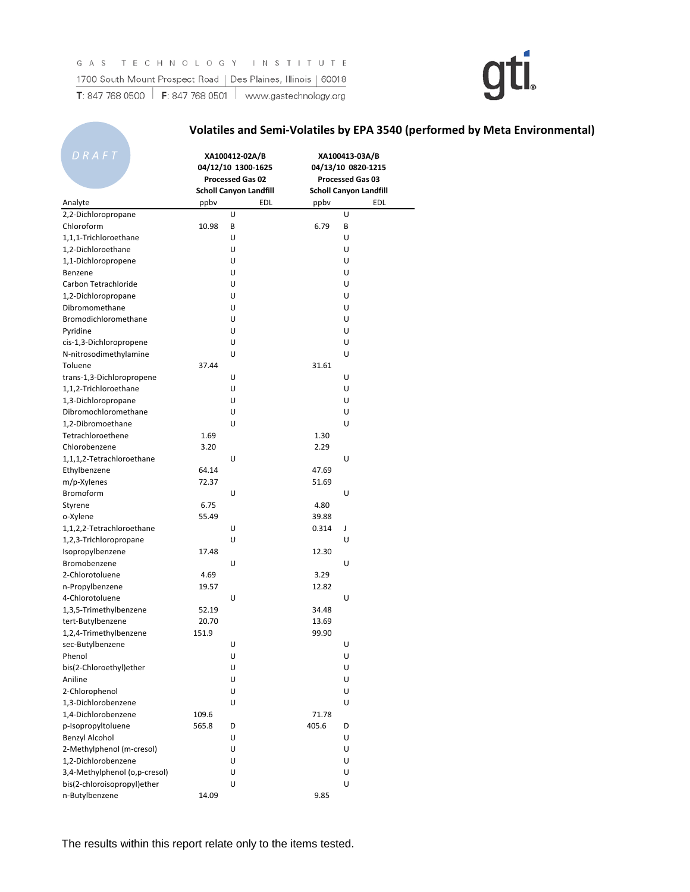### **Volatiles and Semi-Volatiles by EPA 3540 (performed by Meta Environmental)**

| <u>D</u> R A F T<br>Analyte                 | XA100412-02A/B<br>04/12/10 1300-1625<br>Processed Gas 02<br><b>Scholl Canyon Landfill</b><br><b>EDL</b> |        | ppbv           | XA100413-03A/B<br>04/13/10 0820-1215<br>Processed Gas 03<br><b>Scholl Canyon Landfill</b><br>EDL |
|---------------------------------------------|---------------------------------------------------------------------------------------------------------|--------|----------------|--------------------------------------------------------------------------------------------------|
| 2,2-Dichloropropane                         | ppby                                                                                                    | U      |                | U                                                                                                |
| Chloroform                                  | 10.98                                                                                                   | В      | 6.79           | В                                                                                                |
| 1,1,1-Trichloroethane                       |                                                                                                         | U      |                | U                                                                                                |
| 1,2-Dichloroethane                          |                                                                                                         | U      |                | U                                                                                                |
| 1,1-Dichloropropene                         |                                                                                                         | U      |                | U                                                                                                |
| Benzene                                     |                                                                                                         | U      |                | U                                                                                                |
| Carbon Tetrachloride                        |                                                                                                         | U      |                | U                                                                                                |
| 1,2-Dichloropropane                         |                                                                                                         | U      |                | U                                                                                                |
| Dibromomethane                              |                                                                                                         | U      |                | U                                                                                                |
| Bromodichloromethane                        |                                                                                                         | U      |                | U                                                                                                |
| Pyridine                                    |                                                                                                         | U      |                | U                                                                                                |
| cis-1,3-Dichloropropene                     |                                                                                                         | U      |                | U                                                                                                |
| N-nitrosodimethylamine                      |                                                                                                         | U      |                | U                                                                                                |
| Toluene                                     | 37.44                                                                                                   |        | 31.61          |                                                                                                  |
| trans-1,3-Dichloropropene                   |                                                                                                         | U      |                | U                                                                                                |
| 1,1,2-Trichloroethane                       |                                                                                                         | U      |                | U                                                                                                |
| 1,3-Dichloropropane                         |                                                                                                         | U      |                | U                                                                                                |
| Dibromochloromethane                        |                                                                                                         | U      |                | U                                                                                                |
| 1,2-Dibromoethane                           |                                                                                                         | U      |                | U                                                                                                |
| Tetrachloroethene                           | 1.69                                                                                                    |        | 1.30           |                                                                                                  |
| Chlorobenzene                               | 3.20                                                                                                    |        | 2.29           |                                                                                                  |
| 1,1,1,2-Tetrachloroethane                   |                                                                                                         | U      |                | U                                                                                                |
| Ethylbenzene                                | 64.14                                                                                                   |        | 47.69          |                                                                                                  |
| m/p-Xylenes                                 | 72.37                                                                                                   |        | 51.69          |                                                                                                  |
| <b>Bromoform</b>                            |                                                                                                         | U      |                | U                                                                                                |
| Styrene                                     | 6.75                                                                                                    |        | 4.80           |                                                                                                  |
| o-Xylene                                    | 55.49                                                                                                   |        | 39.88          |                                                                                                  |
| 1,1,2,2-Tetrachloroethane                   |                                                                                                         | U      | 0.314          | J                                                                                                |
| 1,2,3-Trichloropropane                      |                                                                                                         | U      |                | U                                                                                                |
| Isopropylbenzene                            | 17.48                                                                                                   |        | 12.30          |                                                                                                  |
| Bromobenzene                                |                                                                                                         | U      |                | U                                                                                                |
| 2-Chlorotoluene                             | 4.69                                                                                                    |        | 3.29           |                                                                                                  |
|                                             | 19.57                                                                                                   |        | 12.82          |                                                                                                  |
| n-Propylbenzene<br>4-Chlorotoluene          |                                                                                                         | U      |                | U                                                                                                |
|                                             | 52.19                                                                                                   |        | 34.48          |                                                                                                  |
| 1,3,5-Trimethylbenzene<br>tert-Butylbenzene | 20.70                                                                                                   |        | 13.69          |                                                                                                  |
| 1,2,4-Trimethylbenzene                      | 151.9                                                                                                   |        | 99.90          |                                                                                                  |
| sec-Butylbenzene                            |                                                                                                         | U      |                |                                                                                                  |
|                                             |                                                                                                         |        |                | U                                                                                                |
| Phenol                                      |                                                                                                         | U      |                | U                                                                                                |
| bis(2-Chloroethyl)ether<br>Aniline          |                                                                                                         | U<br>U |                | U                                                                                                |
|                                             |                                                                                                         | U      |                | U<br>U                                                                                           |
| 2-Chlorophenol<br>1,3-Dichlorobenzene       |                                                                                                         |        |                |                                                                                                  |
|                                             |                                                                                                         | U      |                | U                                                                                                |
| 1,4-Dichlorobenzene                         | 109.6<br>565.8                                                                                          |        | 71.78<br>405.6 |                                                                                                  |
| p-Isopropyltoluene                          |                                                                                                         | D      |                | D                                                                                                |
| <b>Benzyl Alcohol</b>                       |                                                                                                         | U      |                | U                                                                                                |
| 2-Methylphenol (m-cresol)                   |                                                                                                         | U      |                | U                                                                                                |
| 1,2-Dichlorobenzene                         |                                                                                                         | U      |                | U                                                                                                |
| 3,4-Methylphenol (o,p-cresol)               |                                                                                                         | U      |                | U                                                                                                |
| bis(2-chloroisopropyl)ether                 |                                                                                                         | U      |                | U                                                                                                |
| n-Butylbenzene                              | 14.09                                                                                                   |        | 9.85           |                                                                                                  |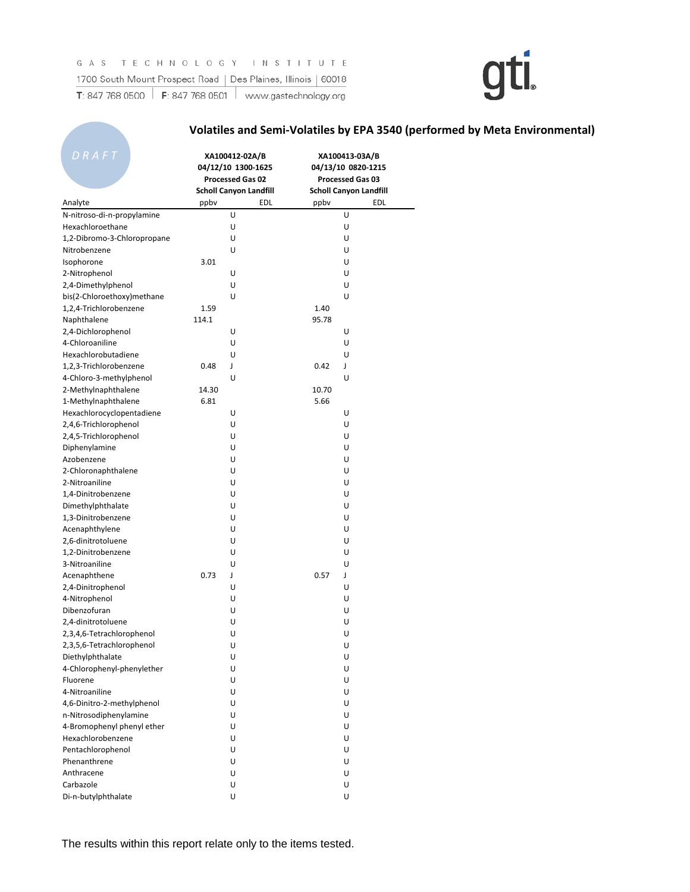### **Volatiles and Semi-Volatiles by EPA 3540 (performed by Meta Environmental)**

| DRAFT<br>Analyte            | XA100412-02A/B<br>04/12/10 1300-1625<br>Processed Gas 02<br><b>Scholl Canyon Landfill</b><br>edl<br>ppby |   | ppbv  | XA100413-03A/B<br>04/13/10 0820-1215<br>Processed Gas 03<br><b>Scholl Canyon Landfill</b><br>EDL |
|-----------------------------|----------------------------------------------------------------------------------------------------------|---|-------|--------------------------------------------------------------------------------------------------|
| N-nitroso-di-n-propylamine  |                                                                                                          | U |       | U                                                                                                |
| Hexachloroethane            |                                                                                                          | U |       | U                                                                                                |
| 1,2-Dibromo-3-Chloropropane |                                                                                                          | U |       | U                                                                                                |
| Nitrobenzene                |                                                                                                          | U |       | U                                                                                                |
| Isophorone                  | 3.01                                                                                                     |   |       | U                                                                                                |
| 2-Nitrophenol               |                                                                                                          | U |       | U                                                                                                |
| 2,4-Dimethylphenol          |                                                                                                          | U |       | U                                                                                                |
| bis(2-Chloroethoxy)methane  |                                                                                                          | U |       | U                                                                                                |
| 1,2,4-Trichlorobenzene      | 1.59                                                                                                     |   | 1.40  |                                                                                                  |
| Naphthalene                 | 114.1                                                                                                    |   | 95.78 |                                                                                                  |
| 2,4-Dichlorophenol          |                                                                                                          | U |       | U                                                                                                |
| 4-Chloroaniline             |                                                                                                          | U |       | U                                                                                                |
| Hexachlorobutadiene         |                                                                                                          | U |       | U                                                                                                |
| 1,2,3-Trichlorobenzene      | 0.48                                                                                                     | ſ | 0.42  | J                                                                                                |
| 4-Chloro-3-methylphenol     |                                                                                                          | U |       | U                                                                                                |
| 2-Methylnaphthalene         | 14.30                                                                                                    |   | 10.70 |                                                                                                  |
| 1-Methylnaphthalene         | 6.81                                                                                                     |   | 5.66  |                                                                                                  |
| Hexachlorocyclopentadiene   |                                                                                                          | U |       | U                                                                                                |
| 2,4,6-Trichlorophenol       |                                                                                                          | U |       | U                                                                                                |
| 2,4,5-Trichlorophenol       |                                                                                                          | U |       | U                                                                                                |
| Diphenylamine               |                                                                                                          | U |       | U                                                                                                |
| Azobenzene                  |                                                                                                          | U |       | U                                                                                                |
| 2-Chloronaphthalene         |                                                                                                          | U |       | U                                                                                                |
| 2-Nitroaniline              |                                                                                                          | U |       | U                                                                                                |
| 1,4-Dinitrobenzene          |                                                                                                          | U |       | U                                                                                                |
| Dimethylphthalate           |                                                                                                          | U |       | U                                                                                                |
| 1,3-Dinitrobenzene          |                                                                                                          | U |       | U                                                                                                |
| Acenaphthylene              |                                                                                                          | U |       | U                                                                                                |
| 2,6-dinitrotoluene          |                                                                                                          | U |       | U                                                                                                |
| 1,2-Dinitrobenzene          |                                                                                                          | U |       | U                                                                                                |
| 3-Nitroaniline              |                                                                                                          | U |       | U                                                                                                |
| Acenaphthene                | 0.73                                                                                                     | J | 0.57  | J                                                                                                |
| 2,4-Dinitrophenol           |                                                                                                          | U |       | U                                                                                                |
| 4-Nitrophenol               |                                                                                                          | U |       | U                                                                                                |
| Dibenzofuran                |                                                                                                          | U |       | U                                                                                                |
| 2.4-dinitrotoluene          |                                                                                                          | U |       | U                                                                                                |
| 2,3,4,6-Tetrachlorophenol   |                                                                                                          | U |       | U                                                                                                |
| 2,3,5,6-Tetrachlorophenol   |                                                                                                          | U |       | U                                                                                                |
| Diethylphthalate            |                                                                                                          | U |       | U                                                                                                |
| 4-Chlorophenyl-phenylether  |                                                                                                          | U |       | U                                                                                                |
| Fluorene                    |                                                                                                          | U |       | U                                                                                                |
| 4-Nitroaniline              |                                                                                                          | U |       | U                                                                                                |
| 4,6-Dinitro-2-methylphenol  |                                                                                                          | U |       | U                                                                                                |
| n-Nitrosodiphenylamine      |                                                                                                          | U |       | U                                                                                                |
| 4-Bromophenyl phenyl ether  |                                                                                                          | U |       | U                                                                                                |
| Hexachlorobenzene           |                                                                                                          | U |       | U                                                                                                |
| Pentachlorophenol           |                                                                                                          | U |       | U                                                                                                |
| Phenanthrene                |                                                                                                          | U |       | U                                                                                                |
| Anthracene                  |                                                                                                          | U |       | U                                                                                                |
| Carbazole                   |                                                                                                          | U |       | U                                                                                                |
| Di-n-butylphthalate         |                                                                                                          | U |       | U                                                                                                |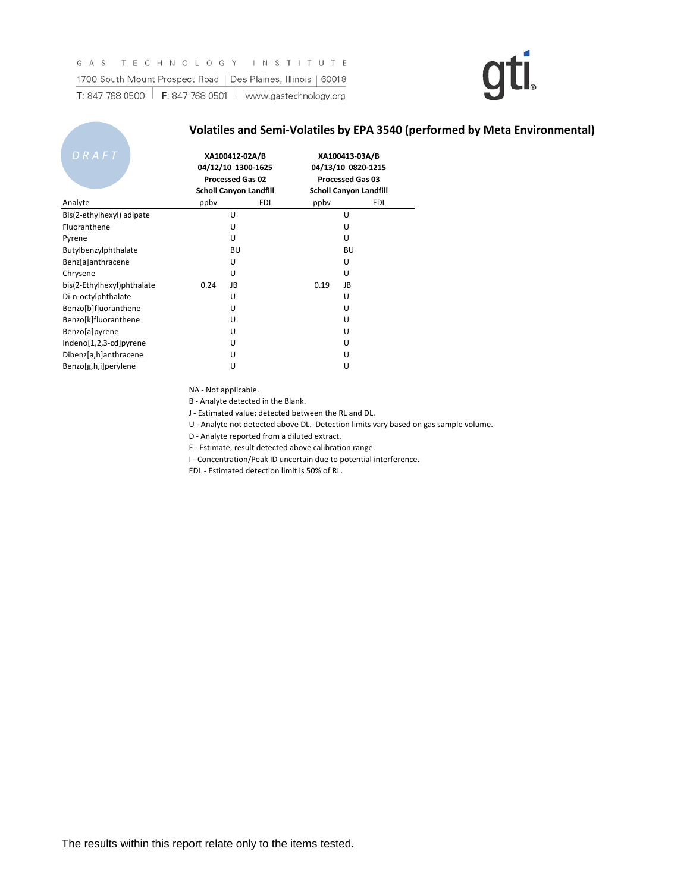#### **Volatiles and Semi-Volatiles by EPA 3540 (performed by Meta Environmental)**

| DRAFT                      | XA100412-02A/B<br>04/12/10 1300-1625<br><b>Processed Gas 02</b><br><b>Scholl Canyon Landfill</b> |     |      | XA100413-03A/B<br>04/13/10 0820-1215<br><b>Processed Gas 03</b><br><b>Scholl Canyon Landfill</b> |
|----------------------------|--------------------------------------------------------------------------------------------------|-----|------|--------------------------------------------------------------------------------------------------|
| Analyte                    | ppby                                                                                             | EDL | ppby | EDL                                                                                              |
| Bis(2-ethylhexyl) adipate  | U                                                                                                |     |      | U                                                                                                |
| Fluoranthene               | U                                                                                                |     |      | U                                                                                                |
| Pyrene                     | U                                                                                                |     |      | U                                                                                                |
| Butylbenzylphthalate       |                                                                                                  | BU  |      | BU                                                                                               |
| Benz[a]anthracene          | U                                                                                                |     |      | U                                                                                                |
| Chrysene                   | U                                                                                                |     |      | U                                                                                                |
| bis(2-Ethylhexyl)phthalate | JB<br>0.24                                                                                       |     | 0.19 | JB                                                                                               |
| Di-n-octylphthalate        | U                                                                                                |     |      | U                                                                                                |
| Benzo[b]fluoranthene       | U                                                                                                |     |      | U                                                                                                |
| Benzo[k]fluoranthene       | U                                                                                                |     |      | U                                                                                                |
| Benzo[a]pyrene             | U                                                                                                |     |      | U                                                                                                |
| Indeno[1,2,3-cd]pyrene     | U                                                                                                |     |      | U                                                                                                |
| Dibenz[a,h]anthracene      | U                                                                                                |     |      | U                                                                                                |
| Benzo[g,h,i]perylene       | U                                                                                                |     |      | U                                                                                                |

NA - Not applicable.

B - Analyte detected in the Blank.

J - Estimated value; detected between the RL and DL.

U - Analyte not detected above DL. Detection limits vary based on gas sample volume.

D - Analyte reported from a diluted extract.

E - Estimate, result detected above calibration range.

I - Concentration/Peak ID uncertain due to potential interference.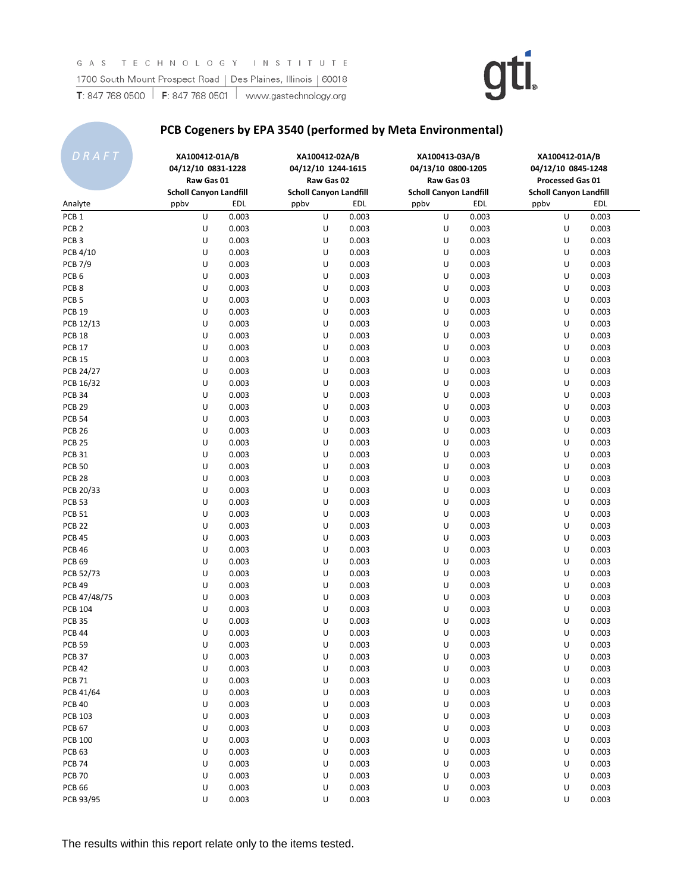### **PCB Cogeners by EPA 3540 (performed by Meta Environmental)**

| DRAFT             | XA100412-01A/B<br>04/12/10 0831-1228<br>Raw Gas 01 |       | XA100412-02A/B<br>04/12/10 1244-1615<br>Raw Gas 02 |       | XA100413-03A/B<br>04/13/10 0800-1205<br>Raw Gas 03 |            | XA100412-01A/B<br>04/12/10 0845-1248<br><b>Processed Gas 01</b> |       |
|-------------------|----------------------------------------------------|-------|----------------------------------------------------|-------|----------------------------------------------------|------------|-----------------------------------------------------------------|-------|
|                   | <b>Scholl Canyon Landfill</b>                      |       | <b>Scholl Canyon Landfill</b>                      |       | <b>Scholl Canyon Landfill</b>                      |            | <b>Scholl Canyon Landfill</b>                                   |       |
| Analyte           | ppby                                               | EDL   | ppby                                               | EDL   | ppby                                               | <b>EDL</b> | ppby                                                            | EDL   |
| PCB <sub>1</sub>  | U                                                  | 0.003 | U                                                  | 0.003 | U                                                  | 0.003      | U                                                               | 0.003 |
| PCB <sub>2</sub>  | U                                                  | 0.003 | U                                                  | 0.003 | U                                                  | 0.003      | U                                                               | 0.003 |
| PCB <sub>3</sub>  | U                                                  | 0.003 | U                                                  | 0.003 | U                                                  | 0.003      | U                                                               | 0.003 |
| PCB 4/10          | U                                                  | 0.003 | U                                                  | 0.003 | U                                                  | 0.003      | U                                                               | 0.003 |
| <b>PCB 7/9</b>    | U                                                  | 0.003 | U                                                  | 0.003 | U                                                  | 0.003      | U                                                               | 0.003 |
| PCB <sub>6</sub>  | U                                                  | 0.003 | U                                                  | 0.003 | U                                                  | 0.003      | U                                                               | 0.003 |
| PCB <sub>8</sub>  | U                                                  | 0.003 | U                                                  | 0.003 | U                                                  | 0.003      | U                                                               | 0.003 |
| PCB <sub>5</sub>  | U                                                  | 0.003 | U                                                  | 0.003 | U                                                  | 0.003      | U                                                               | 0.003 |
| <b>PCB 19</b>     | U                                                  | 0.003 | U                                                  | 0.003 | U                                                  | 0.003      | U                                                               | 0.003 |
| PCB 12/13         | U                                                  | 0.003 | U                                                  | 0.003 | U                                                  | 0.003      | U                                                               | 0.003 |
| PCB <sub>18</sub> | U                                                  | 0.003 | U                                                  | 0.003 | U                                                  | 0.003      | U                                                               | 0.003 |
| <b>PCB 17</b>     | U                                                  | 0.003 | U                                                  | 0.003 | U                                                  | 0.003      | U                                                               | 0.003 |
| <b>PCB 15</b>     | U                                                  | 0.003 | U                                                  | 0.003 | U                                                  | 0.003      | U                                                               | 0.003 |
| PCB 24/27         | U                                                  | 0.003 | U                                                  | 0.003 | U                                                  | 0.003      | U                                                               | 0.003 |
| PCB 16/32         | U                                                  | 0.003 | U                                                  | 0.003 | U                                                  | 0.003      | U                                                               | 0.003 |
| <b>PCB 34</b>     | U                                                  | 0.003 | U                                                  | 0.003 | U                                                  | 0.003      | U                                                               | 0.003 |
| <b>PCB 29</b>     | U                                                  | 0.003 | U                                                  | 0.003 | U                                                  | 0.003      | U                                                               | 0.003 |
| <b>PCB 54</b>     | U                                                  | 0.003 | U                                                  | 0.003 | U                                                  | 0.003      | U                                                               | 0.003 |
| <b>PCB 26</b>     | U                                                  | 0.003 | U                                                  | 0.003 | U                                                  | 0.003      | U                                                               | 0.003 |
| PCB <sub>25</sub> | U                                                  | 0.003 | U                                                  | 0.003 | U                                                  | 0.003      | U                                                               | 0.003 |
| PCB <sub>31</sub> | U                                                  | 0.003 | U                                                  | 0.003 | U                                                  | 0.003      | U                                                               | 0.003 |
| <b>PCB 50</b>     | U                                                  | 0.003 | U                                                  | 0.003 | U                                                  | 0.003      | U                                                               | 0.003 |
| PCB <sub>28</sub> | U                                                  | 0.003 | U                                                  | 0.003 | U                                                  | 0.003      | U                                                               | 0.003 |
| PCB 20/33         | U                                                  | 0.003 | U                                                  | 0.003 | U                                                  | 0.003      | U                                                               | 0.003 |
| <b>PCB 53</b>     | U                                                  | 0.003 | U                                                  | 0.003 | U                                                  | 0.003      | U                                                               | 0.003 |
| <b>PCB 51</b>     | U                                                  | 0.003 | U                                                  | 0.003 | U                                                  | 0.003      | U                                                               | 0.003 |
| <b>PCB 22</b>     | U                                                  | 0.003 | U                                                  | 0.003 | U                                                  | 0.003      | U                                                               | 0.003 |
| <b>PCB 45</b>     | U                                                  | 0.003 | U                                                  | 0.003 | U                                                  | 0.003      | U                                                               | 0.003 |
| <b>PCB 46</b>     | U                                                  | 0.003 | U                                                  | 0.003 | U                                                  | 0.003      | U                                                               | 0.003 |
| <b>PCB 69</b>     | U                                                  | 0.003 | U                                                  | 0.003 | U                                                  | 0.003      | U                                                               | 0.003 |
| PCB 52/73         | U                                                  | 0.003 | U                                                  | 0.003 | U                                                  | 0.003      | U                                                               | 0.003 |
| <b>PCB 49</b>     | U                                                  | 0.003 | U                                                  | 0.003 | U                                                  | 0.003      | U                                                               | 0.003 |
| PCB 47/48/75      | U                                                  | 0.003 | U                                                  | 0.003 | U                                                  | 0.003      | U                                                               | 0.003 |
| <b>PCB 104</b>    | U                                                  | 0.003 | U                                                  | 0.003 | U                                                  | 0.003      | U                                                               | 0.003 |
| <b>PCB 35</b>     | U                                                  | 0.003 | U                                                  | 0.003 | U                                                  | 0.003      | U                                                               | 0.003 |
| <b>PCB 44</b>     | U                                                  | 0.003 | U                                                  | 0.003 | U                                                  | 0.003      | U                                                               | 0.003 |
| <b>PCB 59</b>     | U                                                  | 0.003 | U                                                  | 0.003 | U                                                  | 0.003      | U                                                               | 0.003 |
| PCB 37            | U                                                  | 0.003 | U                                                  | 0.003 | U                                                  | 0.003      | U                                                               | 0.003 |
| <b>PCB 42</b>     | U                                                  | 0.003 | U                                                  | 0.003 | U                                                  | 0.003      | U                                                               | 0.003 |
| <b>PCB 71</b>     | U                                                  | 0.003 | U                                                  | 0.003 | U                                                  | 0.003      | U                                                               | 0.003 |
| PCB 41/64         | U                                                  | 0.003 | U                                                  | 0.003 | U                                                  | 0.003      | U                                                               | 0.003 |
| <b>PCB 40</b>     | U                                                  | 0.003 | U                                                  | 0.003 | U                                                  | 0.003      | U                                                               | 0.003 |
| <b>PCB 103</b>    | U                                                  | 0.003 | U                                                  | 0.003 | U                                                  | 0.003      | U                                                               | 0.003 |
| <b>PCB 67</b>     | U                                                  | 0.003 | U                                                  | 0.003 | U                                                  | 0.003      | U                                                               | 0.003 |
| <b>PCB 100</b>    | U                                                  | 0.003 | U                                                  | 0.003 | U                                                  | 0.003      | U                                                               | 0.003 |
| PCB <sub>63</sub> | U                                                  | 0.003 | U                                                  | 0.003 | U                                                  | 0.003      | U                                                               | 0.003 |
| <b>PCB 74</b>     | U                                                  | 0.003 | U                                                  | 0.003 | U                                                  | 0.003      | U                                                               | 0.003 |
| <b>PCB 70</b>     | U                                                  | 0.003 | U                                                  | 0.003 | U                                                  | 0.003      | U                                                               | 0.003 |
| <b>PCB 66</b>     | U                                                  | 0.003 | U                                                  | 0.003 | U                                                  | 0.003      | U                                                               | 0.003 |
| PCB 93/95         | U                                                  | 0.003 | U                                                  | 0.003 | U                                                  | 0.003      | U                                                               | 0.003 |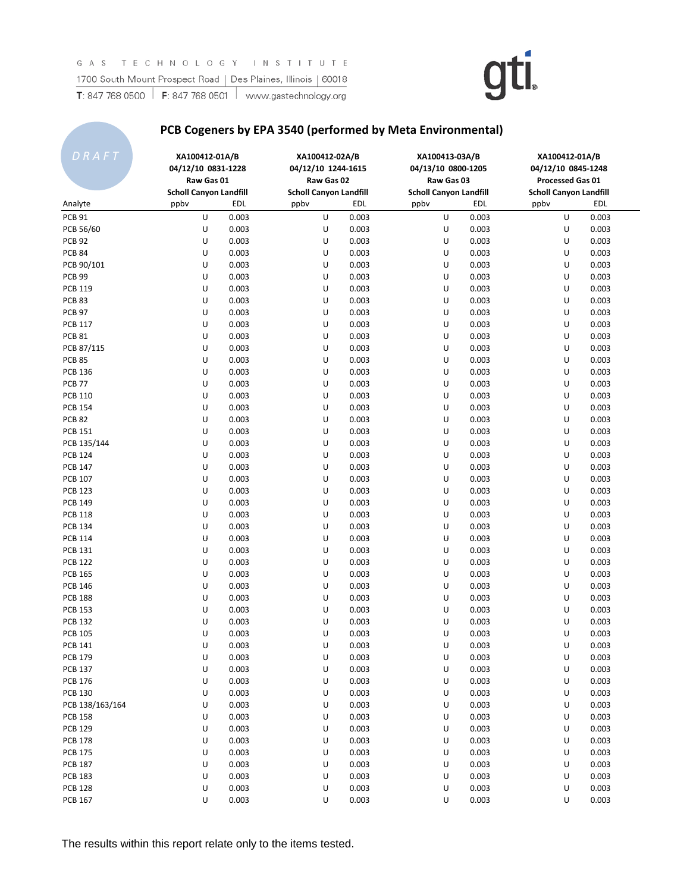### **PCB Cogeners by EPA 3540 (performed by Meta Environmental)**

| DRAFT             | XA100412-01A/B<br>04/12/10 0831-1228<br>Raw Gas 01 |       |      | XA100412-02A/B<br>04/12/10 1244-1615<br>Raw Gas 02 | XA100413-03A/B<br>04/13/10 0800-1205<br>Raw Gas 03 |            | XA100412-01A/B<br>04/12/10 0845-1248<br>Processed Gas 01 |            |
|-------------------|----------------------------------------------------|-------|------|----------------------------------------------------|----------------------------------------------------|------------|----------------------------------------------------------|------------|
|                   | <b>Scholl Canyon Landfill</b>                      |       |      | <b>Scholl Canyon Landfill</b>                      | <b>Scholl Canyon Landfill</b>                      |            | <b>Scholl Canyon Landfill</b>                            |            |
| Analyte           | ppbv                                               | EDL   | ppby | <b>EDL</b>                                         | ppby                                               | <b>EDL</b> | ppby                                                     | <b>EDL</b> |
| <b>PCB 91</b>     | U                                                  | 0.003 | U    | 0.003                                              | U                                                  | 0.003      | U                                                        | 0.003      |
| PCB 56/60         | U                                                  | 0.003 | U    | 0.003                                              | U                                                  | 0.003      | U                                                        | 0.003      |
| <b>PCB 92</b>     | U                                                  | 0.003 | U    | 0.003                                              | U                                                  | 0.003      | U                                                        | 0.003      |
| <b>PCB 84</b>     | U                                                  | 0.003 | U    | 0.003                                              | U                                                  | 0.003      | U                                                        | 0.003      |
| PCB 90/101        | U                                                  | 0.003 | U    | 0.003                                              | U                                                  | 0.003      | U                                                        | 0.003      |
| PCB <sub>99</sub> | U                                                  | 0.003 | U    | 0.003                                              | U                                                  | 0.003      | U                                                        | 0.003      |
| <b>PCB 119</b>    | U                                                  | 0.003 | U    | 0.003                                              | U                                                  | 0.003      | U                                                        | 0.003      |
| PCB <sub>83</sub> | U                                                  | 0.003 | U    | 0.003                                              | U                                                  | 0.003      | U                                                        | 0.003      |
| <b>PCB 97</b>     | U                                                  | 0.003 | U    | 0.003                                              | U                                                  | 0.003      | U                                                        | 0.003      |
| <b>PCB 117</b>    | U                                                  | 0.003 | U    | 0.003                                              | U                                                  | 0.003      | U                                                        | 0.003      |
| <b>PCB 81</b>     | U                                                  | 0.003 | U    | 0.003                                              | U                                                  | 0.003      | U                                                        | 0.003      |
| PCB 87/115        | U                                                  | 0.003 | U    | 0.003                                              | U                                                  | 0.003      | U                                                        | 0.003      |
| <b>PCB 85</b>     | U                                                  | 0.003 | U    | 0.003                                              | U                                                  | 0.003      | U                                                        | 0.003      |
| <b>PCB 136</b>    | U                                                  | 0.003 | U    | 0.003                                              | U                                                  | 0.003      | U                                                        | 0.003      |
| <b>PCB 77</b>     | U                                                  | 0.003 | U    | 0.003                                              | U                                                  | 0.003      | U                                                        | 0.003      |
| <b>PCB 110</b>    | U                                                  | 0.003 | U    | 0.003                                              | U                                                  | 0.003      | U                                                        | 0.003      |
| <b>PCB 154</b>    | U                                                  | 0.003 | U    | 0.003                                              | U                                                  | 0.003      | U                                                        | 0.003      |
| <b>PCB 82</b>     | U                                                  | 0.003 | U    | 0.003                                              | U                                                  | 0.003      | U                                                        | 0.003      |
| <b>PCB 151</b>    | U                                                  | 0.003 | U    | 0.003                                              | U                                                  | 0.003      | U                                                        | 0.003      |
| PCB 135/144       | U                                                  | 0.003 | U    | 0.003                                              | U                                                  | 0.003      | U                                                        | 0.003      |
| <b>PCB 124</b>    | U                                                  | 0.003 | U    | 0.003                                              | U                                                  | 0.003      | U                                                        | 0.003      |
| <b>PCB 147</b>    | U                                                  | 0.003 | U    | 0.003                                              | U                                                  | 0.003      | U                                                        | 0.003      |
| <b>PCB 107</b>    | U                                                  | 0.003 | U    | 0.003                                              | U                                                  | 0.003      | U                                                        | 0.003      |
| <b>PCB 123</b>    | U                                                  | 0.003 | U    | 0.003                                              | U                                                  | 0.003      | U                                                        | 0.003      |
| <b>PCB 149</b>    | U                                                  | 0.003 | U    | 0.003                                              | U                                                  | 0.003      | U                                                        | 0.003      |
| <b>PCB 118</b>    | U                                                  | 0.003 | U    | 0.003                                              | U                                                  | 0.003      | U                                                        | 0.003      |
| <b>PCB 134</b>    | U                                                  | 0.003 | U    | 0.003                                              | U                                                  | 0.003      | U                                                        | 0.003      |
| <b>PCB 114</b>    | U                                                  | 0.003 | U    | 0.003                                              | U                                                  | 0.003      | U                                                        | 0.003      |
| <b>PCB 131</b>    | U                                                  | 0.003 | U    | 0.003                                              | U                                                  | 0.003      | U                                                        | 0.003      |
| <b>PCB 122</b>    | U                                                  | 0.003 | U    | 0.003                                              | U                                                  | 0.003      | U                                                        | 0.003      |
| <b>PCB 165</b>    | U                                                  | 0.003 | U    | 0.003                                              | U                                                  | 0.003      | U                                                        | 0.003      |
| <b>PCB 146</b>    | U                                                  | 0.003 | U    | 0.003                                              | U                                                  | 0.003      | U                                                        | 0.003      |
| <b>PCB 188</b>    | U                                                  | 0.003 | U    | 0.003                                              | U                                                  | 0.003      | U                                                        | 0.003      |
| <b>PCB 153</b>    | U                                                  | 0.003 | U    | 0.003                                              | U                                                  | 0.003      | U                                                        | 0.003      |
| <b>PCB 132</b>    | U                                                  | 0.003 | U    | 0.003                                              | U                                                  | 0.003      | U                                                        | 0.003      |
| <b>PCB 105</b>    | U                                                  | 0.003 | U    | 0.003                                              | U                                                  | 0.003      | U                                                        | 0.003      |
| <b>PCB 141</b>    | U                                                  | 0.003 | U    | 0.003                                              | U                                                  | 0.003      | U                                                        | 0.003      |
| <b>PCB 179</b>    | U                                                  | 0.003 | U    | 0.003                                              | U                                                  | 0.003      | U                                                        | 0.003      |
| <b>PCB 137</b>    | U                                                  | 0.003 | U    | 0.003                                              | U                                                  | 0.003      | U                                                        | 0.003      |
| <b>PCB 176</b>    | U                                                  | 0.003 | U    | 0.003                                              | U                                                  | 0.003      | U                                                        | 0.003      |
| <b>PCB 130</b>    | U                                                  | 0.003 | U    | 0.003                                              | U                                                  | 0.003      | U                                                        | 0.003      |
| PCB 138/163/164   | U                                                  | 0.003 | U    | 0.003                                              | U                                                  | 0.003      | U                                                        | 0.003      |
| <b>PCB 158</b>    | U                                                  | 0.003 | U    | 0.003                                              | U                                                  | 0.003      | U                                                        | 0.003      |
| <b>PCB 129</b>    | U                                                  | 0.003 | U    | 0.003                                              | U                                                  | 0.003      | U                                                        | 0.003      |
| <b>PCB 178</b>    |                                                    | 0.003 | U    | 0.003                                              | U                                                  | 0.003      | U                                                        | 0.003      |
| <b>PCB 175</b>    | U                                                  | 0.003 |      | 0.003                                              | U                                                  |            |                                                          | 0.003      |
|                   | U                                                  |       | U    |                                                    |                                                    | 0.003      | U                                                        |            |
| <b>PCB 187</b>    | U                                                  | 0.003 | U    | 0.003                                              | U                                                  | 0.003      | U                                                        | 0.003      |
| <b>PCB 183</b>    | U                                                  | 0.003 | U    | 0.003                                              | U                                                  | 0.003      | U                                                        | 0.003      |
| <b>PCB 128</b>    | U                                                  | 0.003 | U    | 0.003                                              | U                                                  | 0.003      | U                                                        | 0.003      |
| <b>PCB 167</b>    | U                                                  | 0.003 | U    | 0.003                                              | U                                                  | 0.003      | U                                                        | 0.003      |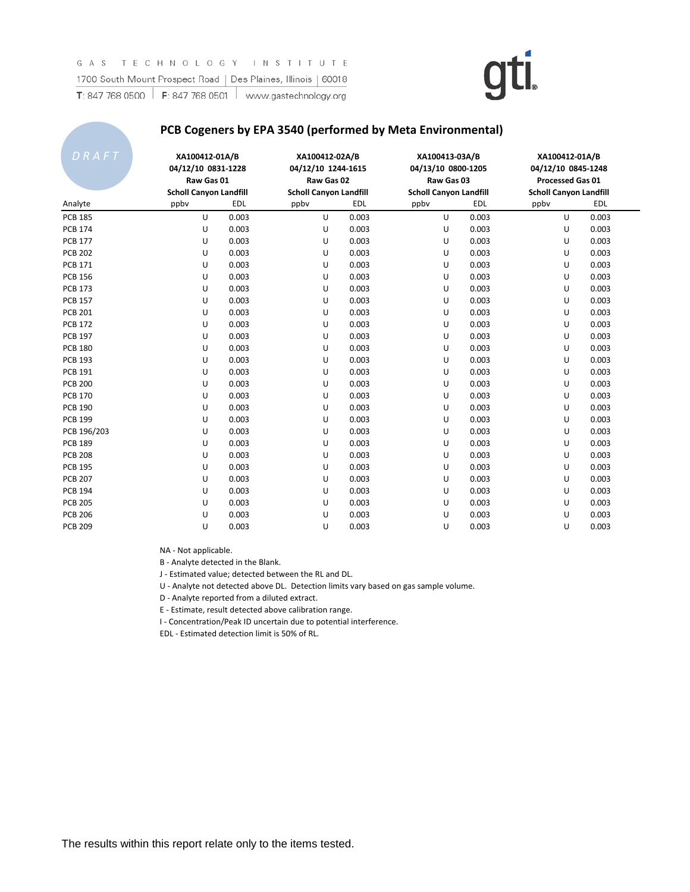#### **PCB Cogeners by EPA 3540 (performed by Meta Environmental)**

| DRAFT          | XA100412-01A/B<br>04/12/10 0831-1228<br>Raw Gas 01<br><b>Scholl Canyon Landfill</b> |            | XA100412-02A/B<br>04/12/10 1244-1615<br>Raw Gas 02<br><b>Scholl Canyon Landfill</b> |            | XA100413-03A/B<br>04/13/10 0800-1205<br>Raw Gas 03<br><b>Scholl Canyon Landfill</b> |       | XA100412-01A/B<br>04/12/10 0845-1248<br>Processed Gas 01<br><b>Scholl Canyon Landfill</b> |       |
|----------------|-------------------------------------------------------------------------------------|------------|-------------------------------------------------------------------------------------|------------|-------------------------------------------------------------------------------------|-------|-------------------------------------------------------------------------------------------|-------|
| Analyte        | ppbv                                                                                | <b>EDL</b> | ppby                                                                                | <b>EDL</b> | ppbv                                                                                | EDL   | ppbv                                                                                      | EDL   |
| <b>PCB 185</b> | U                                                                                   | 0.003      | U                                                                                   | 0.003      | U                                                                                   | 0.003 | U                                                                                         | 0.003 |
| <b>PCB 174</b> | U                                                                                   | 0.003      | U                                                                                   | 0.003      | U                                                                                   | 0.003 | U                                                                                         | 0.003 |
| <b>PCB 177</b> | U                                                                                   | 0.003      | U                                                                                   | 0.003      | U                                                                                   | 0.003 | U                                                                                         | 0.003 |
| <b>PCB 202</b> | U                                                                                   | 0.003      | U                                                                                   | 0.003      | U                                                                                   | 0.003 | U                                                                                         | 0.003 |
| <b>PCB 171</b> | U                                                                                   | 0.003      | U                                                                                   | 0.003      | U                                                                                   | 0.003 | U                                                                                         | 0.003 |
| <b>PCB 156</b> | U                                                                                   | 0.003      | U                                                                                   | 0.003      | U                                                                                   | 0.003 | U                                                                                         | 0.003 |
| <b>PCB 173</b> | U                                                                                   | 0.003      | U                                                                                   | 0.003      | U                                                                                   | 0.003 | U                                                                                         | 0.003 |
| <b>PCB 157</b> | U                                                                                   | 0.003      | U                                                                                   | 0.003      | U                                                                                   | 0.003 | U                                                                                         | 0.003 |
| <b>PCB 201</b> | U                                                                                   | 0.003      | U                                                                                   | 0.003      | U                                                                                   | 0.003 | U                                                                                         | 0.003 |
| <b>PCB 172</b> | U                                                                                   | 0.003      | U                                                                                   | 0.003      | U                                                                                   | 0.003 | U                                                                                         | 0.003 |
| <b>PCB 197</b> | U                                                                                   | 0.003      | U                                                                                   | 0.003      | U                                                                                   | 0.003 | U                                                                                         | 0.003 |
| <b>PCB 180</b> | U                                                                                   | 0.003      | U                                                                                   | 0.003      | U                                                                                   | 0.003 | U                                                                                         | 0.003 |
| <b>PCB 193</b> | U                                                                                   | 0.003      | U                                                                                   | 0.003      | U                                                                                   | 0.003 | U                                                                                         | 0.003 |
| <b>PCB 191</b> | U                                                                                   | 0.003      | U                                                                                   | 0.003      | U                                                                                   | 0.003 | U                                                                                         | 0.003 |
| <b>PCB 200</b> | U                                                                                   | 0.003      | U                                                                                   | 0.003      | U                                                                                   | 0.003 | U                                                                                         | 0.003 |
| <b>PCB 170</b> | U                                                                                   | 0.003      | U                                                                                   | 0.003      | U                                                                                   | 0.003 | U                                                                                         | 0.003 |
| <b>PCB 190</b> | U                                                                                   | 0.003      | U                                                                                   | 0.003      | U                                                                                   | 0.003 | U                                                                                         | 0.003 |
| <b>PCB 199</b> | U                                                                                   | 0.003      | U                                                                                   | 0.003      | U                                                                                   | 0.003 | U                                                                                         | 0.003 |
| PCB 196/203    | U                                                                                   | 0.003      | U                                                                                   | 0.003      | U                                                                                   | 0.003 | U                                                                                         | 0.003 |
| <b>PCB 189</b> | U                                                                                   | 0.003      | U                                                                                   | 0.003      | U                                                                                   | 0.003 | U                                                                                         | 0.003 |
| <b>PCB 208</b> | U                                                                                   | 0.003      | U                                                                                   | 0.003      | U                                                                                   | 0.003 | U                                                                                         | 0.003 |
| <b>PCB 195</b> | U                                                                                   | 0.003      | U                                                                                   | 0.003      | U                                                                                   | 0.003 | U                                                                                         | 0.003 |
| <b>PCB 207</b> | U                                                                                   | 0.003      | U                                                                                   | 0.003      | U                                                                                   | 0.003 | U                                                                                         | 0.003 |
| <b>PCB 194</b> | U                                                                                   | 0.003      | U                                                                                   | 0.003      | U                                                                                   | 0.003 | U                                                                                         | 0.003 |
| <b>PCB 205</b> | U                                                                                   | 0.003      | U                                                                                   | 0.003      | U                                                                                   | 0.003 | U                                                                                         | 0.003 |
| <b>PCB 206</b> | U                                                                                   | 0.003      | U                                                                                   | 0.003      | U                                                                                   | 0.003 | U                                                                                         | 0.003 |
| <b>PCB 209</b> | U                                                                                   | 0.003      | U                                                                                   | 0.003      | U                                                                                   | 0.003 | U                                                                                         | 0.003 |

NA - Not applicable.

B - Analyte detected in the Blank.

J - Estimated value; detected between the RL and DL.

U - Analyte not detected above DL. Detection limits vary based on gas sample volume.

D - Analyte reported from a diluted extract.

E - Estimate, result detected above calibration range.

I - Concentration/Peak ID uncertain due to potential interference.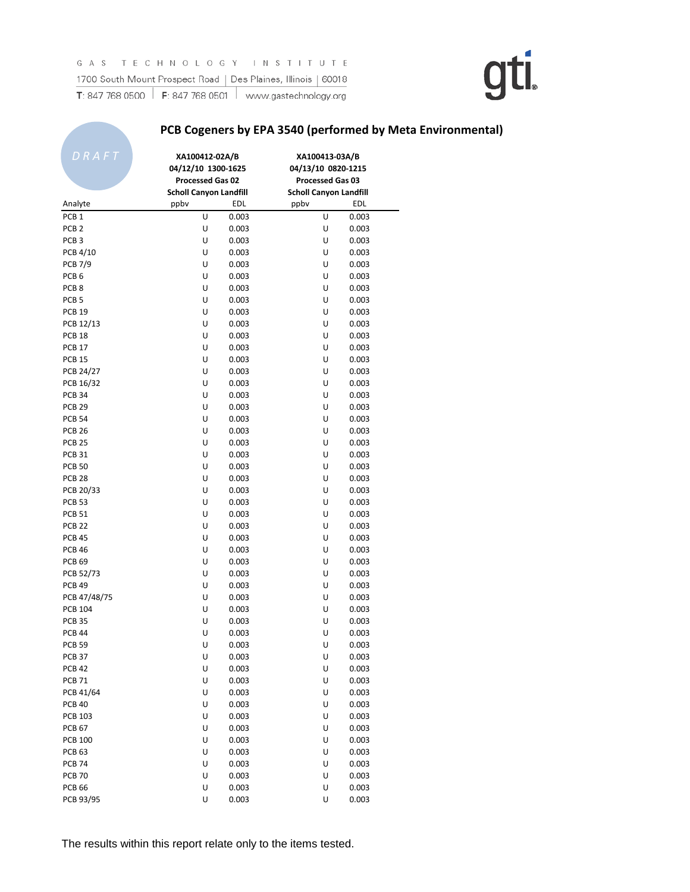### **PCB Cogeners by EPA 3540 (performed by Meta Environmental)**

| DRAFT             | XA100412-02A/B<br>04/12/10 1300-1625<br>Processed Gas 02<br><b>Scholl Canyon Landfill</b> | EDL   | XA100413-03A/B<br>04/13/10 0820-1215<br>Processed Gas 03<br><b>Scholl Canyon Landfill</b> | <b>EDL</b>     |
|-------------------|-------------------------------------------------------------------------------------------|-------|-------------------------------------------------------------------------------------------|----------------|
| Analyte           | ppby                                                                                      |       | ppby                                                                                      |                |
| PCB <sub>1</sub>  | U                                                                                         | 0.003 | U                                                                                         | 0.003          |
| PCB <sub>2</sub>  | U                                                                                         | 0.003 | U                                                                                         | 0.003          |
| PCB <sub>3</sub>  | U                                                                                         | 0.003 | U                                                                                         | 0.003          |
| PCB 4/10          | U                                                                                         | 0.003 | U                                                                                         | 0.003          |
| <b>PCB 7/9</b>    | U                                                                                         | 0.003 | U                                                                                         | 0.003          |
| PCB <sub>6</sub>  | U                                                                                         | 0.003 | U                                                                                         | 0.003          |
| PCB <sub>8</sub>  | U                                                                                         | 0.003 | U                                                                                         | 0.003          |
| PCB <sub>5</sub>  | U                                                                                         | 0.003 | U                                                                                         | 0.003          |
| <b>PCB 19</b>     | U                                                                                         | 0.003 | U                                                                                         | 0.003          |
| PCB 12/13         | U                                                                                         | 0.003 | U                                                                                         | 0.003          |
| PCB <sub>18</sub> | U                                                                                         | 0.003 | U                                                                                         | 0.003          |
| <b>PCB 17</b>     | U                                                                                         | 0.003 | U                                                                                         | 0.003          |
| <b>PCB 15</b>     | U                                                                                         | 0.003 | U                                                                                         | 0.003          |
| PCB 24/27         | U                                                                                         | 0.003 | U                                                                                         | 0.003          |
| PCB 16/32         | U                                                                                         | 0.003 | U                                                                                         | 0.003          |
| <b>PCB 34</b>     | U                                                                                         | 0.003 | U                                                                                         | 0.003          |
| <b>PCB 29</b>     | U                                                                                         | 0.003 | U                                                                                         | 0.003          |
| <b>PCB 54</b>     | U                                                                                         | 0.003 | U                                                                                         | 0.003          |
| <b>PCB 26</b>     | U                                                                                         | 0.003 | U                                                                                         | 0.003          |
| <b>PCB 25</b>     | U                                                                                         | 0.003 | U                                                                                         | 0.003          |
| <b>PCB 31</b>     | U                                                                                         | 0.003 | U                                                                                         | 0.003          |
| <b>PCB 50</b>     | U                                                                                         | 0.003 | U                                                                                         | 0.003          |
| <b>PCB 28</b>     | U                                                                                         | 0.003 | U                                                                                         | 0.003          |
| PCB 20/33         | U                                                                                         | 0.003 | U                                                                                         | 0.003          |
| <b>PCB 53</b>     | U                                                                                         | 0.003 | U                                                                                         | 0.003          |
| <b>PCB 51</b>     | U                                                                                         | 0.003 | U                                                                                         | 0.003          |
| <b>PCB 22</b>     | U                                                                                         | 0.003 | U                                                                                         | 0.003          |
| <b>PCB 45</b>     | U                                                                                         | 0.003 | U                                                                                         | 0.003          |
| <b>PCB 46</b>     | U                                                                                         | 0.003 | U                                                                                         | 0.003          |
| <b>PCB 69</b>     | U                                                                                         | 0.003 | U                                                                                         | 0.003          |
| PCB 52/73         | U                                                                                         | 0.003 | U                                                                                         | 0.003          |
| <b>PCB 49</b>     | U                                                                                         | 0.003 | U                                                                                         | 0.003          |
| PCB 47/48/75      | U                                                                                         | 0.003 | U                                                                                         | 0.003          |
| <b>PCB 104</b>    | U                                                                                         | 0.003 | U                                                                                         | 0.003          |
| <b>PCB 35</b>     | U                                                                                         | 0.003 | U                                                                                         | 0.003          |
| <b>PCB 44</b>     | U                                                                                         | 0.003 | U                                                                                         | 0.003          |
| <b>PCB 59</b>     | U                                                                                         | 0.003 | U                                                                                         | 0.003          |
| <b>PCB 37</b>     | U                                                                                         | 0.003 | U                                                                                         | 0.003          |
| <b>PCB 42</b>     | U                                                                                         | 0.003 | U                                                                                         | 0.003          |
| <b>PCB 71</b>     | U                                                                                         | 0.003 | U                                                                                         | 0.003          |
| PCB 41/64         | U                                                                                         | 0.003 | U                                                                                         | 0.003          |
| <b>PCB 40</b>     | U                                                                                         | 0.003 | U                                                                                         | 0.003          |
| <b>PCB 103</b>    | U                                                                                         | 0.003 | U                                                                                         | 0.003          |
| <b>PCB 67</b>     | U                                                                                         | 0.003 | U                                                                                         |                |
| <b>PCB 100</b>    | U                                                                                         | 0.003 | U                                                                                         | 0.003<br>0.003 |
| <b>PCB 63</b>     | U                                                                                         | 0.003 | U                                                                                         | 0.003          |
|                   |                                                                                           |       |                                                                                           |                |
| <b>PCB 74</b>     | U                                                                                         | 0.003 | U                                                                                         | 0.003          |
| <b>PCB 70</b>     | U                                                                                         | 0.003 | U                                                                                         | 0.003          |
| <b>PCB 66</b>     | U                                                                                         | 0.003 | U                                                                                         | 0.003          |
| PCB 93/95         | U                                                                                         | 0.003 | U                                                                                         | 0.003          |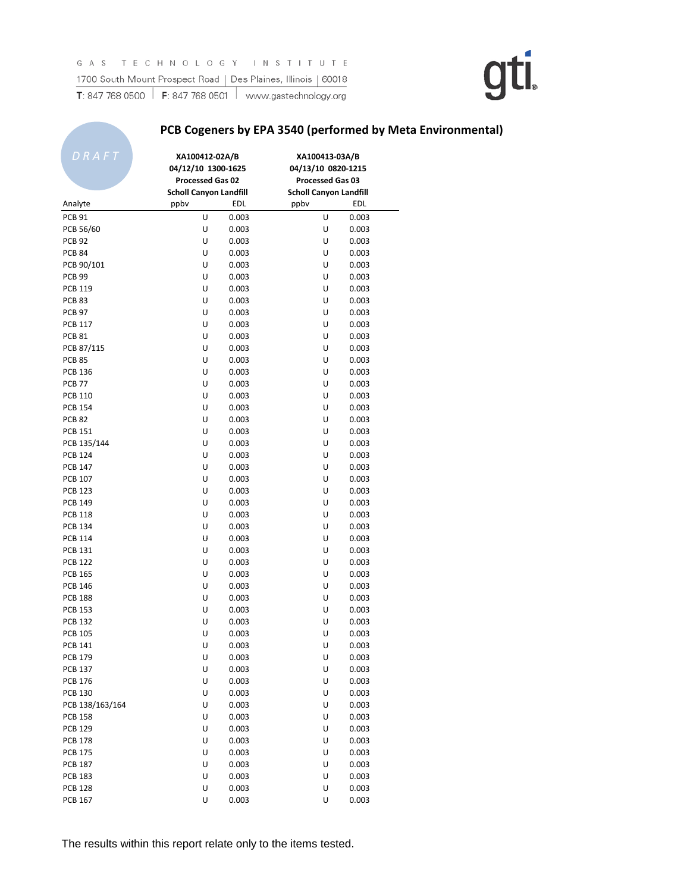### **PCB Cogeners by EPA 3540 (performed by Meta Environmental)**

| U<br><b>PCB 91</b><br>0.003<br>U<br>0.003<br>U<br>0.003<br>U<br>0.003<br>PCB 56/60<br><b>PCB 92</b><br>U<br>0.003<br>U<br>0.003<br><b>PCB 84</b><br>U<br>0.003<br>U<br>0.003<br>U<br>0.003<br>U<br>0.003<br>PCB 90/101<br><b>PCB 99</b><br>U<br>0.003<br>U<br>0.003<br>U<br><b>PCB 119</b><br>0.003<br>U<br>0.003<br>U<br><b>PCB 83</b><br>0.003<br>U<br>0.003<br>U<br>U<br><b>PCB 97</b><br>0.003<br>0.003<br><b>PCB 117</b><br>U<br>0.003<br>U<br>0.003<br><b>PCB 81</b><br>U<br>U<br>0.003<br>0.003<br>PCB 87/115<br>U<br>0.003<br>U<br>0.003<br>U<br>U<br><b>PCB 85</b><br>0.003<br>0.003<br><b>PCB 136</b><br>U<br>0.003<br>U<br>0.003<br><b>PCB 77</b><br>U<br>0.003<br>U<br>0.003<br><b>PCB 110</b><br>U<br>0.003<br>U<br>0.003<br>U<br>U<br>0.003<br><b>PCB 154</b><br>0.003<br><b>PCB 82</b><br>U<br>0.003<br>U<br>0.003<br>U<br>U<br><b>PCB 151</b><br>0.003<br>0.003<br>PCB 135/144<br>U<br>0.003<br>U<br>0.003<br><b>PCB 124</b><br>U<br>U<br>0.003<br>0.003<br><b>PCB 147</b><br>U<br>0.003<br>U<br>0.003<br><b>PCB 107</b><br>U<br>U<br>0.003<br>0.003<br>U<br>U<br><b>PCB 123</b><br>0.003<br>0.003<br>U<br>U<br><b>PCB 149</b><br>0.003<br>0.003<br><b>PCB 118</b><br>U<br>0.003<br>U<br>0.003<br><b>PCB 134</b><br>U<br>0.003<br>U<br>0.003<br><b>PCB 114</b><br>U<br>U<br>0.003<br>0.003<br><b>PCB 131</b><br>U<br>0.003<br>U<br>0.003<br><b>PCB 122</b><br>U<br>0.003<br>U<br>0.003<br><b>PCB 165</b><br>U<br>0.003<br>U<br>0.003<br><b>PCB 146</b><br>U<br>0.003<br>U<br>0.003<br><b>PCB 188</b><br>U<br>0.003<br>U<br>0.003<br>U<br><b>PCB 153</b><br>0.003<br>U<br>0.003<br><b>PCB 132</b><br>U<br>0.003<br>U<br>0.003<br><b>PCB 105</b><br>U<br>U<br>0.003<br>0.003<br>U<br>0.003<br>U<br>PCB 141<br>0.003<br>U<br>U<br>0.003<br><b>PCB 179</b><br>0.003<br><b>PCB 137</b><br>U<br>0.003<br>U<br>0.003<br><b>PCB 176</b><br>U<br>0.003<br>U<br>0.003<br><b>PCB 130</b><br>U<br>0.003<br>U<br>0.003<br>U<br>U<br>PCB 138/163/164<br>0.003<br>0.003<br><b>PCB 158</b><br>U<br>0.003<br>U<br>0.003<br><b>PCB 129</b><br>U<br>0.003<br>U<br>0.003<br><b>PCB 178</b><br>U<br>0.003<br>U<br>0.003<br><b>PCB 175</b><br>U<br>0.003<br>U<br>0.003<br><b>PCB 187</b><br>U<br>0.003<br>U<br>0.003<br><b>PCB 183</b><br>U<br>0.003<br>U<br>0.003<br><b>PCB 128</b><br>U<br>0.003<br>U<br>0.003 | DRAFT<br>Analyte | XA100412-02A/B<br>04/12/10 1300-1625<br>Processed Gas 02<br><b>Scholl Canyon Landfill</b><br>ppby | EDL   | XA100413-03A/B<br>04/13/10 0820-1215<br>Processed Gas 03<br><b>Scholl Canyon Landfill</b><br>ppbv | EDL   |
|------------------------------------------------------------------------------------------------------------------------------------------------------------------------------------------------------------------------------------------------------------------------------------------------------------------------------------------------------------------------------------------------------------------------------------------------------------------------------------------------------------------------------------------------------------------------------------------------------------------------------------------------------------------------------------------------------------------------------------------------------------------------------------------------------------------------------------------------------------------------------------------------------------------------------------------------------------------------------------------------------------------------------------------------------------------------------------------------------------------------------------------------------------------------------------------------------------------------------------------------------------------------------------------------------------------------------------------------------------------------------------------------------------------------------------------------------------------------------------------------------------------------------------------------------------------------------------------------------------------------------------------------------------------------------------------------------------------------------------------------------------------------------------------------------------------------------------------------------------------------------------------------------------------------------------------------------------------------------------------------------------------------------------------------------------------------------------------------------------------------------------------------------------------------------------------------------------------------------------------------------------------------------------------------------------|------------------|---------------------------------------------------------------------------------------------------|-------|---------------------------------------------------------------------------------------------------|-------|
|                                                                                                                                                                                                                                                                                                                                                                                                                                                                                                                                                                                                                                                                                                                                                                                                                                                                                                                                                                                                                                                                                                                                                                                                                                                                                                                                                                                                                                                                                                                                                                                                                                                                                                                                                                                                                                                                                                                                                                                                                                                                                                                                                                                                                                                                                                            |                  |                                                                                                   |       |                                                                                                   |       |
|                                                                                                                                                                                                                                                                                                                                                                                                                                                                                                                                                                                                                                                                                                                                                                                                                                                                                                                                                                                                                                                                                                                                                                                                                                                                                                                                                                                                                                                                                                                                                                                                                                                                                                                                                                                                                                                                                                                                                                                                                                                                                                                                                                                                                                                                                                            |                  |                                                                                                   |       |                                                                                                   |       |
|                                                                                                                                                                                                                                                                                                                                                                                                                                                                                                                                                                                                                                                                                                                                                                                                                                                                                                                                                                                                                                                                                                                                                                                                                                                                                                                                                                                                                                                                                                                                                                                                                                                                                                                                                                                                                                                                                                                                                                                                                                                                                                                                                                                                                                                                                                            |                  |                                                                                                   |       |                                                                                                   |       |
|                                                                                                                                                                                                                                                                                                                                                                                                                                                                                                                                                                                                                                                                                                                                                                                                                                                                                                                                                                                                                                                                                                                                                                                                                                                                                                                                                                                                                                                                                                                                                                                                                                                                                                                                                                                                                                                                                                                                                                                                                                                                                                                                                                                                                                                                                                            |                  |                                                                                                   |       |                                                                                                   |       |
|                                                                                                                                                                                                                                                                                                                                                                                                                                                                                                                                                                                                                                                                                                                                                                                                                                                                                                                                                                                                                                                                                                                                                                                                                                                                                                                                                                                                                                                                                                                                                                                                                                                                                                                                                                                                                                                                                                                                                                                                                                                                                                                                                                                                                                                                                                            |                  |                                                                                                   |       |                                                                                                   |       |
|                                                                                                                                                                                                                                                                                                                                                                                                                                                                                                                                                                                                                                                                                                                                                                                                                                                                                                                                                                                                                                                                                                                                                                                                                                                                                                                                                                                                                                                                                                                                                                                                                                                                                                                                                                                                                                                                                                                                                                                                                                                                                                                                                                                                                                                                                                            |                  |                                                                                                   |       |                                                                                                   |       |
|                                                                                                                                                                                                                                                                                                                                                                                                                                                                                                                                                                                                                                                                                                                                                                                                                                                                                                                                                                                                                                                                                                                                                                                                                                                                                                                                                                                                                                                                                                                                                                                                                                                                                                                                                                                                                                                                                                                                                                                                                                                                                                                                                                                                                                                                                                            |                  |                                                                                                   |       |                                                                                                   |       |
|                                                                                                                                                                                                                                                                                                                                                                                                                                                                                                                                                                                                                                                                                                                                                                                                                                                                                                                                                                                                                                                                                                                                                                                                                                                                                                                                                                                                                                                                                                                                                                                                                                                                                                                                                                                                                                                                                                                                                                                                                                                                                                                                                                                                                                                                                                            |                  |                                                                                                   |       |                                                                                                   |       |
|                                                                                                                                                                                                                                                                                                                                                                                                                                                                                                                                                                                                                                                                                                                                                                                                                                                                                                                                                                                                                                                                                                                                                                                                                                                                                                                                                                                                                                                                                                                                                                                                                                                                                                                                                                                                                                                                                                                                                                                                                                                                                                                                                                                                                                                                                                            |                  |                                                                                                   |       |                                                                                                   |       |
|                                                                                                                                                                                                                                                                                                                                                                                                                                                                                                                                                                                                                                                                                                                                                                                                                                                                                                                                                                                                                                                                                                                                                                                                                                                                                                                                                                                                                                                                                                                                                                                                                                                                                                                                                                                                                                                                                                                                                                                                                                                                                                                                                                                                                                                                                                            |                  |                                                                                                   |       |                                                                                                   |       |
|                                                                                                                                                                                                                                                                                                                                                                                                                                                                                                                                                                                                                                                                                                                                                                                                                                                                                                                                                                                                                                                                                                                                                                                                                                                                                                                                                                                                                                                                                                                                                                                                                                                                                                                                                                                                                                                                                                                                                                                                                                                                                                                                                                                                                                                                                                            |                  |                                                                                                   |       |                                                                                                   |       |
|                                                                                                                                                                                                                                                                                                                                                                                                                                                                                                                                                                                                                                                                                                                                                                                                                                                                                                                                                                                                                                                                                                                                                                                                                                                                                                                                                                                                                                                                                                                                                                                                                                                                                                                                                                                                                                                                                                                                                                                                                                                                                                                                                                                                                                                                                                            |                  |                                                                                                   |       |                                                                                                   |       |
|                                                                                                                                                                                                                                                                                                                                                                                                                                                                                                                                                                                                                                                                                                                                                                                                                                                                                                                                                                                                                                                                                                                                                                                                                                                                                                                                                                                                                                                                                                                                                                                                                                                                                                                                                                                                                                                                                                                                                                                                                                                                                                                                                                                                                                                                                                            |                  |                                                                                                   |       |                                                                                                   |       |
|                                                                                                                                                                                                                                                                                                                                                                                                                                                                                                                                                                                                                                                                                                                                                                                                                                                                                                                                                                                                                                                                                                                                                                                                                                                                                                                                                                                                                                                                                                                                                                                                                                                                                                                                                                                                                                                                                                                                                                                                                                                                                                                                                                                                                                                                                                            |                  |                                                                                                   |       |                                                                                                   |       |
|                                                                                                                                                                                                                                                                                                                                                                                                                                                                                                                                                                                                                                                                                                                                                                                                                                                                                                                                                                                                                                                                                                                                                                                                                                                                                                                                                                                                                                                                                                                                                                                                                                                                                                                                                                                                                                                                                                                                                                                                                                                                                                                                                                                                                                                                                                            |                  |                                                                                                   |       |                                                                                                   |       |
|                                                                                                                                                                                                                                                                                                                                                                                                                                                                                                                                                                                                                                                                                                                                                                                                                                                                                                                                                                                                                                                                                                                                                                                                                                                                                                                                                                                                                                                                                                                                                                                                                                                                                                                                                                                                                                                                                                                                                                                                                                                                                                                                                                                                                                                                                                            |                  |                                                                                                   |       |                                                                                                   |       |
|                                                                                                                                                                                                                                                                                                                                                                                                                                                                                                                                                                                                                                                                                                                                                                                                                                                                                                                                                                                                                                                                                                                                                                                                                                                                                                                                                                                                                                                                                                                                                                                                                                                                                                                                                                                                                                                                                                                                                                                                                                                                                                                                                                                                                                                                                                            |                  |                                                                                                   |       |                                                                                                   |       |
|                                                                                                                                                                                                                                                                                                                                                                                                                                                                                                                                                                                                                                                                                                                                                                                                                                                                                                                                                                                                                                                                                                                                                                                                                                                                                                                                                                                                                                                                                                                                                                                                                                                                                                                                                                                                                                                                                                                                                                                                                                                                                                                                                                                                                                                                                                            |                  |                                                                                                   |       |                                                                                                   |       |
|                                                                                                                                                                                                                                                                                                                                                                                                                                                                                                                                                                                                                                                                                                                                                                                                                                                                                                                                                                                                                                                                                                                                                                                                                                                                                                                                                                                                                                                                                                                                                                                                                                                                                                                                                                                                                                                                                                                                                                                                                                                                                                                                                                                                                                                                                                            |                  |                                                                                                   |       |                                                                                                   |       |
|                                                                                                                                                                                                                                                                                                                                                                                                                                                                                                                                                                                                                                                                                                                                                                                                                                                                                                                                                                                                                                                                                                                                                                                                                                                                                                                                                                                                                                                                                                                                                                                                                                                                                                                                                                                                                                                                                                                                                                                                                                                                                                                                                                                                                                                                                                            |                  |                                                                                                   |       |                                                                                                   |       |
|                                                                                                                                                                                                                                                                                                                                                                                                                                                                                                                                                                                                                                                                                                                                                                                                                                                                                                                                                                                                                                                                                                                                                                                                                                                                                                                                                                                                                                                                                                                                                                                                                                                                                                                                                                                                                                                                                                                                                                                                                                                                                                                                                                                                                                                                                                            |                  |                                                                                                   |       |                                                                                                   |       |
|                                                                                                                                                                                                                                                                                                                                                                                                                                                                                                                                                                                                                                                                                                                                                                                                                                                                                                                                                                                                                                                                                                                                                                                                                                                                                                                                                                                                                                                                                                                                                                                                                                                                                                                                                                                                                                                                                                                                                                                                                                                                                                                                                                                                                                                                                                            |                  |                                                                                                   |       |                                                                                                   |       |
|                                                                                                                                                                                                                                                                                                                                                                                                                                                                                                                                                                                                                                                                                                                                                                                                                                                                                                                                                                                                                                                                                                                                                                                                                                                                                                                                                                                                                                                                                                                                                                                                                                                                                                                                                                                                                                                                                                                                                                                                                                                                                                                                                                                                                                                                                                            |                  |                                                                                                   |       |                                                                                                   |       |
|                                                                                                                                                                                                                                                                                                                                                                                                                                                                                                                                                                                                                                                                                                                                                                                                                                                                                                                                                                                                                                                                                                                                                                                                                                                                                                                                                                                                                                                                                                                                                                                                                                                                                                                                                                                                                                                                                                                                                                                                                                                                                                                                                                                                                                                                                                            |                  |                                                                                                   |       |                                                                                                   |       |
|                                                                                                                                                                                                                                                                                                                                                                                                                                                                                                                                                                                                                                                                                                                                                                                                                                                                                                                                                                                                                                                                                                                                                                                                                                                                                                                                                                                                                                                                                                                                                                                                                                                                                                                                                                                                                                                                                                                                                                                                                                                                                                                                                                                                                                                                                                            |                  |                                                                                                   |       |                                                                                                   |       |
|                                                                                                                                                                                                                                                                                                                                                                                                                                                                                                                                                                                                                                                                                                                                                                                                                                                                                                                                                                                                                                                                                                                                                                                                                                                                                                                                                                                                                                                                                                                                                                                                                                                                                                                                                                                                                                                                                                                                                                                                                                                                                                                                                                                                                                                                                                            |                  |                                                                                                   |       |                                                                                                   |       |
|                                                                                                                                                                                                                                                                                                                                                                                                                                                                                                                                                                                                                                                                                                                                                                                                                                                                                                                                                                                                                                                                                                                                                                                                                                                                                                                                                                                                                                                                                                                                                                                                                                                                                                                                                                                                                                                                                                                                                                                                                                                                                                                                                                                                                                                                                                            |                  |                                                                                                   |       |                                                                                                   |       |
|                                                                                                                                                                                                                                                                                                                                                                                                                                                                                                                                                                                                                                                                                                                                                                                                                                                                                                                                                                                                                                                                                                                                                                                                                                                                                                                                                                                                                                                                                                                                                                                                                                                                                                                                                                                                                                                                                                                                                                                                                                                                                                                                                                                                                                                                                                            |                  |                                                                                                   |       |                                                                                                   |       |
|                                                                                                                                                                                                                                                                                                                                                                                                                                                                                                                                                                                                                                                                                                                                                                                                                                                                                                                                                                                                                                                                                                                                                                                                                                                                                                                                                                                                                                                                                                                                                                                                                                                                                                                                                                                                                                                                                                                                                                                                                                                                                                                                                                                                                                                                                                            |                  |                                                                                                   |       |                                                                                                   |       |
|                                                                                                                                                                                                                                                                                                                                                                                                                                                                                                                                                                                                                                                                                                                                                                                                                                                                                                                                                                                                                                                                                                                                                                                                                                                                                                                                                                                                                                                                                                                                                                                                                                                                                                                                                                                                                                                                                                                                                                                                                                                                                                                                                                                                                                                                                                            |                  |                                                                                                   |       |                                                                                                   |       |
|                                                                                                                                                                                                                                                                                                                                                                                                                                                                                                                                                                                                                                                                                                                                                                                                                                                                                                                                                                                                                                                                                                                                                                                                                                                                                                                                                                                                                                                                                                                                                                                                                                                                                                                                                                                                                                                                                                                                                                                                                                                                                                                                                                                                                                                                                                            |                  |                                                                                                   |       |                                                                                                   |       |
|                                                                                                                                                                                                                                                                                                                                                                                                                                                                                                                                                                                                                                                                                                                                                                                                                                                                                                                                                                                                                                                                                                                                                                                                                                                                                                                                                                                                                                                                                                                                                                                                                                                                                                                                                                                                                                                                                                                                                                                                                                                                                                                                                                                                                                                                                                            |                  |                                                                                                   |       |                                                                                                   |       |
|                                                                                                                                                                                                                                                                                                                                                                                                                                                                                                                                                                                                                                                                                                                                                                                                                                                                                                                                                                                                                                                                                                                                                                                                                                                                                                                                                                                                                                                                                                                                                                                                                                                                                                                                                                                                                                                                                                                                                                                                                                                                                                                                                                                                                                                                                                            |                  |                                                                                                   |       |                                                                                                   |       |
|                                                                                                                                                                                                                                                                                                                                                                                                                                                                                                                                                                                                                                                                                                                                                                                                                                                                                                                                                                                                                                                                                                                                                                                                                                                                                                                                                                                                                                                                                                                                                                                                                                                                                                                                                                                                                                                                                                                                                                                                                                                                                                                                                                                                                                                                                                            |                  |                                                                                                   |       |                                                                                                   |       |
|                                                                                                                                                                                                                                                                                                                                                                                                                                                                                                                                                                                                                                                                                                                                                                                                                                                                                                                                                                                                                                                                                                                                                                                                                                                                                                                                                                                                                                                                                                                                                                                                                                                                                                                                                                                                                                                                                                                                                                                                                                                                                                                                                                                                                                                                                                            |                  |                                                                                                   |       |                                                                                                   |       |
|                                                                                                                                                                                                                                                                                                                                                                                                                                                                                                                                                                                                                                                                                                                                                                                                                                                                                                                                                                                                                                                                                                                                                                                                                                                                                                                                                                                                                                                                                                                                                                                                                                                                                                                                                                                                                                                                                                                                                                                                                                                                                                                                                                                                                                                                                                            |                  |                                                                                                   |       |                                                                                                   |       |
|                                                                                                                                                                                                                                                                                                                                                                                                                                                                                                                                                                                                                                                                                                                                                                                                                                                                                                                                                                                                                                                                                                                                                                                                                                                                                                                                                                                                                                                                                                                                                                                                                                                                                                                                                                                                                                                                                                                                                                                                                                                                                                                                                                                                                                                                                                            |                  |                                                                                                   |       |                                                                                                   |       |
|                                                                                                                                                                                                                                                                                                                                                                                                                                                                                                                                                                                                                                                                                                                                                                                                                                                                                                                                                                                                                                                                                                                                                                                                                                                                                                                                                                                                                                                                                                                                                                                                                                                                                                                                                                                                                                                                                                                                                                                                                                                                                                                                                                                                                                                                                                            |                  |                                                                                                   |       |                                                                                                   |       |
|                                                                                                                                                                                                                                                                                                                                                                                                                                                                                                                                                                                                                                                                                                                                                                                                                                                                                                                                                                                                                                                                                                                                                                                                                                                                                                                                                                                                                                                                                                                                                                                                                                                                                                                                                                                                                                                                                                                                                                                                                                                                                                                                                                                                                                                                                                            |                  |                                                                                                   |       |                                                                                                   |       |
|                                                                                                                                                                                                                                                                                                                                                                                                                                                                                                                                                                                                                                                                                                                                                                                                                                                                                                                                                                                                                                                                                                                                                                                                                                                                                                                                                                                                                                                                                                                                                                                                                                                                                                                                                                                                                                                                                                                                                                                                                                                                                                                                                                                                                                                                                                            |                  |                                                                                                   |       |                                                                                                   |       |
|                                                                                                                                                                                                                                                                                                                                                                                                                                                                                                                                                                                                                                                                                                                                                                                                                                                                                                                                                                                                                                                                                                                                                                                                                                                                                                                                                                                                                                                                                                                                                                                                                                                                                                                                                                                                                                                                                                                                                                                                                                                                                                                                                                                                                                                                                                            |                  |                                                                                                   |       |                                                                                                   |       |
|                                                                                                                                                                                                                                                                                                                                                                                                                                                                                                                                                                                                                                                                                                                                                                                                                                                                                                                                                                                                                                                                                                                                                                                                                                                                                                                                                                                                                                                                                                                                                                                                                                                                                                                                                                                                                                                                                                                                                                                                                                                                                                                                                                                                                                                                                                            |                  |                                                                                                   |       |                                                                                                   |       |
|                                                                                                                                                                                                                                                                                                                                                                                                                                                                                                                                                                                                                                                                                                                                                                                                                                                                                                                                                                                                                                                                                                                                                                                                                                                                                                                                                                                                                                                                                                                                                                                                                                                                                                                                                                                                                                                                                                                                                                                                                                                                                                                                                                                                                                                                                                            |                  |                                                                                                   |       |                                                                                                   |       |
|                                                                                                                                                                                                                                                                                                                                                                                                                                                                                                                                                                                                                                                                                                                                                                                                                                                                                                                                                                                                                                                                                                                                                                                                                                                                                                                                                                                                                                                                                                                                                                                                                                                                                                                                                                                                                                                                                                                                                                                                                                                                                                                                                                                                                                                                                                            |                  |                                                                                                   |       |                                                                                                   |       |
|                                                                                                                                                                                                                                                                                                                                                                                                                                                                                                                                                                                                                                                                                                                                                                                                                                                                                                                                                                                                                                                                                                                                                                                                                                                                                                                                                                                                                                                                                                                                                                                                                                                                                                                                                                                                                                                                                                                                                                                                                                                                                                                                                                                                                                                                                                            |                  |                                                                                                   |       |                                                                                                   |       |
|                                                                                                                                                                                                                                                                                                                                                                                                                                                                                                                                                                                                                                                                                                                                                                                                                                                                                                                                                                                                                                                                                                                                                                                                                                                                                                                                                                                                                                                                                                                                                                                                                                                                                                                                                                                                                                                                                                                                                                                                                                                                                                                                                                                                                                                                                                            |                  |                                                                                                   |       |                                                                                                   |       |
|                                                                                                                                                                                                                                                                                                                                                                                                                                                                                                                                                                                                                                                                                                                                                                                                                                                                                                                                                                                                                                                                                                                                                                                                                                                                                                                                                                                                                                                                                                                                                                                                                                                                                                                                                                                                                                                                                                                                                                                                                                                                                                                                                                                                                                                                                                            |                  |                                                                                                   |       |                                                                                                   |       |
|                                                                                                                                                                                                                                                                                                                                                                                                                                                                                                                                                                                                                                                                                                                                                                                                                                                                                                                                                                                                                                                                                                                                                                                                                                                                                                                                                                                                                                                                                                                                                                                                                                                                                                                                                                                                                                                                                                                                                                                                                                                                                                                                                                                                                                                                                                            |                  |                                                                                                   |       |                                                                                                   |       |
|                                                                                                                                                                                                                                                                                                                                                                                                                                                                                                                                                                                                                                                                                                                                                                                                                                                                                                                                                                                                                                                                                                                                                                                                                                                                                                                                                                                                                                                                                                                                                                                                                                                                                                                                                                                                                                                                                                                                                                                                                                                                                                                                                                                                                                                                                                            |                  |                                                                                                   |       |                                                                                                   |       |
|                                                                                                                                                                                                                                                                                                                                                                                                                                                                                                                                                                                                                                                                                                                                                                                                                                                                                                                                                                                                                                                                                                                                                                                                                                                                                                                                                                                                                                                                                                                                                                                                                                                                                                                                                                                                                                                                                                                                                                                                                                                                                                                                                                                                                                                                                                            |                  |                                                                                                   |       |                                                                                                   |       |
|                                                                                                                                                                                                                                                                                                                                                                                                                                                                                                                                                                                                                                                                                                                                                                                                                                                                                                                                                                                                                                                                                                                                                                                                                                                                                                                                                                                                                                                                                                                                                                                                                                                                                                                                                                                                                                                                                                                                                                                                                                                                                                                                                                                                                                                                                                            | <b>PCB 167</b>   | U                                                                                                 | 0.003 | U                                                                                                 | 0.003 |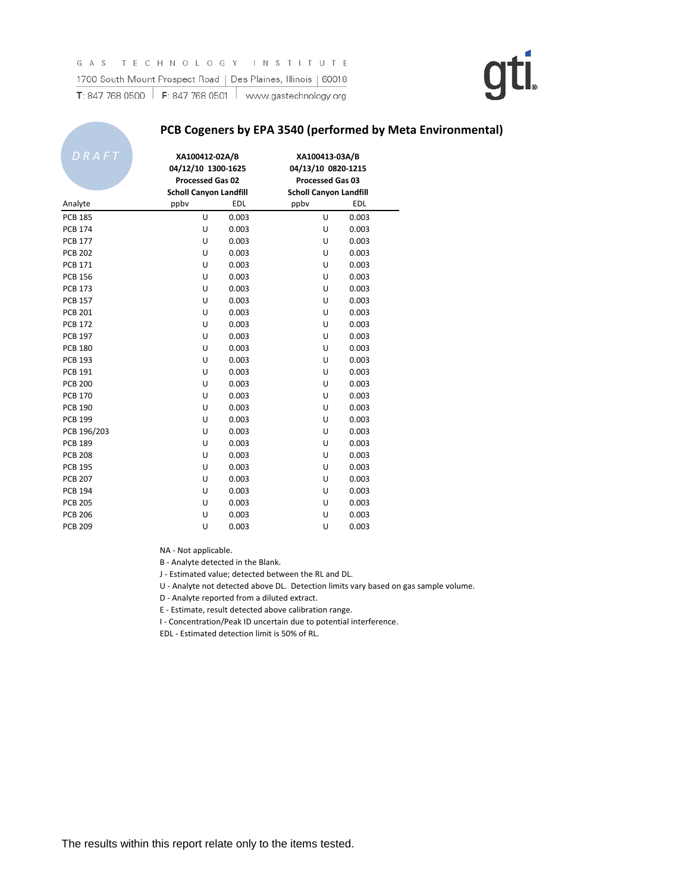#### **PCB Cogeners by EPA 3540 (performed by Meta Environmental)**

| $\overline{D}R\overline{A}FT$ | XA100412-02A/B<br>04/12/10 1300-1625<br><b>Processed Gas 02</b><br><b>Scholl Canyon Landfill</b> |            | XA100413-03A/B<br>04/13/10 0820-1215<br><b>Processed Gas 03</b><br><b>Scholl Canyon Landfill</b> |            |
|-------------------------------|--------------------------------------------------------------------------------------------------|------------|--------------------------------------------------------------------------------------------------|------------|
| Analyte                       | ppbv                                                                                             | <b>EDL</b> | ppbv                                                                                             | <b>EDL</b> |
| <b>PCB 185</b>                | U                                                                                                | 0.003      | U                                                                                                | 0.003      |
| <b>PCB 174</b>                | U                                                                                                | 0.003      | Ù                                                                                                | 0.003      |
| <b>PCB 177</b>                | U                                                                                                | 0.003      | U                                                                                                | 0.003      |
| <b>PCB 202</b>                | U                                                                                                | 0.003      | U                                                                                                | 0.003      |
| <b>PCB 171</b>                | U                                                                                                | 0.003      | U                                                                                                | 0.003      |
| <b>PCB 156</b>                | U                                                                                                | 0.003      | U                                                                                                | 0.003      |
| <b>PCB 173</b>                | U                                                                                                | 0.003      | Ù                                                                                                | 0.003      |
| <b>PCB 157</b>                | U                                                                                                | 0.003      | U                                                                                                | 0.003      |
| <b>PCB 201</b>                | U                                                                                                | 0.003      | U                                                                                                | 0.003      |
| <b>PCB 172</b>                | U                                                                                                | 0.003      | U                                                                                                | 0.003      |
| <b>PCB 197</b>                | U                                                                                                | 0.003      | U                                                                                                | 0.003      |
| <b>PCB 180</b>                | U                                                                                                | 0.003      | U                                                                                                | 0.003      |
| <b>PCB 193</b>                | U                                                                                                | 0.003      | U                                                                                                | 0.003      |
| <b>PCB 191</b>                | U                                                                                                | 0.003      | Ù                                                                                                | 0.003      |
| <b>PCB 200</b>                | U                                                                                                | 0.003      | U                                                                                                | 0.003      |
| <b>PCB 170</b>                | U                                                                                                | 0.003      | U                                                                                                | 0.003      |
| <b>PCB 190</b>                | U                                                                                                | 0.003      | U                                                                                                | 0.003      |
| <b>PCB 199</b>                | U                                                                                                | 0.003      | Ù                                                                                                | 0.003      |
| PCB 196/203                   | U                                                                                                | 0.003      | U                                                                                                | 0.003      |
| <b>PCB 189</b>                | U                                                                                                | 0.003      | U                                                                                                | 0.003      |
| <b>PCB 208</b>                | U                                                                                                | 0.003      | Ù                                                                                                | 0.003      |
| <b>PCB 195</b>                | U                                                                                                | 0.003      | U                                                                                                | 0.003      |
| <b>PCB 207</b>                | U                                                                                                | 0.003      | U                                                                                                | 0.003      |
| <b>PCB 194</b>                | U                                                                                                | 0.003      | U                                                                                                | 0.003      |
| <b>PCB 205</b>                | U                                                                                                | 0.003      | U                                                                                                | 0.003      |
| <b>PCB 206</b>                | U                                                                                                | 0.003      | Ù                                                                                                | 0.003      |
| <b>PCB 209</b>                | U                                                                                                | 0.003      | U                                                                                                | 0.003      |

NA - Not applicable.

B - Analyte detected in the Blank.

J - Estimated value; detected between the RL and DL.

U - Analyte not detected above DL. Detection limits vary based on gas sample volume.

D - Analyte reported from a diluted extract.

E - Estimate, result detected above calibration range.

I - Concentration/Peak ID uncertain due to potential interference.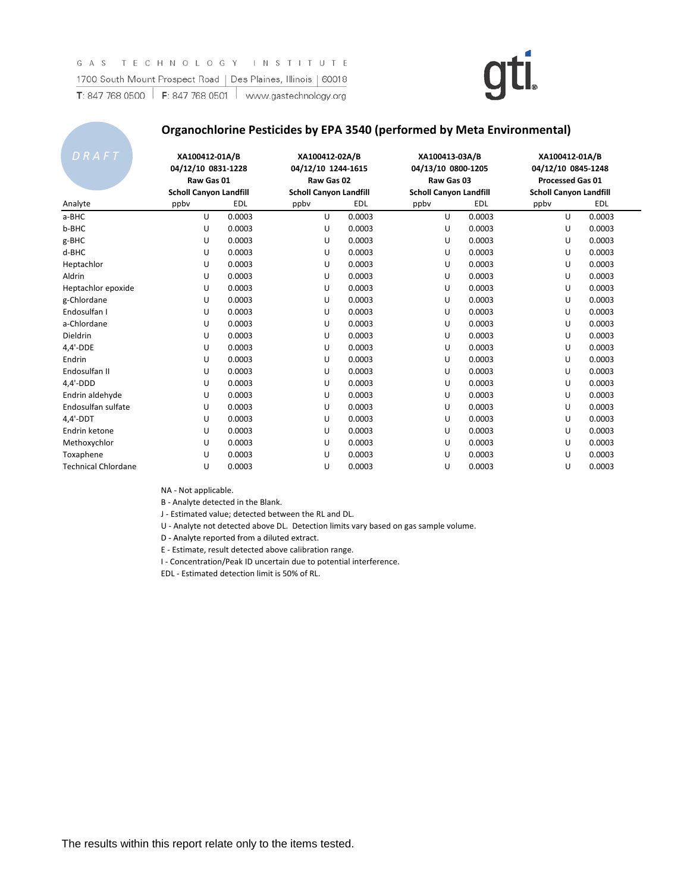#### **Organochlorine Pesticides by EPA 3540 (performed by Meta Environmental)**

| DRAFT                      | XA100412-01A/B<br>04/12/10 0831-1228<br>Raw Gas 01<br><b>Scholl Canyon Landfill</b> |            | XA100412-02A/B<br>04/12/10 1244-1615<br>Raw Gas 02<br><b>Scholl Canyon Landfill</b> |            | XA100413-03A/B<br>04/13/10 0800-1205<br>Raw Gas 03<br><b>Scholl Canyon Landfill</b> |            | XA100412-01A/B<br>04/12/10 0845-1248<br><b>Processed Gas 01</b><br><b>Scholl Canyon Landfill</b> |            |
|----------------------------|-------------------------------------------------------------------------------------|------------|-------------------------------------------------------------------------------------|------------|-------------------------------------------------------------------------------------|------------|--------------------------------------------------------------------------------------------------|------------|
| Analyte                    | ppbv                                                                                | <b>EDL</b> | ppby                                                                                | <b>EDL</b> | ppby                                                                                | <b>EDL</b> | ppby                                                                                             | <b>EDL</b> |
| a-BHC                      | U                                                                                   | 0.0003     | U                                                                                   | 0.0003     | U                                                                                   | 0.0003     | U                                                                                                | 0.0003     |
| b-BHC                      | U                                                                                   | 0.0003     | U                                                                                   | 0.0003     | U                                                                                   | 0.0003     | U                                                                                                | 0.0003     |
| g-BHC                      | U                                                                                   | 0.0003     | U                                                                                   | 0.0003     | U                                                                                   | 0.0003     | U                                                                                                | 0.0003     |
| d-BHC                      | U                                                                                   | 0.0003     | U                                                                                   | 0.0003     | U                                                                                   | 0.0003     | U                                                                                                | 0.0003     |
| Heptachlor                 | U                                                                                   | 0.0003     | U                                                                                   | 0.0003     | U                                                                                   | 0.0003     | U                                                                                                | 0.0003     |
| Aldrin                     | U                                                                                   | 0.0003     | U                                                                                   | 0.0003     | U                                                                                   | 0.0003     | U                                                                                                | 0.0003     |
| Heptachlor epoxide         | U                                                                                   | 0.0003     | U                                                                                   | 0.0003     | U                                                                                   | 0.0003     | U                                                                                                | 0.0003     |
| g-Chlordane                | U                                                                                   | 0.0003     | U                                                                                   | 0.0003     | U                                                                                   | 0.0003     | U                                                                                                | 0.0003     |
| Endosulfan I               | U                                                                                   | 0.0003     | U                                                                                   | 0.0003     | U                                                                                   | 0.0003     | U                                                                                                | 0.0003     |
| a-Chlordane                | U                                                                                   | 0.0003     | U                                                                                   | 0.0003     | U                                                                                   | 0.0003     | U                                                                                                | 0.0003     |
| Dieldrin                   | U                                                                                   | 0.0003     | U                                                                                   | 0.0003     | U                                                                                   | 0.0003     | U                                                                                                | 0.0003     |
| $4,4'-DDE$                 | U                                                                                   | 0.0003     | U                                                                                   | 0.0003     | U                                                                                   | 0.0003     | U                                                                                                | 0.0003     |
| Endrin                     | U                                                                                   | 0.0003     | U                                                                                   | 0.0003     | U                                                                                   | 0.0003     | U                                                                                                | 0.0003     |
| Endosulfan II              | U                                                                                   | 0.0003     | U                                                                                   | 0.0003     | U                                                                                   | 0.0003     | U                                                                                                | 0.0003     |
| $4,4'-DDD$                 | U                                                                                   | 0.0003     | U                                                                                   | 0.0003     | U                                                                                   | 0.0003     | U                                                                                                | 0.0003     |
| Endrin aldehyde            | U                                                                                   | 0.0003     | U                                                                                   | 0.0003     | U                                                                                   | 0.0003     | U                                                                                                | 0.0003     |
| Endosulfan sulfate         | U                                                                                   | 0.0003     | U                                                                                   | 0.0003     | U                                                                                   | 0.0003     | U                                                                                                | 0.0003     |
| $4,4'-DDT$                 | U                                                                                   | 0.0003     | U                                                                                   | 0.0003     | U                                                                                   | 0.0003     | U                                                                                                | 0.0003     |
| Endrin ketone              | U                                                                                   | 0.0003     | U                                                                                   | 0.0003     | U                                                                                   | 0.0003     | U                                                                                                | 0.0003     |
| Methoxychlor               | U                                                                                   | 0.0003     | U                                                                                   | 0.0003     | U                                                                                   | 0.0003     | U                                                                                                | 0.0003     |
| Toxaphene                  | U                                                                                   | 0.0003     | U                                                                                   | 0.0003     | U                                                                                   | 0.0003     | U                                                                                                | 0.0003     |
| <b>Technical Chlordane</b> | U                                                                                   | 0.0003     | U                                                                                   | 0.0003     | U                                                                                   | 0.0003     | U                                                                                                | 0.0003     |

NA - Not applicable.

B - Analyte detected in the Blank.

J - Estimated value; detected between the RL and DL.

U - Analyte not detected above DL. Detection limits vary based on gas sample volume.

D - Analyte reported from a diluted extract D - Analyte reported from a diluted extract.

E - Estimate, result detected above calibration range.

I - Concentration/Peak ID uncertain due to potential interference.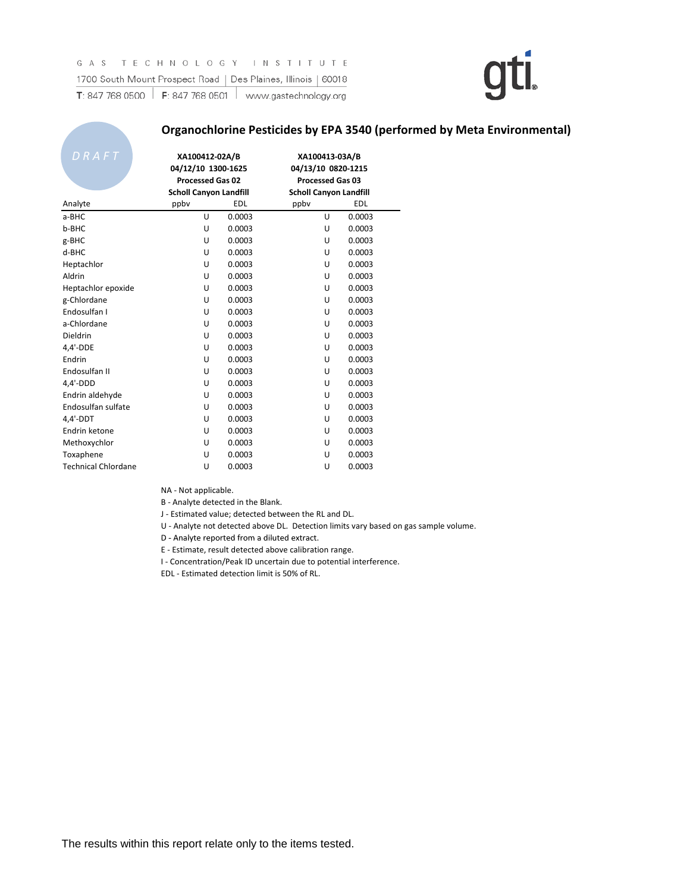#### **Organochlorine Pesticides by EPA 3540 (performed by Meta Environmental)**

| DRAFT                      | XA100412-02A/B<br>04/12/10 1300-1625<br><b>Processed Gas 02</b><br><b>Scholl Canyon Landfill</b> |            | XA100413-03A/B<br>04/13/10 0820-1215<br><b>Processed Gas 03</b><br><b>Scholl Canyon Landfill</b> |            |  |
|----------------------------|--------------------------------------------------------------------------------------------------|------------|--------------------------------------------------------------------------------------------------|------------|--|
| Analyte                    | ppby                                                                                             | <b>EDL</b> | ppby                                                                                             | <b>EDL</b> |  |
| a-BHC                      | U                                                                                                | 0.0003     | U                                                                                                | 0.0003     |  |
| b-BHC                      | U                                                                                                | 0.0003     | U                                                                                                | 0.0003     |  |
| g-BHC                      | U                                                                                                | 0.0003     | U                                                                                                | 0.0003     |  |
| d-BHC                      | U                                                                                                | 0.0003     | U                                                                                                | 0.0003     |  |
| Heptachlor                 | U                                                                                                | 0.0003     | U                                                                                                | 0.0003     |  |
| Aldrin                     | U                                                                                                | 0.0003     | U                                                                                                | 0.0003     |  |
| Heptachlor epoxide         | U                                                                                                | 0.0003     | U                                                                                                | 0.0003     |  |
| g-Chlordane                | U                                                                                                | 0.0003     | U                                                                                                | 0.0003     |  |
| Endosulfan I               | U                                                                                                | 0.0003     | U                                                                                                | 0.0003     |  |
| a-Chlordane                | U                                                                                                | 0.0003     | U                                                                                                | 0.0003     |  |
| Dieldrin                   | U                                                                                                | 0.0003     | U                                                                                                | 0.0003     |  |
| 4,4'-DDE                   | U                                                                                                | 0.0003     | U                                                                                                | 0.0003     |  |
| Endrin                     | U                                                                                                | 0.0003     | U                                                                                                | 0.0003     |  |
| Endosulfan II              | U                                                                                                | 0.0003     | U                                                                                                | 0.0003     |  |
| $4,4'-DDD$                 | U                                                                                                | 0.0003     | U                                                                                                | 0.0003     |  |
| Endrin aldehyde            | U                                                                                                | 0.0003     | U                                                                                                | 0.0003     |  |
| Endosulfan sulfate         | U                                                                                                | 0.0003     | U                                                                                                | 0.0003     |  |
| $4,4'$ -DDT                | U                                                                                                | 0.0003     | U                                                                                                | 0.0003     |  |
| Endrin ketone              | U                                                                                                | 0.0003     | U                                                                                                | 0.0003     |  |
| Methoxychlor               | U                                                                                                | 0.0003     | U                                                                                                | 0.0003     |  |
| Toxaphene                  | U                                                                                                | 0.0003     | U                                                                                                | 0.0003     |  |
| <b>Technical Chlordane</b> | U                                                                                                | 0.0003     | U                                                                                                | 0.0003     |  |

NA - Not applicable.

B - Analyte detected in the Blank.

J - Estimated value; detected between the RL and DL.

U - Analyte not detected above DL. Detection limits vary based on gas sample volume.

D - Analyte reported from a diluted extract D - Analyte reported from a diluted extract.

E - Estimate, result detected above calibration range.

I - Concentration/Peak ID uncertain due to potential interference.